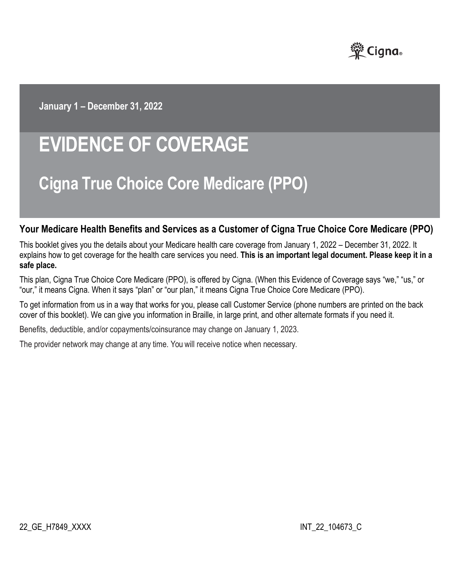

**January 1 – December 31, 2022** 

# **EVIDENCE OF COVERAGE**

# **Cigna True Choice Core Medicare (PPO)**

# **Your Medicare Health Benefits and Services as a Customer of Cigna True Choice Core Medicare (PPO)**

This booklet gives you the details about your Medicare health care coverage from January 1, 2022 – December 31, 2022. It explains how to get coverage for the health care services you need. **This is an important legal document. Please keep it in a safe place.** 

This plan, Cigna True Choice Core Medicare (PPO), is offered by Cigna. (When this Evidence of Coverage says "we," "us," or "our," it means Cigna. When it says "plan" or "our plan," it means Cigna True Choice Core Medicare (PPO).

To get information from us in a way that works for you, please call Customer Service (phone numbers are printed on the back cover of this booklet). We can give you information in Braille, in large print, and other alternate formats if you need it.

Benefits, deductible, and/or copayments/coinsurance may change on January 1, 2023.

The provider network may change at any time. You will receive notice when necessary.

22\_GE\_H7849\_XXXX INT\_22\_104673\_C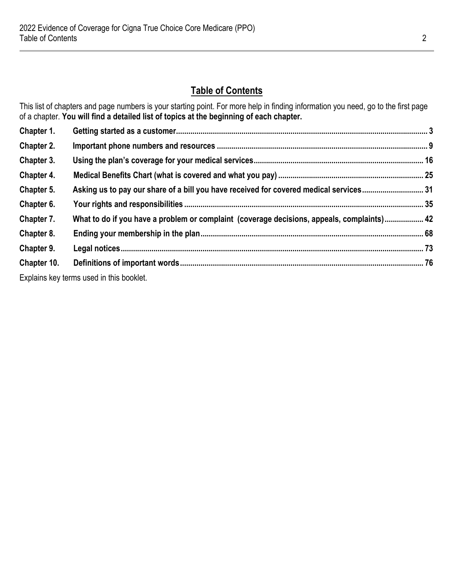# **Table of Contents**

This list of chapters and page numbers is your starting point. For more help in finding information you need, go to the first page of a chapter. **You will find a detailed list of topics at the beginning of each chapter.** 

| Chapter 1.  |                                                                                            |  |
|-------------|--------------------------------------------------------------------------------------------|--|
| Chapter 2.  |                                                                                            |  |
| Chapter 3.  |                                                                                            |  |
| Chapter 4.  |                                                                                            |  |
| Chapter 5.  |                                                                                            |  |
| Chapter 6.  |                                                                                            |  |
| Chapter 7.  | What to do if you have a problem or complaint (coverage decisions, appeals, complaints) 42 |  |
| Chapter 8.  |                                                                                            |  |
| Chapter 9.  |                                                                                            |  |
| Chapter 10. |                                                                                            |  |
|             | Evaloine key terms used in this heaklet                                                    |  |

Explains key terms used in this booklet.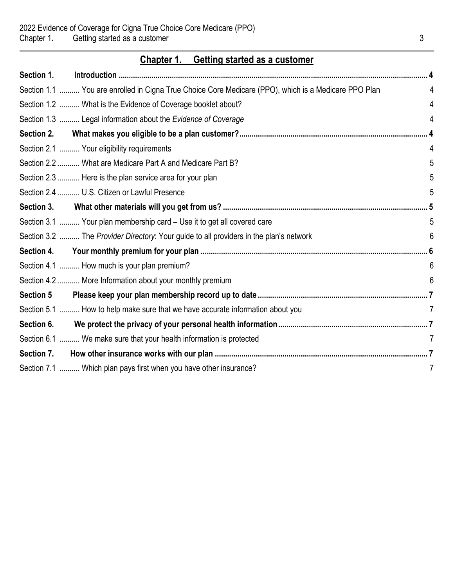| <b>Chapter 1.</b> Getting started as a customer                                                      |                |
|------------------------------------------------------------------------------------------------------|----------------|
| Section 1.                                                                                           |                |
| Section 1.1  You are enrolled in Cigna True Choice Core Medicare (PPO), which is a Medicare PPO Plan | 4              |
| Section 1.2  What is the Evidence of Coverage booklet about?                                         | 4              |
| Section 1.3  Legal information about the Evidence of Coverage                                        | 4              |
| Section 2.                                                                                           |                |
| Section 2.1  Your eligibility requirements                                                           | 4              |
| Section 2.2  What are Medicare Part A and Medicare Part B?                                           | 5              |
| Section 2.3  Here is the plan service area for your plan                                             | 5              |
| Section 2.4  U.S. Citizen or Lawful Presence                                                         | 5              |
|                                                                                                      |                |
| Section 3.1  Your plan membership card - Use it to get all covered care                              | 5              |
| Section 3.2  The Provider Directory: Your guide to all providers in the plan's network               | 6              |
|                                                                                                      |                |
| Section 4.1  How much is your plan premium?                                                          | 6              |
| Section 4.2  More Information about your monthly premium                                             | 6              |
| <b>Section 5</b>                                                                                     |                |
| Section 5.1  How to help make sure that we have accurate information about you                       | $\overline{7}$ |
| Section 6.                                                                                           |                |
| Section 6.1  We make sure that your health information is protected                                  | $\overline{7}$ |
| Section 7.                                                                                           |                |
| Section 7.1  Which plan pays first when you have other insurance?                                    | $\overline{7}$ |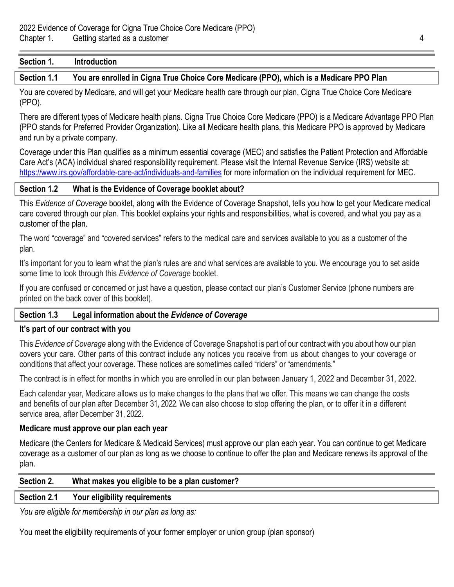# **Section 1. Introduction**

# **Section 1.1 You are enrolled in Cigna True Choice Core Medicare (PPO), which is a Medicare PPO Plan**

You are covered by Medicare, and will get your Medicare health care through our plan, Cigna True Choice Core Medicare (PPO).

There are different types of Medicare health plans. Cigna True Choice Core Medicare (PPO) is a Medicare Advantage PPO Plan (PPO stands for Preferred Provider Organization). Like all Medicare health plans, this Medicare PPO is approved by Medicare and run by a private company.

Coverage under this Plan qualifies as a minimum essential coverage (MEC) and satisfies the Patient Protection and Affordable Care Act's (ACA) individual shared responsibility requirement. Please visit the Internal Revenue Service (IRS) website at: <https://www.irs.gov/affordable-care-act/individuals-and-families> for more information on the individual requirement for MEC.

#### **Section 1.2 What is the Evidence of Coverage booklet about?**

This *Evidence of Coverage* booklet, along with the Evidence of Coverage Snapshot, tells you how to get your Medicare medical care covered through our plan. This booklet explains your rights and responsibilities, what is covered, and what you pay as a customer of the plan.

 The word "coverage" and "covered services" refers to the medical care and services available to you as a customer of the plan.

 It's important for you to learn what the plan's rules are and what services are available to you. We encourage you to set aside some time to look through this *Evidence of Coverage* booklet.

If you are confused or concerned or just have a question, please contact our plan's Customer Service (phone numbers are printed on the back cover of this booklet).

# **Section 1.3 Legal information about the** *Evidence of Coverage*

#### **It's part of our contract with you**

 covers your care. Other parts of this contract include any notices you receive from us about changes to your coverage or This *Evidence of Coverage* along with the Evidence of Coverage Snapshot is part of our contract with you about how our plan conditions that affect your coverage. These notices are sometimes called "riders" or "amendments."

The contract is in effect for months in which you are enrolled in our plan between January 1, 2022 and December 31, 2022.

Each calendar year, Medicare allows us to make changes to the plans that we offer. This means we can change the costs and benefits of our plan after December 31, 2022. We can also choose to stop offering the plan, or to offer it in a different service area, after December 31, 2022.

#### **Medicare must approve our plan each year**

Medicare (the Centers for Medicare & Medicaid Services) must approve our plan each year. You can continue to get Medicare coverage as a customer of our plan as long as we choose to continue to offer the plan and Medicare renews its approval of the plan.

#### **Section 2. What makes you eligible to be a plan customer?**

#### **Section 2.1 Your eligibility requirements**

*You are eligible for membership in our plan as long as:* 

You meet the eligibility requirements of your former employer or union group (plan sponsor)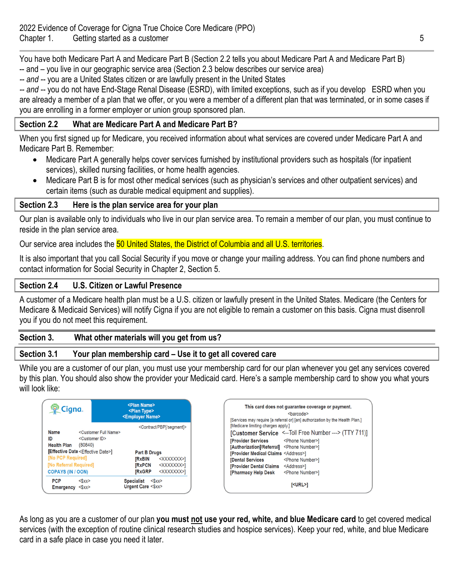You have both Medicare Part A and Medicare Part B (Section 2.2 tells you about Medicare Part A and Medicare Part B) -- and – you live in our geographic service area (Section 2.3 below describes our service area)

*-- and --* you are a United States citizen or are lawfully present in the United States

*-- and --* you do not have End-Stage Renal Disease (ESRD), with limited exceptions, such as if you develop ESRD when you are already a member of a plan that we offer, or you were a member of a different plan that was terminated, or in some cases if you are enrolling in a former employer or union group sponsored plan.

# **Section 2.2 What are Medicare Part A and Medicare Part B?**

When you first signed up for Medicare, you received information about what services are covered under Medicare Part A and Medicare Part B. Remember:

- Medicare Part A generally helps cover services furnished by institutional providers such as hospitals (for inpatient services), skilled nursing facilities, or home health agencies.
- Medicare Part B is for most other medical services (such as physician's services and other outpatient services) and certain items (such as durable medical equipment and supplies).

# **Section 2.3 Here is the plan service area for your plan**

Our plan is available only to individuals who live in our plan service area. To remain a member of our plan, you must continue to reside in the plan service area.

Our service area includes the 50 United States, the District of Columbia and all U.S. territories.

It is also important that you call Social Security if you move or change your mailing address. You can find phone numbers and contact information for Social Security in Chapter 2, Section 5.

# **Section 2.4 U.S. Citizen or Lawful Presence**

A customer of a Medicare health plan must be a U.S. citizen or lawfully present in the United States. Medicare (the Centers for Medicare & Medicaid Services) will notify Cigna if you are not eligible to remain a customer on this basis. Cigna must disenroll you if you do not meet this requirement.

# **Section 3. What other materials will you get from us?**

# **Section 3.1 Your plan membership card – Use it to get all covered care**

While you are a customer of our plan, you must use your membership card for our plan whenever you get any services covered by this plan. You should also show the provider your Medicaid card. Here's a sample membership card to show you what yours will look like:



| This card does not guarantee coverage or payment.                                                                   |
|---------------------------------------------------------------------------------------------------------------------|
| <barcode></barcode>                                                                                                 |
| [Services may require [a referral or] [an] authorization by the Health Plan.]<br>[Medicare limiting charges apply.] |
| [Customer Service <-- Toll Free Number ---> (TTY 711)]                                                              |
| <b>[Provider Services</b><br><phone number="">]</phone>                                                             |
| [Authorization]/Referral] <phone number="">]</phone>                                                                |
| [Provider Medical Claims <address>]</address>                                                                       |
| <b>[Dental Services</b><br><phone number="">1</phone>                                                               |
| <b>[Provider Dental Claims</b><br><address>1</address>                                                              |
| <phone number="">1<br/>[Pharmacy Help Desk</phone>                                                                  |
| [ <url>1</url>                                                                                                      |

As long as you are a customer of our plan **you must not use your red, white, and blue Medicare card** to get covered medical services (with the exception of routine clinical research studies and hospice services). Keep your red, white, and blue Medicare card in a safe place in case you need it later.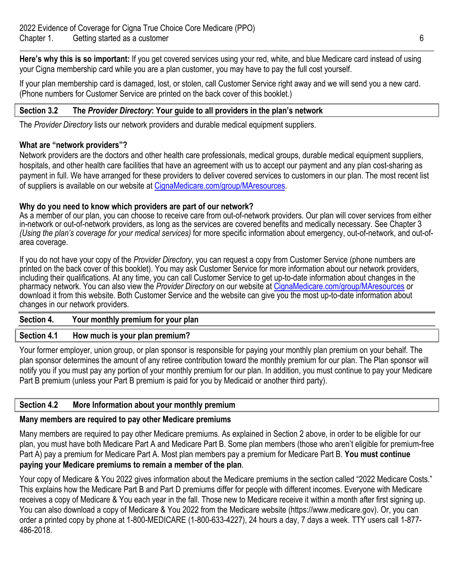**Here's why this is so important:** If you get covered services using your red, white, and blue Medicare card instead of using your Cigna membership card while you are a plan customer, you may have to pay the full cost yourself.

If your plan membership card is damaged, lost, or stolen, call Customer Service right away and we will send you a new card. (Phone numbers for Customer Service are printed on the back cover of this booklet.)

#### **Section 3.2 The** *Provider Directory***: Your guide to all providers in the plan's network**

The *Provider Directory* lists our network providers and durable medical equipment suppliers.

#### **What are "network providers"?**

Network providers are the doctors and other health care professionals, medical groups, durable medical equipment suppliers, hospitals, and other health care facilities that have an agreement with us to accept our payment and any plan cost-sharing as payment in full. We have arranged for these providers to deliver covered services to customers in our plan. The most recent list of suppliers is available on our website at [CignaMedicare.com/group/MAresources.](https://CignaMedicare.com/group/MAresources)

#### **Why do you need to know which providers are part of our network?**

As a member of our plan, you can choose to receive care from out-of-network providers. Our plan will cover services from either in-network or out-of-network providers, as long as the services are covered benefits and medically necessary. See Chapter 3 *(Using the plan's coverage for your medical services)* for more specific information about emergency, out-of-network, and out-ofarea coverage.

If you do not have your copy of the *Provider Directory*, you can request a copy from Customer Service (phone numbers are printed on the back cover of this booklet). You may ask Customer Service for more information about our network providers, including their qualifications. At any time, you can call Customer Service to get up-to-date information about changes in the pharmacy network. You can also view the *Provider Directory* on our website at [CignaMedicare.com/group/MAresources](www.CignaMedicare.com/group/MAresources) or download it from this website. Both Customer Service and the website can give you the most up-to-date information about changes in our network providers.

# **Section 4. Your monthly premium for your plan**

# **Section 4.1 How much is your plan premium?**

Your former employer, union group, or plan sponsor is responsible for paying your monthly plan premium on your behalf. The plan sponsor determines the amount of any retiree contribution toward the monthly premium for our plan. The Plan sponsor will notify you if you must pay any portion of your monthly premium for our plan. In addition, you must continue to pay your Medicare Part B premium (unless your Part B premium is paid for you by Medicaid or another third party).

# **Section 4.2 More Information about your monthly premium**

# **Many members are required to pay other Medicare premiums**

Many members are required to pay other Medicare premiums. As explained in Section 2 above, in order to be eligible for our plan, you must have both Medicare Part A and Medicare Part B. Some plan members (those who aren't eligible for premium-free Part A) pay a premium for Medicare Part A. Most plan members pay a premium for Medicare Part B. **You must continue paying your Medicare premiums to remain a member of the plan**.

Your copy of Medicare & You 2022 gives information about the Medicare premiums in the section called "2022 Medicare Costs." This explains how the Medicare Part B and Part D premiums differ for people with different incomes. Everyone with Medicare receives a copy of Medicare & You each year in the fall. Those new to Medicare receive it within a month after first signing up. You can also download a copy of Medicare & You 2022 from the Medicare website [\(https://www.medicare.gov\)](https://www.medicare.gov). Or, you can order a printed copy by phone at 1-800-MEDICARE (1-800-633-4227), 24 hours a day, 7 days a week. TTY users call 1-877- 486-2018.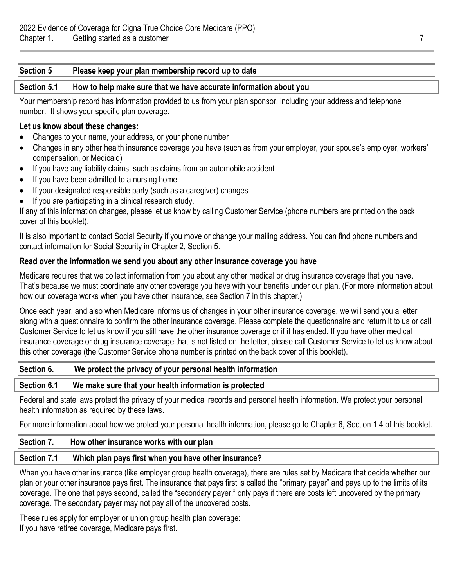#### **Section 5 Please keep your plan membership record up to date**

#### **Section 5.1 How to help make sure that we have accurate information about you**

Your membership record has information provided to us from your plan sponsor, including your address and telephone number. It shows your specific plan coverage.

#### **Let us know about these changes:**

- Changes to your name, your address, or your phone number
- Changes in any other health insurance coverage you have (such as from your employer, your spouse's employer, workers' compensation, or Medicaid)
- If you have any liability claims, such as claims from an automobile accident
- If you have been admitted to a nursing home
- If your designated responsible party (such as a caregiver) changes
- If you are participating in a clinical research study.

If any of this information changes, please let us know by calling Customer Service (phone numbers are printed on the back cover of this booklet).

It is also important to contact Social Security if you move or change your mailing address. You can find phone numbers and contact information for Social Security in Chapter 2, Section 5.

#### **Read over the information we send you about any other insurance coverage you have**

Medicare requires that we collect information from you about any other medical or drug insurance coverage that you have. That's because we must coordinate any other coverage you have with your benefits under our plan. (For more information about how our coverage works when you have other insurance, see Section 7 in this chapter.)

Once each year, and also when Medicare informs us of changes in your other insurance coverage, we will send you a letter along with a questionnaire to confirm the other insurance coverage. Please complete the questionnaire and return it to us or call Customer Service to let us know if you still have the other insurance coverage or if it has ended. If you have other medical insurance coverage or drug insurance coverage that is not listed on the letter, please call Customer Service to let us know about this other coverage (the Customer Service phone number is printed on the back cover of this booklet).

#### **Section 6. We protect the privacy of your personal health information**

#### **Section 6.1 We make sure that your health information is protected**

Federal and state laws protect the privacy of your medical records and personal health information. We protect your personal health information as required by these laws.

For more information about how we protect your personal health information, please go to Chapter 6, Section 1.4 of this booklet.

#### **Section 7. How other insurance works with our plan**

#### **Section 7.1 Which plan pays first when you have other insurance?**

When you have other insurance (like employer group health coverage), there are rules set by Medicare that decide whether our plan or your other insurance pays first. The insurance that pays first is called the "primary payer" and pays up to the limits of its coverage. The one that pays second, called the "secondary payer," only pays if there are costs left uncovered by the primary coverage. The secondary payer may not pay all of the uncovered costs.

These rules apply for employer or union group health plan coverage: If you have retiree coverage, Medicare pays first.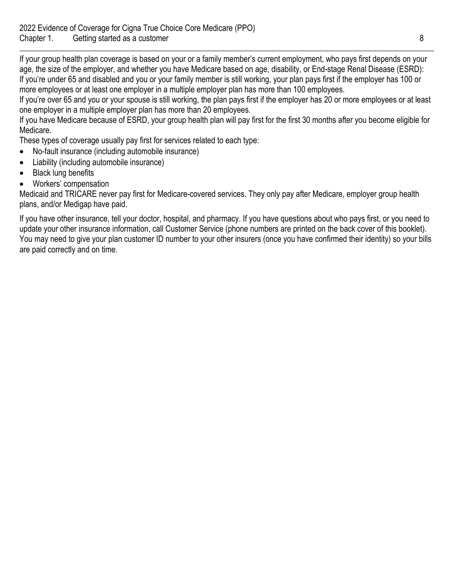If your group health plan coverage is based on your or a family member's current employment, who pays first depends on your age, the size of the employer, and whether you have Medicare based on age, disability, or End-stage Renal Disease (ESRD): If you're under 65 and disabled and you or your family member is still working, your plan pays first if the employer has 100 or more employees or at least one employer in a multiple employer plan has more than 100 employees.

If you're over 65 and you or your spouse is still working, the plan pays first if the employer has 20 or more employees or at least one employer in a multiple employer plan has more than 20 employees.

If you have Medicare because of ESRD, your group health plan will pay first for the first 30 months after you become eligible for Medicare.

These types of coverage usually pay first for services related to each type:

- No-fault insurance (including automobile insurance)
- Liability (including automobile insurance)
- Black lung benefits
- Workers' compensation

Medicaid and TRICARE never pay first for Medicare-covered services. They only pay after Medicare, employer group health plans, and/or Medigap have paid.

If you have other insurance, tell your doctor, hospital, and pharmacy. If you have questions about who pays first, or you need to update your other insurance information, call Customer Service (phone numbers are printed on the back cover of this booklet). You may need to give your plan customer ID number to your other insurers (once you have confirmed their identity) so your bills are paid correctly and on time.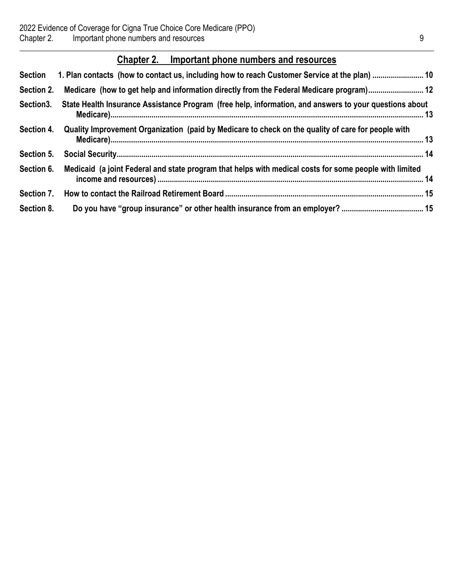# **Chapter 2. Important phone numbers and resources**

| <b>Section</b> | 1. Plan contacts (how to contact us, including how to reach Customer Service at the plan)  10          |
|----------------|--------------------------------------------------------------------------------------------------------|
| Section 2.     |                                                                                                        |
| Section3.      | State Health Insurance Assistance Program (free help, information, and answers to your questions about |
| Section 4.     | Quality Improvement Organization (paid by Medicare to check on the quality of care for people with     |
| Section 5.     |                                                                                                        |
| Section 6.     | Medicaid (a joint Federal and state program that helps with medical costs for some people with limited |
| Section 7.     |                                                                                                        |
| Section 8.     |                                                                                                        |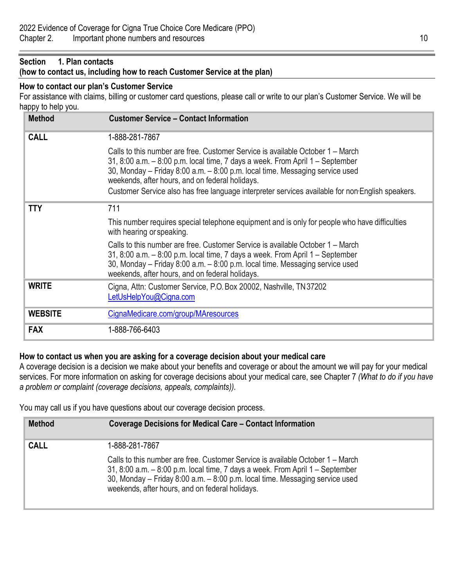#### **How to contact our plan's Customer Service**

For assistance with claims, billing or customer card questions, please call or write to our plan's Customer Service. We will be happy to help you.

| <b>Method</b>  | <b>Customer Service - Contact Information</b>                                                                                                                                                                                                                                                                                                                                                          |
|----------------|--------------------------------------------------------------------------------------------------------------------------------------------------------------------------------------------------------------------------------------------------------------------------------------------------------------------------------------------------------------------------------------------------------|
| <b>CALL</b>    | 1-888-281-7867                                                                                                                                                                                                                                                                                                                                                                                         |
|                | Calls to this number are free. Customer Service is available October 1 – March<br>31, 8:00 a.m. - 8:00 p.m. local time, 7 days a week. From April 1 - September<br>30, Monday – Friday 8:00 a.m. – 8:00 p.m. local time. Messaging service used<br>weekends, after hours, and on federal holidays.<br>Customer Service also has free language interpreter services available for non-English speakers. |
| <b>TTY</b>     | 711                                                                                                                                                                                                                                                                                                                                                                                                    |
|                | This number requires special telephone equipment and is only for people who have difficulties<br>with hearing or speaking.                                                                                                                                                                                                                                                                             |
|                | Calls to this number are free. Customer Service is available October 1 – March<br>31, 8:00 a.m. - 8:00 p.m. local time, 7 days a week. From April 1 - September<br>30, Monday - Friday 8:00 a.m. - 8:00 p.m. local time. Messaging service used<br>weekends, after hours, and on federal holidays.                                                                                                     |
| <b>WRITE</b>   | Cigna, Attn: Customer Service, P.O. Box 20002, Nashville, TN 37202<br>LetUsHelpYou@Cigna.com                                                                                                                                                                                                                                                                                                           |
| <b>WEBSITE</b> | CignaMedicare.com/group/MAresources                                                                                                                                                                                                                                                                                                                                                                    |
| <b>FAX</b>     | 1-888-766-6403                                                                                                                                                                                                                                                                                                                                                                                         |

# **How to contact us when you are asking for a coverage decision about your medical care**

A coverage decision is a decision we make about your benefits and coverage or about the amount we will pay for your medical services. For more information on asking for coverage decisions about your medical care, see Chapter 7 *(What to do if you have a problem or complaint (coverage decisions, appeals, complaints)).* 

You may call us if you have questions about our coverage decision process.

| <b>Method</b> | <b>Coverage Decisions for Medical Care – Contact Information</b>                                                                                                                                                                                                                                   |  |
|---------------|----------------------------------------------------------------------------------------------------------------------------------------------------------------------------------------------------------------------------------------------------------------------------------------------------|--|
| <b>CALL</b>   | 1-888-281-7867                                                                                                                                                                                                                                                                                     |  |
|               | Calls to this number are free. Customer Service is available October 1 – March<br>31, 8:00 a.m. - 8:00 p.m. local time, 7 days a week. From April 1 - September<br>30, Monday - Friday 8:00 a.m. - 8:00 p.m. local time. Messaging service used<br>weekends, after hours, and on federal holidays. |  |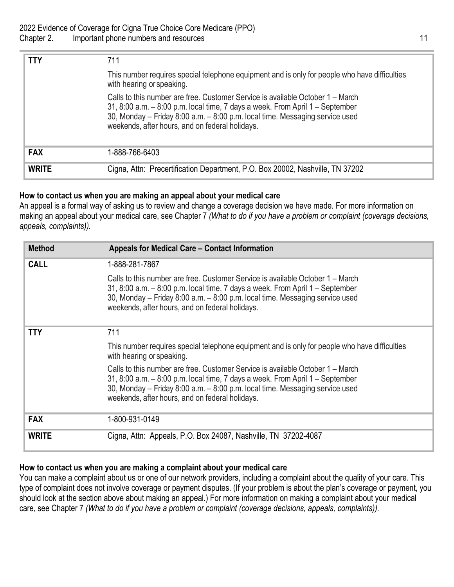| TTY          | 711                                                                                                                                                                                                                                                                                                |
|--------------|----------------------------------------------------------------------------------------------------------------------------------------------------------------------------------------------------------------------------------------------------------------------------------------------------|
|              | This number requires special telephone equipment and is only for people who have difficulties<br>with hearing or speaking.                                                                                                                                                                         |
|              | Calls to this number are free. Customer Service is available October 1 – March<br>31, 8:00 a.m. - 8:00 p.m. local time, 7 days a week. From April 1 - September<br>30, Monday - Friday 8:00 a.m. - 8:00 p.m. local time. Messaging service used<br>weekends, after hours, and on federal holidays. |
| <b>FAX</b>   | 1-888-766-6403                                                                                                                                                                                                                                                                                     |
| <b>WRITE</b> | Cigna, Attn: Precertification Department, P.O. Box 20002, Nashville, TN 37202                                                                                                                                                                                                                      |

# **How to contact us when you are making an appeal about your medical care**

An appeal is a formal way of asking us to review and change a coverage decision we have made. For more information on making an appeal about your medical care, see Chapter 7 *(What to do if you have a problem or complaint (coverage decisions, appeals, complaints)).* 

| <b>Method</b> | Appeals for Medical Care – Contact Information                                                                                                                                                                                                                                                       |
|---------------|------------------------------------------------------------------------------------------------------------------------------------------------------------------------------------------------------------------------------------------------------------------------------------------------------|
| <b>CALL</b>   | 1-888-281-7867                                                                                                                                                                                                                                                                                       |
|               | Calls to this number are free. Customer Service is available October 1 – March<br>31, 8:00 a.m. - 8:00 p.m. local time, 7 days a week. From April 1 - September<br>30, Monday - Friday 8:00 a.m. - 8:00 p.m. local time. Messaging service used<br>weekends, after hours, and on federal holidays.   |
| <b>TTY</b>    | 711                                                                                                                                                                                                                                                                                                  |
|               | This number requires special telephone equipment and is only for people who have difficulties<br>with hearing or speaking.                                                                                                                                                                           |
|               | Calls to this number are free. Customer Service is available October 1 – March<br>31, 8:00 a.m. $-$ 8:00 p.m. local time, 7 days a week. From April 1 – September<br>30, Monday - Friday 8:00 a.m. - 8:00 p.m. local time. Messaging service used<br>weekends, after hours, and on federal holidays. |
| <b>FAX</b>    | 1-800-931-0149                                                                                                                                                                                                                                                                                       |
| <b>WRITE</b>  | Cigna, Attn: Appeals, P.O. Box 24087, Nashville, TN 37202-4087                                                                                                                                                                                                                                       |

# **How to contact us when you are making a complaint about your medical care**

You can make a complaint about us or one of our network providers, including a complaint about the quality of your care. This type of complaint does not involve coverage or payment disputes. (If your problem is about the plan's coverage or payment, you should look at the section above about making an appeal.) For more information on making a complaint about your medical care, see Chapter 7 *(What to do if you have a problem or complaint (coverage decisions, appeals, complaints)).*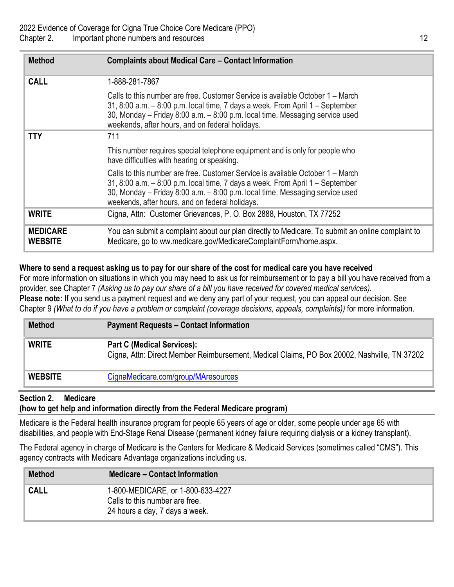| <b>Method</b>                     | <b>Complaints about Medical Care – Contact Information</b>                                                                                                                                                                                                                                         |
|-----------------------------------|----------------------------------------------------------------------------------------------------------------------------------------------------------------------------------------------------------------------------------------------------------------------------------------------------|
| <b>CALL</b>                       | 1-888-281-7867                                                                                                                                                                                                                                                                                     |
|                                   | Calls to this number are free. Customer Service is available October 1 – March<br>31, 8:00 a.m. - 8:00 p.m. local time, 7 days a week. From April 1 - September<br>30, Monday - Friday 8:00 a.m. - 8:00 p.m. local time. Messaging service used<br>weekends, after hours, and on federal holidays. |
| <b>TTY</b>                        | 711                                                                                                                                                                                                                                                                                                |
|                                   | This number requires special telephone equipment and is only for people who<br>have difficulties with hearing or speaking.                                                                                                                                                                         |
|                                   | Calls to this number are free. Customer Service is available October 1 – March<br>31, 8:00 a.m. - 8:00 p.m. local time, 7 days a week. From April 1 - September<br>30, Monday - Friday 8:00 a.m. - 8:00 p.m. local time. Messaging service used<br>weekends, after hours, and on federal holidays. |
| <b>WRITE</b>                      | Cigna, Attn: Customer Grievances, P. O. Box 2888, Houston, TX 77252                                                                                                                                                                                                                                |
| <b>MEDICARE</b><br><b>WEBSITE</b> | You can submit a complaint about our plan directly to Medicare. To submit an online complaint to<br>Medicare, go to ww.medicare.gov/MedicareComplaintForm/home.aspx.                                                                                                                               |

# **Where to send a request asking us to pay for our share of the cost for medical care you have received**

For more information on situations in which you may need to ask us for reimbursement or to pay a bill you have received from a provider, see Chapter 7 *(Asking us to pay our share of a bill you have received for covered medical services).*  **Please note:** If you send us a payment request and we deny any part of your request, you can appeal our decision. See

Chapter 9 *(What to do if you have a problem or complaint (coverage decisions, appeals, complaints))* for more information.

| <b>Method</b>  | <b>Payment Requests - Contact Information</b>                                                                                    |
|----------------|----------------------------------------------------------------------------------------------------------------------------------|
| <b>WRITE</b>   | <b>Part C (Medical Services):</b><br>Cigna, Attn: Direct Member Reimbursement, Medical Claims, PO Box 20002, Nashville, TN 37202 |
| <b>WEBSITE</b> | CignaMedicare.com/group/MAresources                                                                                              |

# **Section 2. Medicare (how to get help and information directly from the Federal Medicare program)**

Medicare is the Federal health insurance program for people 65 years of age or older, some people under age 65 with disabilities, and people with End-Stage Renal Disease (permanent kidney failure requiring dialysis or a kidney transplant).

The Federal agency in charge of Medicare is the Centers for Medicare & Medicaid Services (sometimes called "CMS"). This agency contracts with Medicare Advantage organizations including us.

| <b>Method</b> | <b>Medicare – Contact Information</b>                                                                 |
|---------------|-------------------------------------------------------------------------------------------------------|
| <b>CALL</b>   | 1-800-MEDICARE, or 1-800-633-4227<br>Calls to this number are free.<br>24 hours a day, 7 days a week. |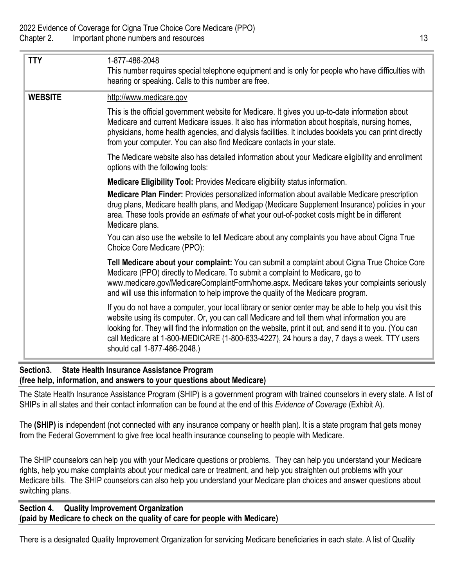| <b>TTY</b>     | 1-877-486-2048<br>This number requires special telephone equipment and is only for people who have difficulties with<br>hearing or speaking. Calls to this number are free.                                                                                                                                                                                                                                                                   |
|----------------|-----------------------------------------------------------------------------------------------------------------------------------------------------------------------------------------------------------------------------------------------------------------------------------------------------------------------------------------------------------------------------------------------------------------------------------------------|
| <b>WEBSITE</b> | http://www.medicare.gov                                                                                                                                                                                                                                                                                                                                                                                                                       |
|                | This is the official government website for Medicare. It gives you up-to-date information about<br>Medicare and current Medicare issues. It also has information about hospitals, nursing homes,<br>physicians, home health agencies, and dialysis facilities. It includes booklets you can print directly<br>from your computer. You can also find Medicare contacts in your state.                                                          |
|                | The Medicare website also has detailed information about your Medicare eligibility and enrollment<br>options with the following tools:                                                                                                                                                                                                                                                                                                        |
|                | Medicare Eligibility Tool: Provides Medicare eligibility status information.                                                                                                                                                                                                                                                                                                                                                                  |
|                | Medicare Plan Finder: Provides personalized information about available Medicare prescription<br>drug plans, Medicare health plans, and Medigap (Medicare Supplement Insurance) policies in your<br>area. These tools provide an estimate of what your out-of-pocket costs might be in different<br>Medicare plans.                                                                                                                           |
|                | You can also use the website to tell Medicare about any complaints you have about Cigna True<br>Choice Core Medicare (PPO):                                                                                                                                                                                                                                                                                                                   |
|                | Tell Medicare about your complaint: You can submit a complaint about Cigna True Choice Core<br>Medicare (PPO) directly to Medicare. To submit a complaint to Medicare, go to<br>www.medicare.gov/MedicareComplaintForm/home.aspx. Medicare takes your complaints seriously<br>and will use this information to help improve the quality of the Medicare program.                                                                              |
|                | If you do not have a computer, your local library or senior center may be able to help you visit this<br>website using its computer. Or, you can call Medicare and tell them what information you are<br>looking for. They will find the information on the website, print it out, and send it to you. (You can<br>call Medicare at 1-800-MEDICARE (1-800-633-4227), 24 hours a day, 7 days a week. TTY users<br>should call 1-877-486-2048.) |

#### **Section3. State Health Insurance Assistance Program (free help, information, and answers to your questions about Medicare)**

The State Health Insurance Assistance Program (SHIP) is a government program with trained counselors in every state. A list of SHIPs in all states and their contact information can be found at the end of this *Evidence of Coverage* (Exhibit A).

The **(SHIP)** is independent (not connected with any insurance company or health plan). It is a state program that gets money from the Federal Government to give free local health insurance counseling to people with Medicare.

The SHIP counselors can help you with your Medicare questions or problems. They can help you understand your Medicare rights, help you make complaints about your medical care or treatment, and help you straighten out problems with your Medicare bills. The SHIP counselors can also help you understand your Medicare plan choices and answer questions about switching plans.

#### **Section 4. Quality Improvement Organization (paid by Medicare to check on the quality of care for people with Medicare)**

There is a designated Quality Improvement Organization for servicing Medicare beneficiaries in each state. A list of Quality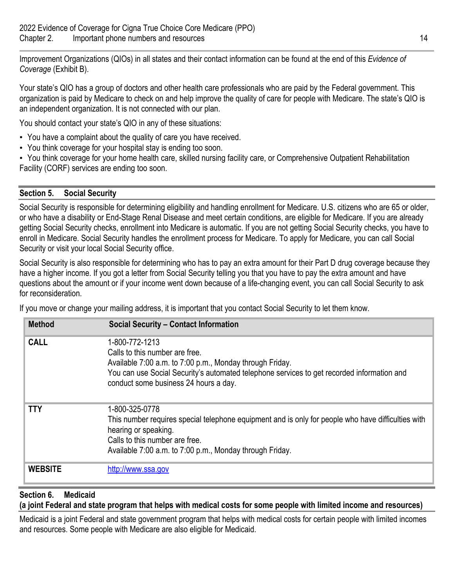Improvement Organizations (QIOs) in all states and their contact information can be found at the end of this *Evidence of Coverage* (Exhibit B).

Your state's QIO has a group of doctors and other health care professionals who are paid by the Federal government. This organization is paid by Medicare to check on and help improve the quality of care for people with Medicare. The state's QIO is an independent organization. It is not connected with our plan.

You should contact your state's QIO in any of these situations:

- You have a complaint about the quality of care you have received.
- You think coverage for your hospital stay is ending too soon.

• You think coverage for your home health care, skilled nursing facility care, or Comprehensive Outpatient Rehabilitation Facility (CORF) services are ending too soon.

# **Section 5. Social Security**

Social Security is responsible for determining eligibility and handling enrollment for Medicare. U.S. citizens who are 65 or older, or who have a disability or End-Stage Renal Disease and meet certain conditions, are eligible for Medicare. If you are already getting Social Security checks, enrollment into Medicare is automatic. If you are not getting Social Security checks, you have to enroll in Medicare. Social Security handles the enrollment process for Medicare. To apply for Medicare, you can call Social Security or visit your local Social Security office.

Social Security is also responsible for determining who has to pay an extra amount for their Part D drug coverage because they have a higher income. If you got a letter from Social Security telling you that you have to pay the extra amount and have questions about the amount or if your income went down because of a life-changing event, you can call Social Security to ask for reconsideration.

If you move or change your mailing address, it is important that you contact Social Security to let them know.

| <b>Method</b>  | <b>Social Security - Contact Information</b>                                                                                                                                                                                                        |
|----------------|-----------------------------------------------------------------------------------------------------------------------------------------------------------------------------------------------------------------------------------------------------|
| <b>CALL</b>    | 1-800-772-1213<br>Calls to this number are free.<br>Available 7:00 a.m. to 7:00 p.m., Monday through Friday.<br>You can use Social Security's automated telephone services to get recorded information and<br>conduct some business 24 hours a day. |
| TTY            | 1-800-325-0778<br>This number requires special telephone equipment and is only for people who have difficulties with<br>hearing or speaking.<br>Calls to this number are free.<br>Available 7:00 a.m. to 7:00 p.m., Monday through Friday.          |
| <b>WEBSITE</b> | http://www.ssa.gov                                                                                                                                                                                                                                  |

#### **Section 6. Medicaid (a joint Federal and state program that helps with medical costs for some people with limited income and resources)**

Medicaid is a joint Federal and state government program that helps with medical costs for certain people with limited incomes and resources. Some people with Medicare are also eligible for Medicaid.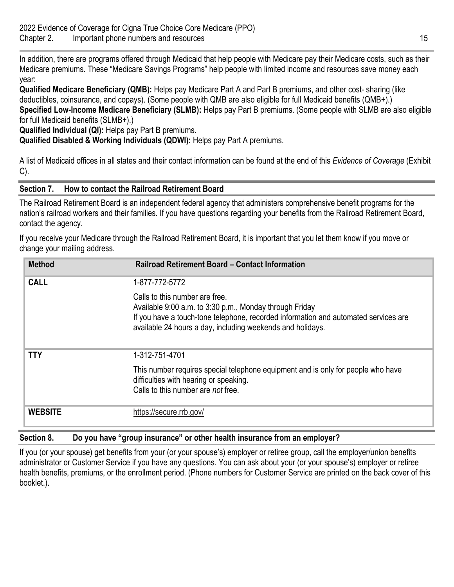In addition, there are programs offered through Medicaid that help people with Medicare pay their Medicare costs, such as their Medicare premiums. These "Medicare Savings Programs" help people with limited income and resources save money each year:

**Qualified Medicare Beneficiary (QMB):** Helps pay Medicare Part A and Part B premiums, and other cost- sharing (like deductibles, coinsurance, and copays). (Some people with QMB are also eligible for full Medicaid benefits (QMB+).) **Specified Low-Income Medicare Beneficiary (SLMB):** Helps pay Part B premiums. (Some people with SLMB are also eligible for full Medicaid benefits (SLMB+).)

**Qualified Individual (QI):** Helps pay Part B premiums.

**Qualified Disabled & Working Individuals (QDWI):** Helps pay Part A premiums.

A list of Medicaid offices in all states and their contact information can be found at the end of this *Evidence of Coverage* (Exhibit C).

# **Section 7. How to contact the Railroad Retirement Board**

The Railroad Retirement Board is an independent federal agency that administers comprehensive benefit programs for the nation's railroad workers and their families. If you have questions regarding your benefits from the Railroad Retirement Board, contact the agency.

If you receive your Medicare through the Railroad Retirement Board, it is important that you let them know if you move or change your mailing address.

| <b>Method</b>  | Railroad Retirement Board - Contact Information                                                                                                                                                                                                |
|----------------|------------------------------------------------------------------------------------------------------------------------------------------------------------------------------------------------------------------------------------------------|
| <b>CALL</b>    | 1-877-772-5772                                                                                                                                                                                                                                 |
|                | Calls to this number are free.<br>Available 9:00 a.m. to 3:30 p.m., Monday through Friday<br>If you have a touch-tone telephone, recorded information and automated services are<br>available 24 hours a day, including weekends and holidays. |
| <b>TTY</b>     | 1-312-751-4701                                                                                                                                                                                                                                 |
|                | This number requires special telephone equipment and is only for people who have<br>difficulties with hearing or speaking.<br>Calls to this number are not free.                                                                               |
| <b>WEBSITE</b> | https://secure.rrb.gov/                                                                                                                                                                                                                        |

# **Section 8. Do you have "group insurance" or other health insurance from an employer?**

If you (or your spouse) get benefits from your (or your spouse's) employer or retiree group, call the employer/union benefits administrator or Customer Service if you have any questions. You can ask about your (or your spouse's) employer or retiree health benefits, premiums, or the enrollment period. (Phone numbers for Customer Service are printed on the back cover of this booklet.).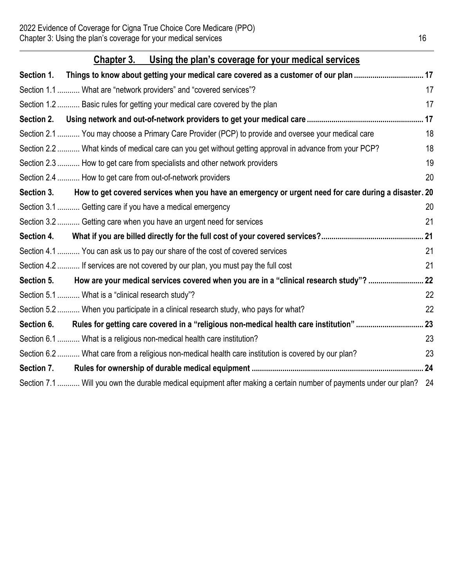|                   | <u>Chapter 3. Using the plan's coverage for your medical services</u>                                                |    |
|-------------------|----------------------------------------------------------------------------------------------------------------------|----|
| Section 1.        | Things to know about getting your medical care covered as a customer of our plan  17                                 |    |
|                   | Section 1.1  What are "network providers" and "covered services"?                                                    | 17 |
|                   | Section 1.2  Basic rules for getting your medical care covered by the plan                                           | 17 |
| Section 2.        |                                                                                                                      |    |
|                   | Section 2.1  You may choose a Primary Care Provider (PCP) to provide and oversee your medical care                   | 18 |
|                   | Section 2.2  What kinds of medical care can you get without getting approval in advance from your PCP?               | 18 |
|                   | Section 2.3  How to get care from specialists and other network providers                                            | 19 |
|                   | Section 2.4  How to get care from out-of-network providers                                                           | 20 |
| <b>Section 3.</b> | How to get covered services when you have an emergency or urgent need for care during a disaster. 20                 |    |
|                   | Section 3.1  Getting care if you have a medical emergency                                                            | 20 |
|                   | Section 3.2  Getting care when you have an urgent need for services                                                  | 21 |
| Section 4.        |                                                                                                                      |    |
|                   | Section 4.1  You can ask us to pay our share of the cost of covered services                                         | 21 |
|                   | Section 4.2  If services are not covered by our plan, you must pay the full cost                                     | 21 |
| <b>Section 5.</b> | How are your medical services covered when you are in a "clinical research study"?  22                               |    |
|                   | Section 5.1  What is a "clinical research study"?                                                                    | 22 |
|                   | Section 5.2  When you participate in a clinical research study, who pays for what?                                   | 22 |
| Section 6.        |                                                                                                                      |    |
|                   | Section 6.1  What is a religious non-medical health care institution?                                                | 23 |
|                   | Section 6.2  What care from a religious non-medical health care institution is covered by our plan?                  | 23 |
| <b>Section 7.</b> |                                                                                                                      |    |
|                   | Section 7.1  Will you own the durable medical equipment after making a certain number of payments under our plan? 24 |    |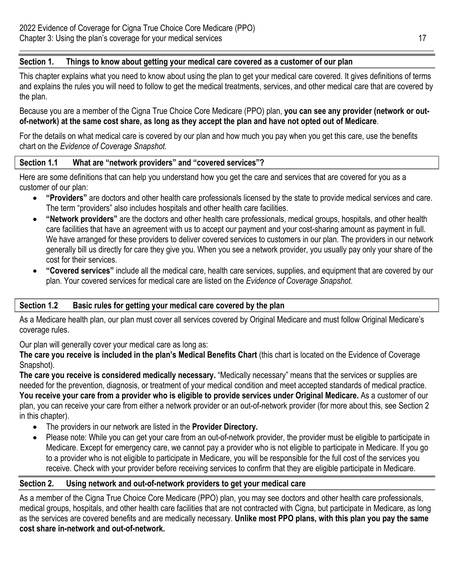# **Section 1. Things to know about getting your medical care covered as a customer of our plan**

This chapter explains what you need to know about using the plan to get your medical care covered. It gives definitions of terms and explains the rules you will need to follow to get the medical treatments, services, and other medical care that are covered by the plan.

Because you are a member of the Cigna True Choice Core Medicare (PPO) plan, **you can see any provider (network or outof-network) at the same cost share, as long as they accept the plan and have not opted out of Medicare**.

For the details on what medical care is covered by our plan and how much you pay when you get this care, use the benefits chart on the *Evidence of Coverage Snapshot.* 

# **Section 1.1 What are "network providers" and "covered services"?**

Here are some definitions that can help you understand how you get the care and services that are covered for you as a customer of our plan:

- **"Providers"** are doctors and other health care professionals licensed by the state to provide medical services and care. The term "providers" also includes hospitals and other health care facilities.
- **"Network providers"** are the doctors and other health care professionals, medical groups, hospitals, and other health care facilities that have an agreement with us to accept our payment and your cost-sharing amount as payment in full. We have arranged for these providers to deliver covered services to customers in our plan. The providers in our network generally bill us directly for care they give you. When you see a network provider, you usually pay only your share of the cost for their services.
- **"Covered services"** include all the medical care, health care services, supplies, and equipment that are covered by our plan. Your covered services for medical care are listed on the *Evidence of Coverage Snapshot*.

# **Section 1.2 Basic rules for getting your medical care covered by the plan**

As a Medicare health plan, our plan must cover all services covered by Original Medicare and must follow Original Medicare's coverage rules.

Our plan will generally cover your medical care as long as:

**The care you receive is included in the plan's Medical Benefits Chart** (this chart is located on the Evidence of Coverage Snapshot).

**The care you receive is considered medically necessary.** "Medically necessary" means that the services or supplies are needed for the prevention, diagnosis, or treatment of your medical condition and meet accepted standards of medical practice. **You receive your care from a provider who is eligible to provide services under Original Medicare.** As a customer of our plan, you can receive your care from either a network provider or an out-of-network provider (for more about this, see Section 2 in this chapter).

- The providers in our network are listed in the **Provider Directory.**
- Please note: While you can get your care from an out-of-network provider, the provider must be eligible to participate in Medicare. Except for emergency care, we cannot pay a provider who is not eligible to participate in Medicare. If you go to a provider who is not eligible to participate in Medicare, you will be responsible for the full cost of the services you receive. Check with your provider before receiving services to confirm that they are eligible participate in Medicare.

# **Section 2. Using network and out-of-network providers to get your medical care**

As a member of the Cigna True Choice Core Medicare (PPO) plan, you may see doctors and other health care professionals, medical groups, hospitals, and other health care facilities that are not contracted with Cigna, but participate in Medicare, as long as the services are covered benefits and are medically necessary. **Unlike most PPO plans, with this plan you pay the same cost share in-network and out-of-network.**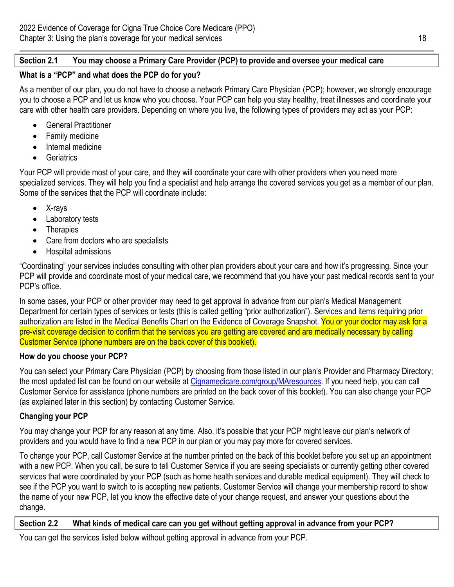# **Section 2.1 You may choose a Primary Care Provider (PCP) to provide and oversee your medical care**

# **What is a "PCP" and what does the PCP do for you?**

As a member of our plan, you do not have to choose a network Primary Care Physician (PCP); however, we strongly encourage you to choose a PCP and let us know who you choose. Your PCP can help you stay healthy, treat illnesses and coordinate your care with other health care providers. Depending on where you live, the following types of providers may act as your PCP:

- General Practitioner
- Family medicine
- Internal medicine
- **•** Geriatrics

Your PCP will provide most of your care, and they will coordinate your care with other providers when you need more specialized services. They will help you find a specialist and help arrange the covered services you get as a member of our plan. Some of the services that the PCP will coordinate include:

- X-rays
- Laboratory tests
- Therapies
- Care from doctors who are specialists
- Hospital admissions

"Coordinating" your services includes consulting with other plan providers about your care and how it's progressing. Since your PCP will provide and coordinate most of your medical care, we recommend that you have your past medical records sent to your PCP's office.

In some cases, your PCP or other provider may need to get approval in advance from our plan's Medical Management Department for certain types of services or tests (this is called getting "prior authorization"). Services and items requiring prior authorization are listed in the Medical Benefits Chart on the Evidence of Coverage Snapshot. You or your doctor may ask for a pre-visit coverage decision to confirm that the services you are getting are covered and are medically necessary by calling Customer Service (phone numbers are on the back cover of this booklet).

# **How do you choose your PCP?**

You can select your Primary Care Physician (PCP) by choosing from those listed in our plan's Provider and Pharmacy Directory; the most updated list can be found on our website at [Cignamedicare.com/group/MAresources](www.CignaMedicare.com/group/MAresources). If you need help, you can call Customer Service for assistance (phone numbers are printed on the back cover of this booklet). You can also change your PCP (as explained later in this section) by contacting Customer Service.

# **Changing your PCP**

You may change your PCP for any reason at any time. Also, it's possible that your PCP might leave our plan's network of providers and you would have to find a new PCP in our plan or you may pay more for covered services.

To change your PCP, call Customer Service at the number printed on the back of this booklet before you set up an appointment with a new PCP. When you call, be sure to tell Customer Service if you are seeing specialists or currently getting other covered services that were coordinated by your PCP (such as home health services and durable medical equipment). They will check to see if the PCP you want to switch to is accepting new patients. Customer Service will change your membership record to show the name of your new PCP, let you know the effective date of your change request, and answer your questions about the change.

# **Section 2.2 What kinds of medical care can you get without getting approval in advance from your PCP?**

You can get the services listed below without getting approval in advance from your PCP.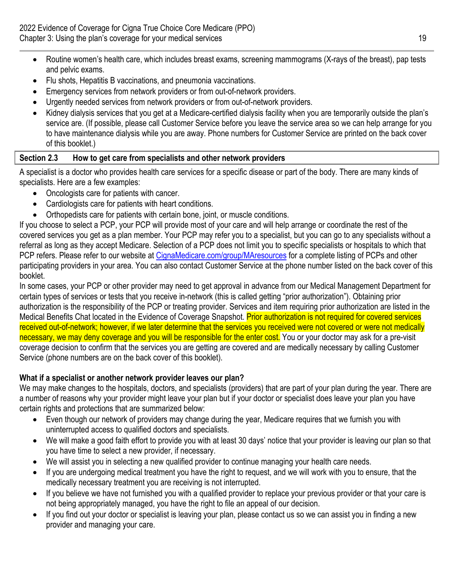- Routine women's health care, which includes breast exams, screening mammograms (X-rays of the breast), pap tests and pelvic exams.
- Flu shots, Hepatitis B vaccinations, and pneumonia vaccinations.
- Emergency services from network providers or from out-of-network providers.
- Urgently needed services from network providers or from out-of-network providers.
- Kidney dialysis services that you get at a Medicare-certified dialysis facility when you are temporarily outside the plan's service are. (If possible, please call Customer Service before you leave the service area so we can help arrange for you to have maintenance dialysis while you are away. Phone numbers for Customer Service are printed on the back cover of this booklet.)

# **Section 2.3 How to get care from specialists and other network providers**

A specialist is a doctor who provides health care services for a specific disease or part of the body. There are many kinds of specialists. Here are a few examples:

- Oncologists care for patients with cancer.
- Cardiologists care for patients with heart conditions.
- Orthopedists care for patients with certain bone, joint, or muscle conditions.

If you choose to select a PCP, your PCP will provide most of your care and will help arrange or coordinate the rest of the covered services you get as a plan member. Your PCP may refer you to a specialist, but you can go to any specialists without a referral as long as they accept Medicare. Selection of a PCP does not limit you to specific specialists or hospitals to which that PCP refers. Please refer to our website at [CignaMedicare.com/group/MAresources](https://CignaMedicare.com/group/MAresources) for a complete listing of PCPs and other participating providers in your area. You can also contact Customer Service at the phone number listed on the back cover of this booklet.

In some cases, your PCP or other provider may need to get approval in advance from our Medical Management Department for certain types of services or tests that you receive in-network (this is called getting "prior authorization"). Obtaining prior authorization is the responsibility of the PCP or treating provider. Services and item requiring prior authorization are listed in the Medical Benefits Chat located in the Evidence of Coverage Snapshot. Prior authorization is not required for covered services received out-of-network; however, if we later determine that the services you received were not covered or were not medically necessary, we may deny coverage and you will be responsible for the enter cost. You or your doctor may ask for a pre-visit coverage decision to confirm that the services you are getting are covered and are medically necessary by calling Customer Service (phone numbers are on the back cover of this booklet).

# **What if a specialist or another network provider leaves our plan?**

We may make changes to the hospitals, doctors, and specialists (providers) that are part of your plan during the year. There are a number of reasons why your provider might leave your plan but if your doctor or specialist does leave your plan you have certain rights and protections that are summarized below:

- Even though our network of providers may change during the year, Medicare requires that we furnish you with uninterrupted access to qualified doctors and specialists.
- We will make a good faith effort to provide you with at least 30 days' notice that your provider is leaving our plan so that you have time to select a new provider, if necessary.
- We will assist you in selecting a new qualified provider to continue managing your health care needs.
- If you are undergoing medical treatment you have the right to request, and we will work with you to ensure, that the medically necessary treatment you are receiving is not interrupted.
- If you believe we have not furnished you with a qualified provider to replace your previous provider or that your care is not being appropriately managed, you have the right to file an appeal of our decision.
- If you find out your doctor or specialist is leaving your plan, please contact us so we can assist you in finding a new provider and managing your care.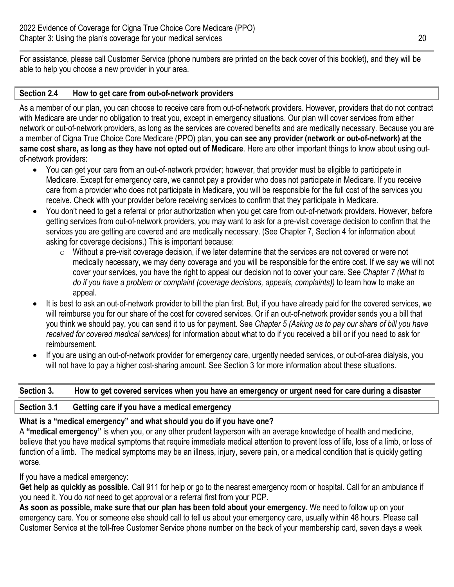For assistance, please call Customer Service (phone numbers are printed on the back cover of this booklet), and they will be able to help you choose a new provider in your area.

# **Section 2.4 How to get care from out-of-network providers**

As a member of our plan, you can choose to receive care from out-of-network providers. However, providers that do not contract with Medicare are under no obligation to treat you, except in emergency situations. Our plan will cover services from either network or out-of-network providers, as long as the services are covered benefits and are medically necessary. Because you are a member of Cigna True Choice Core Medicare (PPO) plan, **you can see any provider (network or out-of-network) at the same cost share, as long as they have not opted out of Medicare**. Here are other important things to know about using outof-network providers:

- You can get your care from an out-of-network provider; however, that provider must be eligible to participate in Medicare. Except for emergency care, we cannot pay a provider who does not participate in Medicare. If you receive care from a provider who does not participate in Medicare, you will be responsible for the full cost of the services you receive. Check with your provider before receiving services to confirm that they participate in Medicare.
- You don't need to get a referral or prior authorization when you get care from out-of-network providers. However, before getting services from out-of-network providers, you may want to ask for a pre-visit coverage decision to confirm that the services you are getting are covered and are medically necessary. (See Chapter 7, Section 4 for information about asking for coverage decisions.) This is important because:
	- $\circ$  Without a pre-visit coverage decision, if we later determine that the services are not covered or were not medically necessary, we may deny coverage and you will be responsible for the entire cost. If we say we will not cover your services, you have the right to appeal our decision not to cover your care. See *Chapter 7 (What to do if you have a problem or complaint (coverage decisions, appeals, complaints))* to learn how to make an appeal.
- It is best to ask an out-of-network provider to bill the plan first. But, if you have already paid for the covered services, we will reimburse you for our share of the cost for covered services. Or if an out-of-network provider sends you a bill that you think we should pay, you can send it to us for payment. See *Chapter 5 (Asking us to pay our share of bill you have received for covered medical services)* for information about what to do if you received a bill or if you need to ask for reimbursement.
- If you are using an out-of-network provider for emergency care, urgently needed services, or out-of-area dialysis, you will not have to pay a higher cost-sharing amount. See Section 3 for more information about these situations.

# **Section 3. How to get covered services when you have an emergency or urgent need for care during a disaster**

# **Section 3.1 Getting care if you have a medical emergency**

# **What is a "medical emergency" and what should you do if you have one?**

A **"medical emergency"** is when you, or any other prudent layperson with an average knowledge of health and medicine, believe that you have medical symptoms that require immediate medical attention to prevent loss of life, loss of a limb, or loss of function of a limb. The medical symptoms may be an illness, injury, severe pain, or a medical condition that is quickly getting worse.

# If you have a medical emergency:

**Get help as quickly as possible.** Call 911 for help or go to the nearest emergency room or hospital. Call for an ambulance if you need it. You do *not* need to get approval or a referral first from your PCP.

**As soon as possible, make sure that our plan has been told about your emergency.** We need to follow up on your emergency care. You or someone else should call to tell us about your emergency care, usually within 48 hours. Please call Customer Service at the toll-free Customer Service phone number on the back of your membership card, seven days a week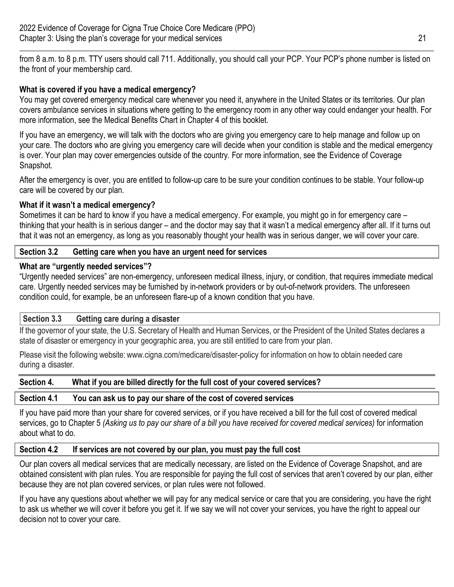from 8 a.m. to 8 p.m. TTY users should call 711. Additionally, you should call your PCP. Your PCP's phone number is listed on the front of your membership card.

# **What is covered if you have a medical emergency?**

You may get covered emergency medical care whenever you need it, anywhere in the United States or its territories. Our plan covers ambulance services in situations where getting to the emergency room in any other way could endanger your health. For more information, see the Medical Benefits Chart in Chapter 4 of this booklet.

If you have an emergency, we will talk with the doctors who are giving you emergency care to help manage and follow up on your care. The doctors who are giving you emergency care will decide when your condition is stable and the medical emergency is over. Your plan may cover emergencies outside of the country. For more information, see the Evidence of Coverage Snapshot.

After the emergency is over, you are entitled to follow-up care to be sure your condition continues to be stable. Your follow-up care will be covered by our plan.

# **What if it wasn't a medical emergency?**

Sometimes it can be hard to know if you have a medical emergency. For example, you might go in for emergency care – thinking that your health is in serious danger – and the doctor may say that it wasn't a medical emergency after all. If it turns out that it was not an emergency, as long as you reasonably thought your health was in serious danger, we will cover your care.

# **Section 3.2 Getting care when you have an urgent need for services**

# **What are "urgently needed services"?**

"Urgently needed services" are non-emergency, unforeseen medical illness, injury, or condition, that requires immediate medical care. Urgently needed services may be furnished by in-network providers or by out-of-network providers. The unforeseen condition could, for example, be an unforeseen flare-up of a known condition that you have.

# **Section 3.3 Getting care during a disaster**

If the governor of your state, the U.S. Secretary of Health and Human Services, or the President of the United States declares a state of disaster or emergency in your geographic area, you are still entitled to care from your plan.

Please visit the following website:<www.cigna.com/medicare/disaster-policy>for information on how to obtain needed care during a disaster.

# **Section 4. What if you are billed directly for the full cost of your covered services?**

# **Section 4.1 You can ask us to pay our share of the cost of covered services**

If you have paid more than your share for covered services, or if you have received a bill for the full cost of covered medical services, go to Chapter 5 *(Asking us to pay our share of a bill you have received for covered medical services)* for information about what to do.

# **Section 4.2 If services are not covered by our plan, you must pay the full cost**

Our plan covers all medical services that are medically necessary, are listed on the Evidence of Coverage Snapshot, and are obtained consistent with plan rules. You are responsible for paying the full cost of services that aren't covered by our plan, either because they are not plan covered services, or plan rules were not followed.

If you have any questions about whether we will pay for any medical service or care that you are considering, you have the right to ask us whether we will cover it before you get it. If we say we will not cover your services, you have the right to appeal our decision not to cover your care.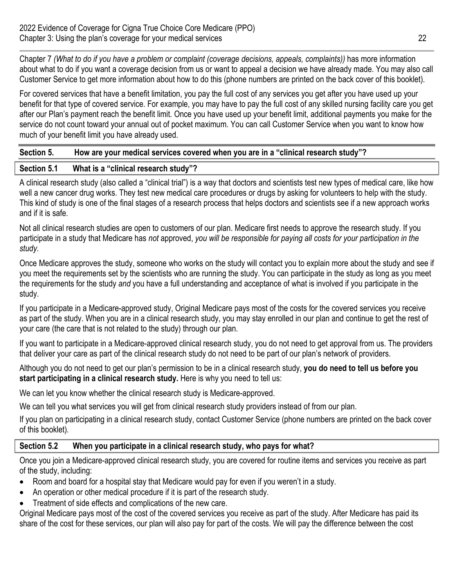Chapter 7 *(What to do if you have a problem or complaint (coverage decisions, appeals, complaints))* has more information about what to do if you want a coverage decision from us or want to appeal a decision we have already made. You may also call Customer Service to get more information about how to do this (phone numbers are printed on the back cover of this booklet).

 benefit for that type of covered service. For example, you may have to pay the full cost of any skilled nursing facility care you get For covered services that have a benefit limitation, you pay the full cost of any services you get after you have used up your after our Plan's payment reach the benefit limit. Once you have used up your benefit limit, additional payments you make for the service do not count toward your annual out of pocket maximum. You can call Customer Service when you want to know how much of your benefit limit you have already used.

# **Section 5. How are your medical services covered when you are in a "clinical research study"?**

# **Section 5.1 What is a "clinical research study"?**

A clinical research study (also called a "clinical trial") is a way that doctors and scientists test new types of medical care, like how well a new cancer drug works. They test new medical care procedures or drugs by asking for volunteers to help with the study. This kind of study is one of the final stages of a research process that helps doctors and scientists see if a new approach works and if it is safe.

Not all clinical research studies are open to customers of our plan. Medicare first needs to approve the research study. If you participate in a study that Medicare has *not* approved, *you will be responsible for paying all costs for your participation in the study.* 

Once Medicare approves the study, someone who works on the study will contact you to explain more about the study and see if you meet the requirements set by the scientists who are running the study. You can participate in the study as long as you meet the requirements for the study *and* you have a full understanding and acceptance of what is involved if you participate in the study.

If you participate in a Medicare-approved study, Original Medicare pays most of the costs for the covered services you receive as part of the study. When you are in a clinical research study, you may stay enrolled in our plan and continue to get the rest of your care (the care that is not related to the study) through our plan.

If you want to participate in a Medicare-approved clinical research study, you do not need to get approval from us. The providers that deliver your care as part of the clinical research study do not need to be part of our plan's network of providers.

Although you do not need to get our plan's permission to be in a clinical research study, **you do need to tell us before you start participating in a clinical research study.** Here is why you need to tell us:

We can let you know whether the clinical research study is Medicare-approved.

We can tell you what services you will get from clinical research study providers instead of from our plan.

If you plan on participating in a clinical research study, contact Customer Service (phone numbers are printed on the back cover of this booklet)*.* 

# **Section 5.2 When you participate in a clinical research study, who pays for what?**

Once you join a Medicare-approved clinical research study, you are covered for routine items and services you receive as part of the study, including:

- Room and board for a hospital stay that Medicare would pay for even if you weren't in a study.
- An operation or other medical procedure if it is part of the research study.
- Treatment of side effects and complications of the new care.

Original Medicare pays most of the cost of the covered services you receive as part of the study. After Medicare has paid its share of the cost for these services, our plan will also pay for part of the costs. We will pay the difference between the cost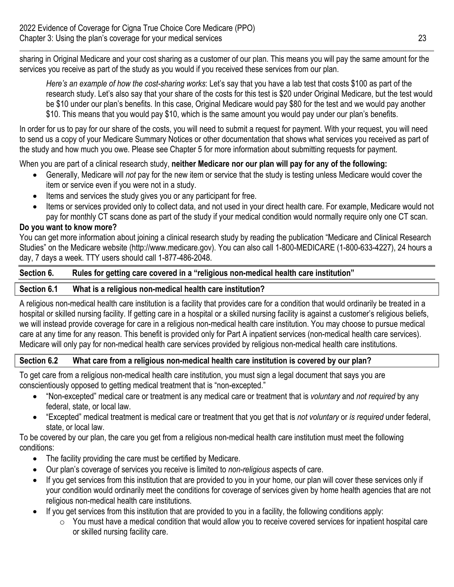sharing in Original Medicare and your cost sharing as a customer of our plan. This means you will pay the same amount for the services you receive as part of the study as you would if you received these services from our plan.

*Here's an example of how the cost-sharing works*: Let's say that you have a lab test that costs \$100 as part of the research study. Let's also say that your share of the costs for this test is \$20 under Original Medicare, but the test would be \$10 under our plan's benefits. In this case, Original Medicare would pay \$80 for the test and we would pay another \$10. This means that you would pay \$10, which is the same amount you would pay under our plan's benefits.

In order for us to pay for our share of the costs, you will need to submit a request for payment. With your request, you will need to send us a copy of your Medicare Summary Notices or other documentation that shows what services you received as part of the study and how much you owe. Please see Chapter 5 for more information about submitting requests for payment.

When you are part of a clinical research study, **neither Medicare nor our plan will pay for any of the following:** 

- Generally, Medicare will *not* pay for the new item or service that the study is testing unless Medicare would cover the item or service even if you were not in a study.
- Items and services the study gives you or any participant for free.
- Items or services provided only to collect data, and not used in your direct health care. For example, Medicare would not pay for monthly CT scans done as part of the study if your medical condition would normally require only one CT scan.

# **Do you want to know more?**

You can get more information about joining a clinical research study by reading the publication "Medicare and Clinical Research Studies" on the Medicare website (<http://www.medicare.gov>). You can also call 1-800-MEDICARE (1-800-633-4227), 24 hours a day, 7 days a week. TTY users should call 1-877-486-2048.

# **Section 6. Rules for getting care covered in a "religious non-medical health care institution"**

# **Section 6.1 What is a religious non-medical health care institution?**

A religious non-medical health care institution is a facility that provides care for a condition that would ordinarily be treated in a hospital or skilled nursing facility. If getting care in a hospital or a skilled nursing facility is against a customer's religious beliefs, we will instead provide coverage for care in a religious non-medical health care institution. You may choose to pursue medical care at any time for any reason. This benefit is provided only for Part A inpatient services (non-medical health care services). Medicare will only pay for non-medical health care services provided by religious non-medical health care institutions.

# **Section 6.2 What care from a religious non-medical health care institution is covered by our plan?**

To get care from a religious non-medical health care institution, you must sign a legal document that says you are conscientiously opposed to getting medical treatment that is "non-excepted."

- "Non-excepted" medical care or treatment is any medical care or treatment that is *voluntary* and *not required* by any federal, state, or local law.
- "Excepted" medical treatment is medical care or treatment that you get that is *not voluntary* or *is required* under federal, state, or local law.

To be covered by our plan, the care you get from a religious non-medical health care institution must meet the following conditions:

- The facility providing the care must be certified by Medicare.
- Our plan's coverage of services you receive is limited to *non-religious* aspects of care.
- If you get services from this institution that are provided to you in your home, our plan will cover these services only if your condition would ordinarily meet the conditions for coverage of services given by home health agencies that are not religious non-medical health care institutions.
- If you get services from this institution that are provided to you in a facility, the following conditions apply:
	- o You must have a medical condition that would allow you to receive covered services for inpatient hospital care or skilled nursing facility care.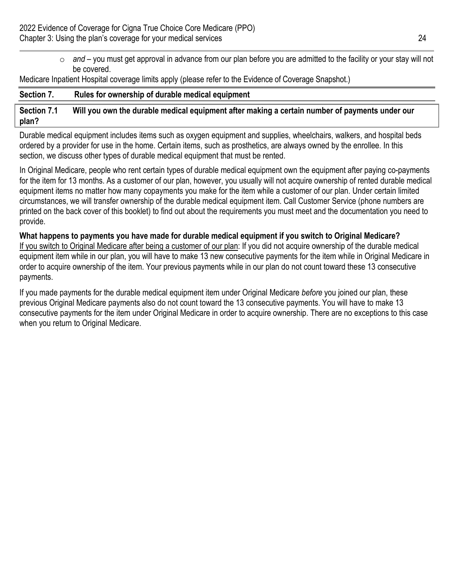o *and –* you must get approval in advance from our plan before you are admitted to the facility or your stay will not be covered.

Medicare Inpatient Hospital coverage limits apply (please refer to the Evidence of Coverage Snapshot.)

# **Section 7. Rules for ownership of durable medical equipment**

**Section 7.1 Will you own the durable medical equipment after making a certain number of payments under our plan?** 

Durable medical equipment includes items such as oxygen equipment and supplies, wheelchairs, walkers, and hospital beds ordered by a provider for use in the home. Certain items, such as prosthetics, are always owned by the enrollee. In this section, we discuss other types of durable medical equipment that must be rented.

In Original Medicare, people who rent certain types of durable medical equipment own the equipment after paying co-payments for the item for 13 months. As a customer of our plan, however, you usually will not acquire ownership of rented durable medical equipment items no matter how many copayments you make for the item while a customer of our plan. Under certain limited circumstances, we will transfer ownership of the durable medical equipment item. Call Customer Service (phone numbers are printed on the back cover of this booklet) to find out about the requirements you must meet and the documentation you need to provide.

**What happens to payments you have made for durable medical equipment if you switch to Original Medicare?**  If you switch to Original Medicare after being a customer of our plan: If you did not acquire ownership of the durable medical equipment item while in our plan, you will have to make 13 new consecutive payments for the item while in Original Medicare in order to acquire ownership of the item. Your previous payments while in our plan do not count toward these 13 consecutive payments.

If you made payments for the durable medical equipment item under Original Medicare *before* you joined our plan, these previous Original Medicare payments also do not count toward the 13 consecutive payments. You will have to make 13 consecutive payments for the item under Original Medicare in order to acquire ownership. There are no exceptions to this case when you return to Original Medicare.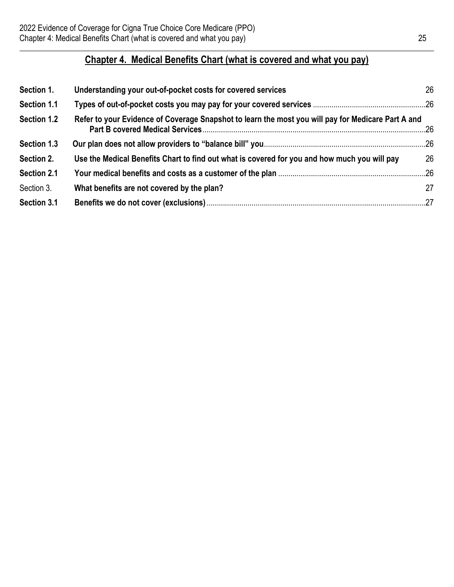# **Chapter 4. Medical Benefits Chart (what is covered and what you pay)**

| Section 1.  | Understanding your out-of-pocket costs for covered services                                        | 26 |
|-------------|----------------------------------------------------------------------------------------------------|----|
| Section 1.1 |                                                                                                    |    |
| Section 1.2 | Refer to your Evidence of Coverage Snapshot to learn the most you will pay for Medicare Part A and |    |
| Section 1.3 |                                                                                                    |    |
| Section 2.  | Use the Medical Benefits Chart to find out what is covered for you and how much you will pay       | 26 |
| Section 2.1 |                                                                                                    |    |
| Section 3.  | What benefits are not covered by the plan?                                                         | 27 |
| Section 3.1 |                                                                                                    |    |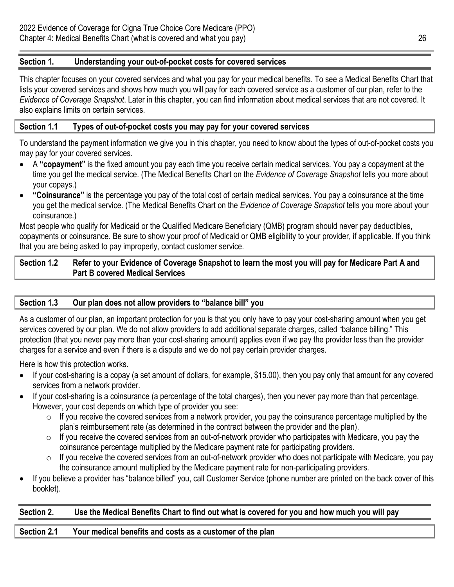# **Section 1. Understanding your out-of-pocket costs for covered services**

This chapter focuses on your covered services and what you pay for your medical benefits. To see a Medical Benefits Chart that lists your covered services and shows how much you will pay for each covered service as a customer of our plan, refer to the *Evidence of Coverage Snapshot*. Later in this chapter, you can find information about medical services that are not covered. It also explains limits on certain services.

# **Section 1.1 Types of out-of-pocket costs you may pay for your covered services**

To understand the payment information we give you in this chapter, you need to know about the types of out-of-pocket costs you may pay for your covered services.

- A **"copayment"** is the fixed amount you pay each time you receive certain medical services. You pay a copayment at the time you get the medical service. (The Medical Benefits Chart on the *Evidence of Coverage Snapshot* tells you more about your copays.)
- **"Coinsurance"** is the percentage you pay of the total cost of certain medical services. You pay a coinsurance at the time you get the medical service. (The Medical Benefits Chart on the *Evidence of Coverage Snapshot* tells you more about your coinsurance.)

Most people who qualify for Medicaid or the Qualified Medicare Beneficiary (QMB) program should never pay deductibles, copayments or coinsurance. Be sure to show your proof of Medicaid or QMB eligibility to your provider, if applicable. If you think that you are being asked to pay improperly, contact customer service.

# **Section 1.2 Refer to your Evidence of Coverage Snapshot to learn the most you will pay for Medicare Part A and Part B covered Medical Services**

# **Section 1.3 Our plan does not allow providers to "balance bill" you**

As a customer of our plan, an important protection for you is that you only have to pay your cost-sharing amount when you get services covered by our plan. We do not allow providers to add additional separate charges, called "balance billing." This protection (that you never pay more than your cost-sharing amount) applies even if we pay the provider less than the provider charges for a service and even if there is a dispute and we do not pay certain provider charges.

Here is how this protection works.

- If your cost-sharing is a copay (a set amount of dollars, for example, \$15.00), then you pay only that amount for any covered services from a network provider.
- If your cost-sharing is a coinsurance (a percentage of the total charges), then you never pay more than that percentage. However, your cost depends on which type of provider you see:
	- o If you receive the covered services from a network provider, you pay the coinsurance percentage multiplied by the plan's reimbursement rate (as determined in the contract between the provider and the plan).
	- $\circ$  If you receive the covered services from an out-of-network provider who participates with Medicare, you pay the coinsurance percentage multiplied by the Medicare payment rate for participating providers.
	- $\circ$  If you receive the covered services from an out-of-network provider who does not participate with Medicare, you pay the coinsurance amount multiplied by the Medicare payment rate for non-participating providers.
- If you believe a provider has "balance billed" you, call Customer Service (phone number are printed on the back cover of this booklet).

| Section 2.  | Use the Medical Benefits Chart to find out what is covered for you and how much you will pay |  |
|-------------|----------------------------------------------------------------------------------------------|--|
|             |                                                                                              |  |
| Section 2.1 | Your medical benefits and costs as a customer of the plan                                    |  |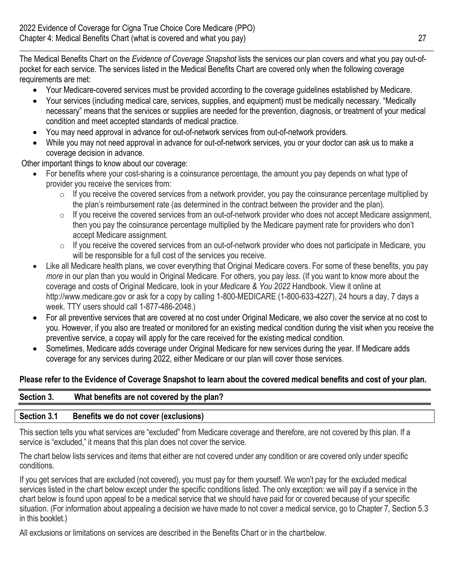The Medical Benefits Chart on the *Evidence of Coverage Snapshot* lists the services our plan covers and what you pay out-ofpocket for each service. The services listed in the Medical Benefits Chart are covered only when the following coverage requirements are met:

- Your Medicare-covered services must be provided according to the coverage guidelines established by Medicare.
- Your services (including medical care, services, supplies, and equipment) must be medically necessary. "Medically necessary" means that the services or supplies are needed for the prevention, diagnosis, or treatment of your medical condition and meet accepted standards of medical practice.
- You may need approval in advance for out-of-network services from out-of-network providers.
- While you may not need approval in advance for out-of-network services, you or your doctor can ask us to make a coverage decision in advance.

Other important things to know about our coverage:

- For benefits where your cost-sharing is a coinsurance percentage, the amount you pay depends on what type of provider you receive the services from:
	- $\circ$  If you receive the covered services from a network provider, you pay the coinsurance percentage multiplied by the plan's reimbursement rate (as determined in the contract between the provider and the plan).
	- $\circ$  If you receive the covered services from an out-of-network provider who does not accept Medicare assignment, then you pay the coinsurance percentage multiplied by the Medicare payment rate for providers who don't accept Medicare assignment.
	- $\circ$  If you receive the covered services from an out-of-network provider who does not participate in Medicare, you will be responsible for a full cost of the services you receive.
- Like all Medicare health plans, we cover everything that Original Medicare covers. For some of these benefits, you pay *more* in our plan than you would in Original Medicare. For others, you pay *less*. (If you want to know more about the coverage and costs of Original Medicare, look in your *Medicare & You 2022* Handbook. View it online at <http://www.medicare.gov> or ask for a copy by calling 1-800-MEDICARE (1-800-633-4227), 24 hours a day, 7 days a week. TTY users should call 1-877-486-2048.)
- For all preventive services that are covered at no cost under Original Medicare, we also cover the service at no cost to you. However, if you also are treated or monitored for an existing medical condition during the visit when you receive the preventive service, a copay will apply for the care received for the existing medical condition.
- Sometimes, Medicare adds coverage under Original Medicare for new services during the year. If Medicare adds coverage for any services during 2022, either Medicare or our plan will cover those services.

# **Please refer to the Evidence of Coverage Snapshot to learn about the covered medical benefits and cost of your plan.**

# **Section 3. What benefits are not covered by the plan?**

# **Section 3.1 Benefits we do not cover (exclusions)**

This section tells you what services are "excluded" from Medicare coverage and therefore, are not covered by this plan. If a service is "excluded," it means that this plan does not cover the service.

The chart below lists services and items that either are not covered under any condition or are covered only under specific conditions.

If you get services that are excluded (not covered), you must pay for them yourself. We won't pay for the excluded medical services listed in the chart below except under the specific conditions listed. The only exception: we will pay if a service in the chart below is found upon appeal to be a medical service that we should have paid for or covered because of your specific situation. (For information about appealing a decision we have made to not cover a medical service, go to Chapter 7, Section 5.3 in this booklet.)

All exclusions or limitations on services are described in the Benefits Chart or in the chart below.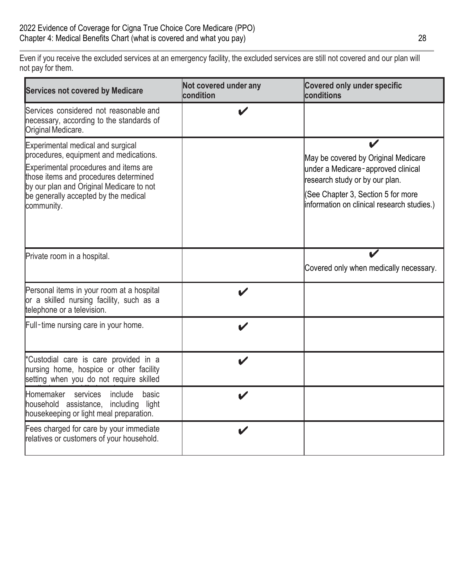Even if you receive the excluded services at an emergency facility, the excluded services are still not covered and our plan will not pay for them.

| <b>Services not covered by Medicare</b>                                                                                                                                                                                                                         | Not covered under any<br>condition | <b>Covered only under specific</b><br>conditions                                                                                                                                                |
|-----------------------------------------------------------------------------------------------------------------------------------------------------------------------------------------------------------------------------------------------------------------|------------------------------------|-------------------------------------------------------------------------------------------------------------------------------------------------------------------------------------------------|
| Services considered not reasonable and<br>necessary, according to the standards of<br>Original Medicare.                                                                                                                                                        | V                                  |                                                                                                                                                                                                 |
| Experimental medical and surgical<br>procedures, equipment and medications.<br>Experimental procedures and items are<br>those items and procedures determined<br>by our plan and Original Medicare to not<br>be generally accepted by the medical<br>community. |                                    | May be covered by Original Medicare<br>under a Medicare-approved clinical<br>research study or by our plan.<br>(See Chapter 3, Section 5 for more<br>information on clinical research studies.) |
| Private room in a hospital.                                                                                                                                                                                                                                     |                                    | Covered only when medically necessary.                                                                                                                                                          |
| Personal items in your room at a hospital<br>or a skilled nursing facility, such as a<br>telephone or a television.                                                                                                                                             | $\blacktriangleright$              |                                                                                                                                                                                                 |
| Full-time nursing care in your home.                                                                                                                                                                                                                            |                                    |                                                                                                                                                                                                 |
| *Custodial care is care provided in a<br>nursing home, hospice or other facility<br>setting when you do not require skilled                                                                                                                                     | V                                  |                                                                                                                                                                                                 |
| Homemaker<br>services<br>include<br>basic<br>household assistance, including light<br>housekeeping or light meal preparation.                                                                                                                                   |                                    |                                                                                                                                                                                                 |
| Fees charged for care by your immediate<br>relatives or customers of your household.                                                                                                                                                                            |                                    |                                                                                                                                                                                                 |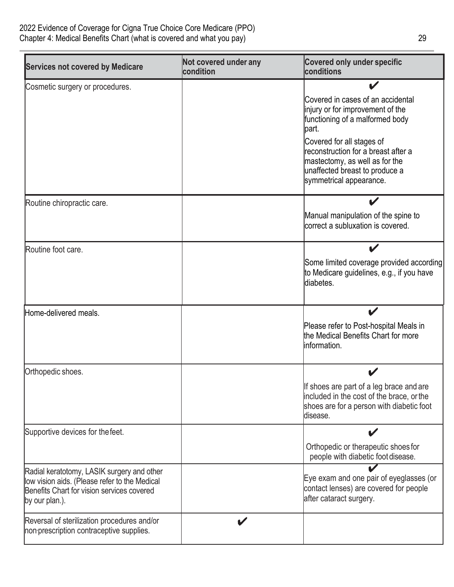| Not covered under any<br>condition | <b>Covered only under specific</b><br>conditions                                                                                                                 |
|------------------------------------|------------------------------------------------------------------------------------------------------------------------------------------------------------------|
|                                    | $\blacktriangleright$                                                                                                                                            |
|                                    | Covered in cases of an accidental<br>injury or for improvement of the<br>functioning of a malformed body<br>lpart.                                               |
|                                    | Covered for all stages of<br>lreconstruction for a breast after a<br>mastectomy, as well as for the<br>unaffected breast to produce a<br>symmetrical appearance. |
|                                    |                                                                                                                                                                  |
|                                    | Manual manipulation of the spine to<br>lcorrect a subluxation is covered.                                                                                        |
|                                    | Some limited coverage provided according<br>to Medicare guidelines, e.g., if you have<br>ldiabetes.                                                              |
|                                    |                                                                                                                                                                  |
|                                    | Please refer to Post-hospital Meals in<br>the Medical Benefits Chart for more<br>information.                                                                    |
|                                    |                                                                                                                                                                  |
|                                    | If shoes are part of a leg brace and are<br>included in the cost of the brace, or the<br>shoes are for a person with diabetic foot<br>disease.                   |
|                                    |                                                                                                                                                                  |
|                                    | Orthopedic or therapeutic shoes for<br>people with diabetic foot disease.                                                                                        |
|                                    | Eye exam and one pair of eyeglasses (or<br>contact lenses) are covered for people<br>after cataract surgery.                                                     |
|                                    |                                                                                                                                                                  |
|                                    |                                                                                                                                                                  |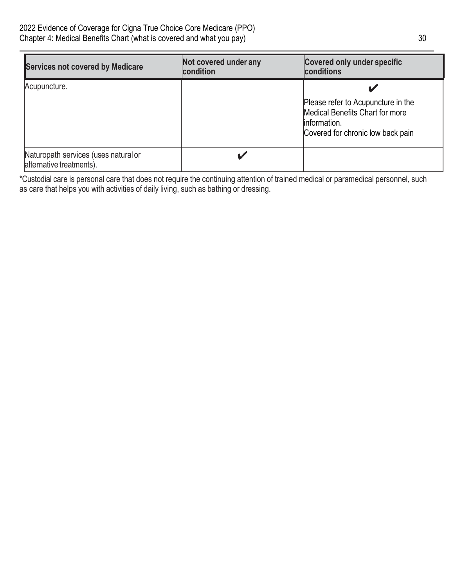| <b>Services not covered by Medicare</b>                          | Not covered under any<br>condition | Covered only under specific<br>conditions                                                                                   |
|------------------------------------------------------------------|------------------------------------|-----------------------------------------------------------------------------------------------------------------------------|
| Acupuncture.                                                     |                                    |                                                                                                                             |
|                                                                  |                                    | Please refer to Acupuncture in the<br>Medical Benefits Chart for more<br>linformation.<br>Covered for chronic low back pain |
| Naturopath services (uses natural or<br>alternative treatments). |                                    |                                                                                                                             |

\*Custodial care is personal care that does not require the continuing attention of trained medical or paramedical personnel, such as care that helps you with activities of daily living, such as bathing or dressing.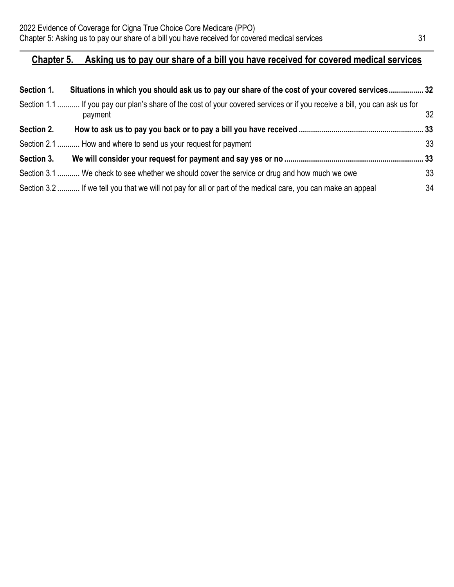# **Chapter 5. Asking us to pay our share of a bill you have received for covered medical services**

| Section 1. | Situations in which you should ask us to pay our share of the cost of your covered services 32                                        |                 |
|------------|---------------------------------------------------------------------------------------------------------------------------------------|-----------------|
|            | Section 1.1  If you pay our plan's share of the cost of your covered services or if you receive a bill, you can ask us for<br>payment | 32 <sup>2</sup> |
| Section 2. |                                                                                                                                       |                 |
|            | Section 2.1  How and where to send us your request for payment                                                                        | 33              |
| Section 3. |                                                                                                                                       |                 |
|            | Section 3.1  We check to see whether we should cover the service or drug and how much we owe                                          | 33              |
|            | Section 3.2  If we tell you that we will not pay for all or part of the medical care, you can make an appeal                          | 34              |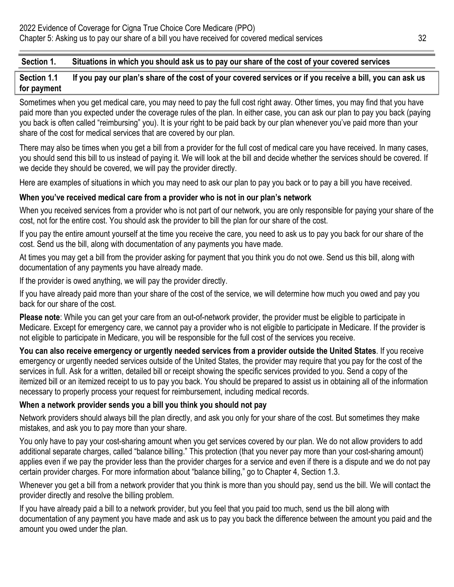# **Section 1. Situations in which you should ask us to pay our share of the cost of your covered services**

# Section 1.1 If you pay our plan's share of the cost of your covered services or if you receive a bill, you can ask us **for payment**

Sometimes when you get medical care, you may need to pay the full cost right away. Other times, you may find that you have paid more than you expected under the coverage rules of the plan. In either case, you can ask our plan to pay you back (paying you back is often called "reimbursing" you). It is your right to be paid back by our plan whenever you've paid more than your share of the cost for medical services that are covered by our plan.

There may also be times when you get a bill from a provider for the full cost of medical care you have received. In many cases, you should send this bill to us instead of paying it. We will look at the bill and decide whether the services should be covered. If we decide they should be covered, we will pay the provider directly.

Here are examples of situations in which you may need to ask our plan to pay you back or to pay a bill you have received.

# **When you've received medical care from a provider who is not in our plan's network**

When you received services from a provider who is not part of our network, you are only responsible for paying your share of the cost, not for the entire cost. You should ask the provider to bill the plan for our share of the cost.

If you pay the entire amount yourself at the time you receive the care, you need to ask us to pay you back for our share of the cost. Send us the bill, along with documentation of any payments you have made.

At times you may get a bill from the provider asking for payment that you think you do not owe. Send us this bill, along with documentation of any payments you have already made.

If the provider is owed anything, we will pay the provider directly.

If you have already paid more than your share of the cost of the service, we will determine how much you owed and pay you back for our share of the cost.

**Please note**: While you can get your care from an out-of-network provider, the provider must be eligible to participate in Medicare. Except for emergency care, we cannot pay a provider who is not eligible to participate in Medicare. If the provider is not eligible to participate in Medicare, you will be responsible for the full cost of the services you receive.

**You can also receive emergency or urgently needed services from a provider outside the United States**. If you receive emergency or urgently needed services outside of the United States, the provider may require that you pay for the cost of the services in full. Ask for a written, detailed bill or receipt showing the specific services provided to you. Send a copy of the itemized bill or an itemized receipt to us to pay you back. You should be prepared to assist us in obtaining all of the information necessary to properly process your request for reimbursement, including medical records.

# **When a network provider sends you a bill you think you should not pay**

Network providers should always bill the plan directly, and ask you only for your share of the cost. But sometimes they make mistakes, and ask you to pay more than your share.

You only have to pay your cost-sharing amount when you get services covered by our plan. We do not allow providers to add additional separate charges, called "balance billing." This protection (that you never pay more than your cost-sharing amount) applies even if we pay the provider less than the provider charges for a service and even if there is a dispute and we do not pay certain provider charges. For more information about "balance billing," go to Chapter 4, Section 1.3.

Whenever you get a bill from a network provider that you think is more than you should pay, send us the bill. We will contact the provider directly and resolve the billing problem.

If you have already paid a bill to a network provider, but you feel that you paid too much, send us the bill along with documentation of any payment you have made and ask us to pay you back the difference between the amount you paid and the amount you owed under the plan.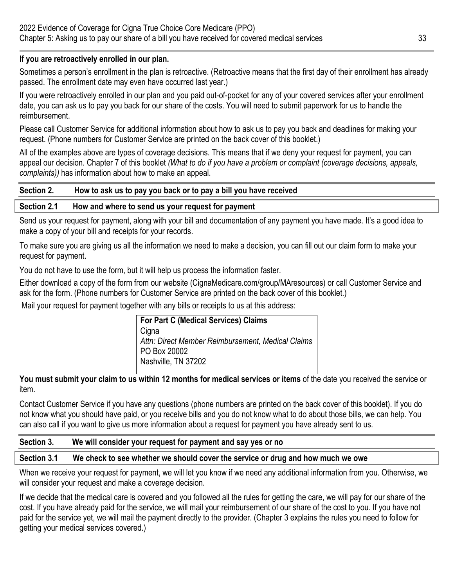# **If you are retroactively enrolled in our plan.**

Sometimes a person's enrollment in the plan is retroactive. (Retroactive means that the first day of their enrollment has already passed. The enrollment date may even have occurred last year.)

If you were retroactively enrolled in our plan and you paid out-of-pocket for any of your covered services after your enrollment date, you can ask us to pay you back for our share of the costs. You will need to submit paperwork for us to handle the reimbursement.

Please call Customer Service for additional information about how to ask us to pay you back and deadlines for making your request. (Phone numbers for Customer Service are printed on the back cover of this booklet.)

All of the examples above are types of coverage decisions. This means that if we deny your request for payment, you can appeal our decision. Chapter 7 of this booklet *(What to do if you have a problem or complaint (coverage decisions, appeals, complaints))* has information about how to make an appeal.

| Section 2. | How to ask us to pay you back or to pay a bill you have received |
|------------|------------------------------------------------------------------|
|            | Section 2.1 How and where to send us your request for payment    |

Send us your request for payment, along with your bill and documentation of any payment you have made. It's a good idea to make a copy of your bill and receipts for your records.

To make sure you are giving us all the information we need to make a decision, you can fill out our claim form to make your request for payment.

You do not have to use the form, but it will help us process the information faster.

Either download a copy of the form from our website ([CignaMedicare.com/group/MAresources\)](https://CignaMedicare.com/group/MAresources) or call Customer Service and ask for the form. (Phone numbers for Customer Service are printed on the back cover of this booklet.)

Mail your request for payment together with any bills or receipts to us at this address:

| <b>For Part C (Medical Services) Claims</b>       |
|---------------------------------------------------|
| Cigna                                             |
| Attn: Direct Member Reimbursement, Medical Claims |
| PO Box 20002                                      |
| Nashville, TN 37202                               |
|                                                   |

# **You must submit your claim to us within 12 months for medical services or items** of the date you received the service or item.

Contact Customer Service if you have any questions (phone numbers are printed on the back cover of this booklet). If you do not know what you should have paid, or you receive bills and you do not know what to do about those bills, we can help. You can also call if you want to give us more information about a request for payment you have already sent to us.

# **Section 3. We will consider your request for payment and say yes or no**

# **Section 3.1 We check to see whether we should cover the service or drug and how much we owe**

When we receive your request for payment, we will let you know if we need any additional information from you. Otherwise, we will consider your request and make a coverage decision.

If we decide that the medical care is covered and you followed all the rules for getting the care, we will pay for our share of the cost. If you have already paid for the service, we will mail your reimbursement of our share of the cost to you. If you have not paid for the service yet, we will mail the payment directly to the provider. (Chapter 3 explains the rules you need to follow for getting your medical services covered.)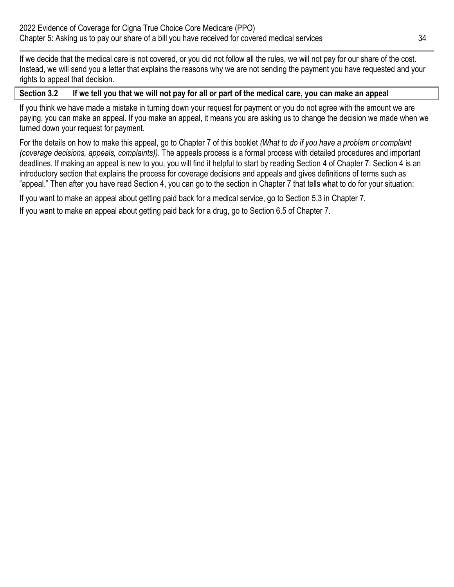If we decide that the medical care is not covered, or you did not follow all the rules, we will not pay for our share of the cost. Instead, we will send you a letter that explains the reasons why we are not sending the payment you have requested and your rights to appeal that decision.

#### **Section 3.2 If we tell you that we will not pay for all or part of the medical care, you can make an appeal**

If you think we have made a mistake in turning down your request for payment or you do not agree with the amount we are paying, you can make an appeal. If you make an appeal, it means you are asking us to change the decision we made when we turned down your request for payment.

For the details on how to make this appeal, go to Chapter 7 of this booklet *(What to do if you have a problem or complaint (coverage decisions, appeals, complaints))*. The appeals process is a formal process with detailed procedures and important deadlines. If making an appeal is new to you, you will find it helpful to start by reading Section 4 of Chapter 7. Section 4 is an introductory section that explains the process for coverage decisions and appeals and gives definitions of terms such as "appeal." Then after you have read Section 4, you can go to the section in Chapter 7 that tells what to do for your situation:

If you want to make an appeal about getting paid back for a medical service, go to Section 5.3 in Chapter 7.

If you want to make an appeal about getting paid back for a drug, go to Section 6.5 of Chapter 7.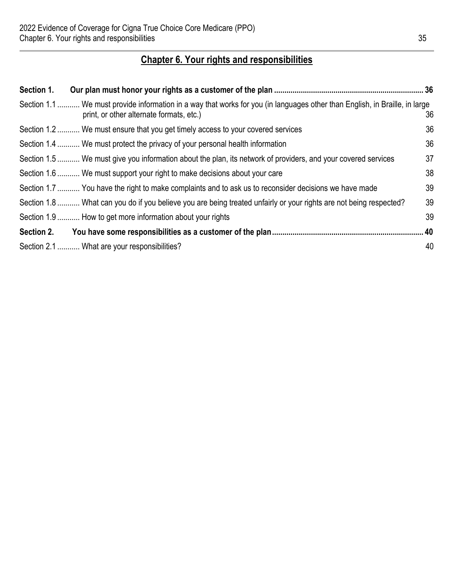# **Chapter 6. Your rights and responsibilities**

| Section 1. |                                                                                                                                                                         |    |
|------------|-------------------------------------------------------------------------------------------------------------------------------------------------------------------------|----|
|            | Section 1.1  We must provide information in a way that works for you (in languages other than English, in Braille, in large<br>print, or other alternate formats, etc.) | 36 |
|            | Section 1.2  We must ensure that you get timely access to your covered services                                                                                         | 36 |
|            | Section 1.4  We must protect the privacy of your personal health information                                                                                            | 36 |
|            | Section 1.5  We must give you information about the plan, its network of providers, and your covered services                                                           | 37 |
|            | Section 1.6  We must support your right to make decisions about your care                                                                                               | 38 |
|            | Section 1.7  You have the right to make complaints and to ask us to reconsider decisions we have made                                                                   | 39 |
|            | Section 1.8  What can you do if you believe you are being treated unfairly or your rights are not being respected?                                                      | 39 |
|            | Section 1.9  How to get more information about your rights                                                                                                              | 39 |
| Section 2. |                                                                                                                                                                         |    |
|            | Section 2.1  What are your responsibilities?                                                                                                                            | 40 |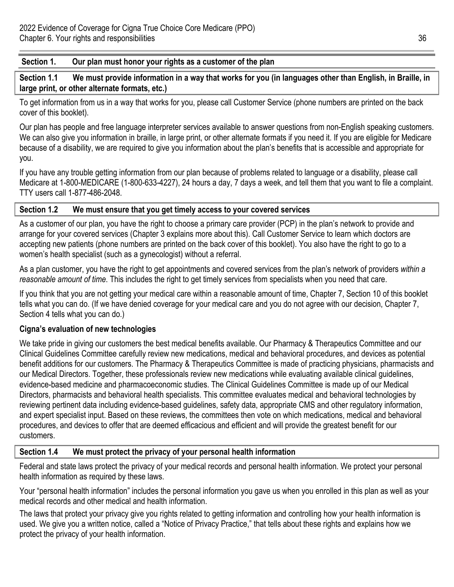# **Section 1. Our plan must honor your rights as a customer of the plan**

**Section 1.1 We must provide information in a way that works for you (in languages other than English, in Braille, in large print, or other alternate formats, etc.)** 

To get information from us in a way that works for you, please call Customer Service (phone numbers are printed on the back cover of this booklet).

Our plan has people and free language interpreter services available to answer questions from non-English speaking customers. We can also give you information in braille, in large print, or other alternate formats if you need it. If you are eligible for Medicare because of a disability, we are required to give you information about the plan's benefits that is accessible and appropriate for you.

If you have any trouble getting information from our plan because of problems related to language or a disability, please call Medicare at 1-800-MEDICARE (1-800-633-4227), 24 hours a day, 7 days a week, and tell them that you want to file a complaint. TTY users call 1-877-486-2048.

# **Section 1.2 We must ensure that you get timely access to your covered services**

As a customer of our plan, you have the right to choose a primary care provider (PCP) in the plan's network to provide and arrange for your covered services (Chapter 3 explains more about this). Call Customer Service to learn which doctors are accepting new patients (phone numbers are printed on the back cover of this booklet). You also have the right to go to a women's health specialist (such as a gynecologist) without a referral.

As a plan customer, you have the right to get appointments and covered services from the plan's network of providers *within a reasonable amount of time*. This includes the right to get timely services from specialists when you need that care.

If you think that you are not getting your medical care within a reasonable amount of time, Chapter 7, Section 10 of this booklet tells what you can do. (If we have denied coverage for your medical care and you do not agree with our decision, Chapter 7, Section 4 tells what you can do.)

# **Cigna's evaluation of new technologies**

We take pride in giving our customers the best medical benefits available. Our Pharmacy & Therapeutics Committee and our Clinical Guidelines Committee carefully review new medications, medical and behavioral procedures, and devices as potential benefit additions for our customers. The Pharmacy & Therapeutics Committee is made of practicing physicians, pharmacists and our Medical Directors. Together, these professionals review new medications while evaluating available clinical guidelines, evidence-based medicine and pharmacoeconomic studies. The Clinical Guidelines Committee is made up of our Medical Directors, pharmacists and behavioral health specialists. This committee evaluates medical and behavioral technologies by reviewing pertinent data including evidence-based guidelines, safety data, appropriate CMS and other regulatory information, and expert specialist input. Based on these reviews, the committees then vote on which medications, medical and behavioral procedures, and devices to offer that are deemed efficacious and efficient and will provide the greatest benefit for our customers.

# **Section 1.4 We must protect the privacy of your personal health information**

Federal and state laws protect the privacy of your medical records and personal health information. We protect your personal health information as required by these laws.

Your "personal health information" includes the personal information you gave us when you enrolled in this plan as well as your medical records and other medical and health information.

The laws that protect your privacy give you rights related to getting information and controlling how your health information is used. We give you a written notice, called a "Notice of Privacy Practice," that tells about these rights and explains how we protect the privacy of your health information.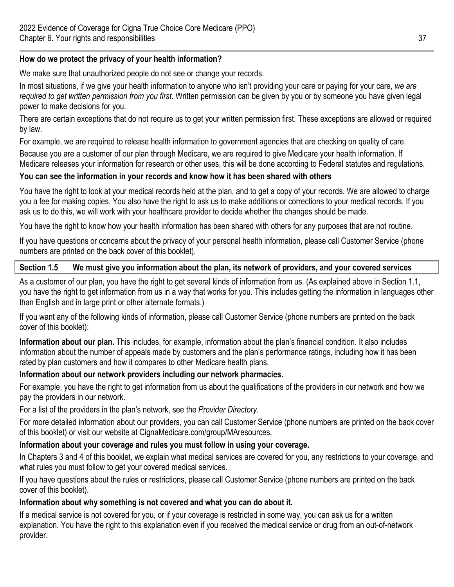#### **How do we protect the privacy of your health information?**

We make sure that unauthorized people do not see or change your records.

In most situations, if we give your health information to anyone who isn't providing your care or paying for your care, *we are required to get written permission from you first*. Written permission can be given by you or by someone you have given legal power to make decisions for you.

There are certain exceptions that do not require us to get your written permission first. These exceptions are allowed or required by law.

For example, we are required to release health information to government agencies that are checking on quality of care.

Because you are a customer of our plan through Medicare, we are required to give Medicare your health information. If Medicare releases your information for research or other uses, this will be done according to Federal statutes and regulations.

## **You can see the information in your records and know how it has been shared with others**

You have the right to look at your medical records held at the plan, and to get a copy of your records. We are allowed to charge you a fee for making copies. You also have the right to ask us to make additions or corrections to your medical records. If you ask us to do this, we will work with your healthcare provider to decide whether the changes should be made.

You have the right to know how your health information has been shared with others for any purposes that are not routine.

If you have questions or concerns about the privacy of your personal health information, please call Customer Service (phone numbers are printed on the back cover of this booklet).

## **Section 1.5 We must give you information about the plan, its network of providers, and your covered services**

As a customer of our plan, you have the right to get several kinds of information from us. (As explained above in Section 1.1, you have the right to get information from us in a way that works for you. This includes getting the information in languages other than English and in large print or other alternate formats.)

If you want any of the following kinds of information, please call Customer Service (phone numbers are printed on the back cover of this booklet):

**Information about our plan.** This includes, for example, information about the plan's financial condition. It also includes information about the number of appeals made by customers and the plan's performance ratings, including how it has been rated by plan customers and how it compares to other Medicare health plans.

## **Information about our network providers including our network pharmacies.**

For example, you have the right to get information from us about the qualifications of the providers in our network and how we pay the providers in our network.

For a list of the providers in the plan's network, see the *Provider Directory*.

For more detailed information about our providers, you can call Customer Service (phone numbers are printed on the back cover of this booklet) or visit our website at [CignaMedicare.com/group/MAresources](https://CignaMedicare.com/group/MAresources).

## **Information about your coverage and rules you must follow in using your coverage.**

In Chapters 3 and 4 of this booklet, we explain what medical services are covered for you, any restrictions to your coverage, and what rules you must follow to get your covered medical services.

If you have questions about the rules or restrictions, please call Customer Service (phone numbers are printed on the back cover of this booklet).

## **Information about why something is not covered and what you can do about it.**

If a medical service is not covered for you, or if your coverage is restricted in some way, you can ask us for a written explanation. You have the right to this explanation even if you received the medical service or drug from an out-of-network provider.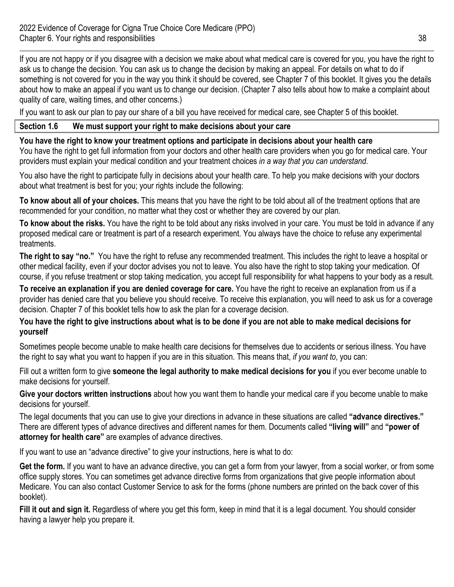If you are not happy or if you disagree with a decision we make about what medical care is covered for you, you have the right to ask us to change the decision. You can ask us to change the decision by making an appeal. For details on what to do if something is not covered for you in the way you think it should be covered, see Chapter 7 of this booklet. It gives you the details about how to make an appeal if you want us to change our decision. (Chapter 7 also tells about how to make a complaint about quality of care, waiting times, and other concerns.)

If you want to ask our plan to pay our share of a bill you have received for medical care, see Chapter 5 of this booklet.

#### **Section 1.6 We must support your right to make decisions about your care**

#### **You have the right to know your treatment options and participate in decisions about your health care**

You have the right to get full information from your doctors and other health care providers when you go for medical care. Your providers must explain your medical condition and your treatment choices *in a way that you can understand*.

You also have the right to participate fully in decisions about your health care. To help you make decisions with your doctors about what treatment is best for you; your rights include the following:

**To know about all of your choices.** This means that you have the right to be told about all of the treatment options that are recommended for your condition, no matter what they cost or whether they are covered by our plan.

**To know about the risks.** You have the right to be told about any risks involved in your care. You must be told in advance if any proposed medical care or treatment is part of a research experiment. You always have the choice to refuse any experimental treatments.

**The right to say "no."** You have the right to refuse any recommended treatment. This includes the right to leave a hospital or other medical facility, even if your doctor advises you not to leave. You also have the right to stop taking your medication. Of course, if you refuse treatment or stop taking medication, you accept full responsibility for what happens to your body as a result.

**To receive an explanation if you are denied coverage for care.** You have the right to receive an explanation from us if a provider has denied care that you believe you should receive. To receive this explanation, you will need to ask us for a coverage decision. Chapter 7 of this booklet tells how to ask the plan for a coverage decision.

#### **You have the right to give instructions about what is to be done if you are not able to make medical decisions for yourself**

Sometimes people become unable to make health care decisions for themselves due to accidents or serious illness. You have the right to say what you want to happen if you are in this situation. This means that, *if you want to*, you can:

Fill out a written form to give **someone the legal authority to make medical decisions for you** if you ever become unable to make decisions for yourself.

**Give your doctors written instructions** about how you want them to handle your medical care if you become unable to make decisions for yourself.

The legal documents that you can use to give your directions in advance in these situations are called **"advance directives."**  There are different types of advance directives and different names for them. Documents called **"living will"** and **"power of attorney for health care"** are examples of advance directives.

If you want to use an "advance directive" to give your instructions, here is what to do:

**Get the form.** If you want to have an advance directive, you can get a form from your lawyer, from a social worker, or from some office supply stores. You can sometimes get advance directive forms from organizations that give people information about Medicare. You can also contact Customer Service to ask for the forms (phone numbers are printed on the back cover of this booklet).

**Fill it out and sign it.** Regardless of where you get this form, keep in mind that it is a legal document. You should consider having a lawyer help you prepare it.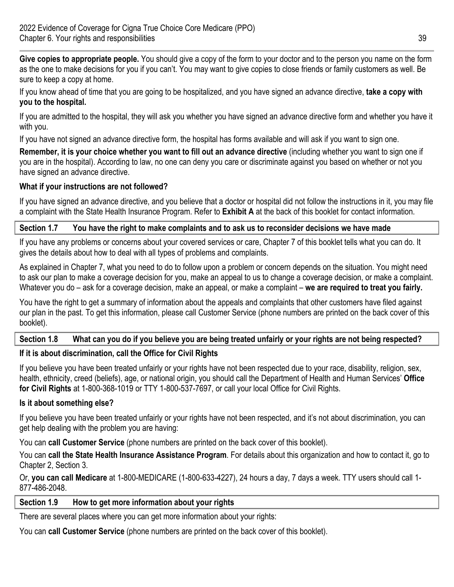**Give copies to appropriate people.** You should give a copy of the form to your doctor and to the person you name on the form as the one to make decisions for you if you can't. You may want to give copies to close friends or family customers as well. Be sure to keep a copy at home.

If you know ahead of time that you are going to be hospitalized, and you have signed an advance directive, **take a copy with you to the hospital.** 

If you are admitted to the hospital, they will ask you whether you have signed an advance directive form and whether you have it with you.

If you have not signed an advance directive form, the hospital has forms available and will ask if you want to sign one.

**Remember, it is your choice whether you want to fill out an advance directive** (including whether you want to sign one if you are in the hospital). According to law, no one can deny you care or discriminate against you based on whether or not you have signed an advance directive.

## **What if your instructions are not followed?**

If you have signed an advance directive, and you believe that a doctor or hospital did not follow the instructions in it, you may file a complaint with the State Health Insurance Program. Refer to **Exhibit A** at the back of this booklet for contact information.

#### **Section 1.7 You have the right to make complaints and to ask us to reconsider decisions we have made**

If you have any problems or concerns about your covered services or care, Chapter 7 of this booklet tells what you can do. It gives the details about how to deal with all types of problems and complaints.

As explained in Chapter 7, what you need to do to follow upon a problem or concern depends on the situation. You might need to ask our plan to make a coverage decision for you, make an appeal to us to change a coverage decision, or make a complaint. Whatever you do – ask for a coverage decision, make an appeal, or make a complaint – we are required to treat you fairly.

You have the right to get a summary of information about the appeals and complaints that other customers have filed against our plan in the past. To get this information, please call Customer Service (phone numbers are printed on the back cover of this booklet).

# **Section 1.8 What can you do if you believe you are being treated unfairly or your rights are not being respected?**

## **If it is about discrimination, call the Office for Civil Rights**

If you believe you have been treated unfairly or your rights have not been respected due to your race, disability, religion, sex, health, ethnicity, creed (beliefs), age, or national origin, you should call the Department of Health and Human Services' **Office for Civil Rights** at 1-800-368-1019 or TTY 1-800-537-7697, or call your local Office for Civil Rights.

## **Is it about something else?**

If you believe you have been treated unfairly or your rights have not been respected, and it's not about discrimination, you can get help dealing with the problem you are having:

You can **call Customer Service** (phone numbers are printed on the back cover of this booklet).

You can **call the State Health Insurance Assistance Program**. For details about this organization and how to contact it, go to Chapter 2, Section 3.

Or, **you can call Medicare** at 1-800-MEDICARE (1-800-633-4227), 24 hours a day, 7 days a week. TTY users should call 1- 877-486-2048.

#### **Section 1.9 How to get more information about your rights**

There are several places where you can get more information about your rights:

You can **call Customer Service** (phone numbers are printed on the back cover of this booklet).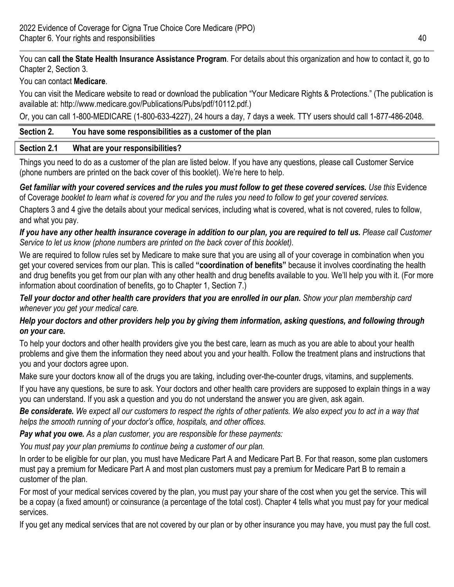You can **call the State Health Insurance Assistance Program**. For details about this organization and how to contact it, go to Chapter 2, Section 3.

## You can contact **Medicare**.

You can visit the Medicare website to read or download the publication "Your Medicare Rights & Protections." (The publication is available at: <http://www.medicare.gov/Publications/Pubs/pdf/10112.pdf>.)

Or, you can call 1-800-MEDICARE (1-800-633-4227), 24 hours a day, 7 days a week. TTY users should call 1-877-486-2048.

# **Section 2. You have some responsibilities as a customer of the plan**

# **Section 2.1 What are your responsibilities?**

Things you need to do as a customer of the plan are listed below. If you have any questions, please call Customer Service (phone numbers are printed on the back cover of this booklet). We're here to help.

*Get familiar with your covered services and the rules you must follow to get these covered services. Use this* Evidence of Coverage *booklet to learn what is covered for you and the rules you need to follow to get your covered services*.

Chapters 3 and 4 give the details about your medical services, including what is covered, what is not covered, rules to follow, and what you pay.

*If you have any other health insurance coverage in addition to our plan, you are required to tell us. Please call Customer Service to let us know (phone numbers are printed on the back cover of this booklet).* 

We are required to follow rules set by Medicare to make sure that you are using all of your coverage in combination when you get your covered services from our plan. This is called **"coordination of benefits"** because it involves coordinating the health and drug benefits you get from our plan with any other health and drug benefits available to you. We'll help you with it. (For more information about coordination of benefits, go to Chapter 1, Section 7.)

*Tell your doctor and other health care providers that you are enrolled in our plan. Show your plan membership card whenever you get your medical care.* 

## *Help your doctors and other providers help you by giving them information, asking questions, and following through on your care.*

To help your doctors and other health providers give you the best care, learn as much as you are able to about your health problems and give them the information they need about you and your health. Follow the treatment plans and instructions that you and your doctors agree upon.

Make sure your doctors know all of the drugs you are taking, including over-the-counter drugs, vitamins, and supplements.

If you have any questions, be sure to ask. Your doctors and other health care providers are supposed to explain things in a way you can understand. If you ask a question and you do not understand the answer you are given, ask again.

*Be considerate. We expect all our customers to respect the rights of other patients. We also expect you to act in a way that helps the smooth running of your doctor's office, hospitals, and other offices.* 

*Pay what you owe. As a plan customer, you are responsible for these payments:* 

*You must pay your plan premiums to continue being a customer of our plan.* 

In order to be eligible for our plan, you must have Medicare Part A and Medicare Part B. For that reason, some plan customers must pay a premium for Medicare Part A and most plan customers must pay a premium for Medicare Part B to remain a customer of the plan.

For most of your medical services covered by the plan, you must pay your share of the cost when you get the service. This will be a copay (a fixed amount) or coinsurance (a percentage of the total cost). Chapter 4 tells what you must pay for your medical services.

If you get any medical services that are not covered by our plan or by other insurance you may have, you must pay the full cost.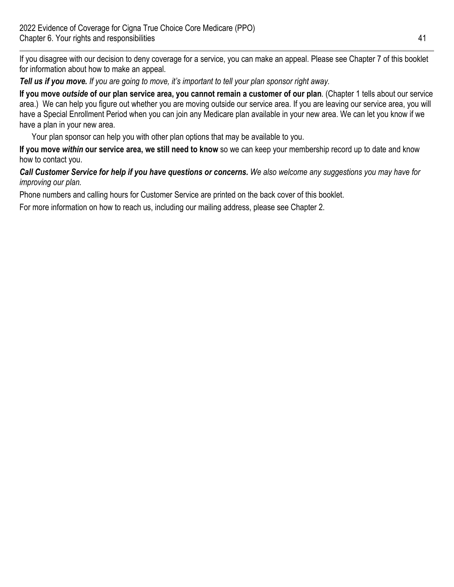If you disagree with our decision to deny coverage for a service, you can make an appeal. Please see Chapter 7 of this booklet for information about how to make an appeal.

*Tell us if you move. If you are going to move, it's important to tell your plan sponsor right away.* 

**If you move** *outside* **of our plan service area, you cannot remain a customer of our plan**. (Chapter 1 tells about our service area.) We can help you figure out whether you are moving outside our service area. If you are leaving our service area, you will have a Special Enrollment Period when you can join any Medicare plan available in your new area. We can let you know if we have a plan in your new area.

Your plan sponsor can help you with other plan options that may be available to you.

**If you move** *within* **our service area, we still need to know** so we can keep your membership record up to date and know how to contact you.

#### *Call Customer Service for help if you have questions or concerns. We also welcome any suggestions you may have for improving our plan.*

Phone numbers and calling hours for Customer Service are printed on the back cover of this booklet.

For more information on how to reach us, including our mailing address, please see Chapter 2.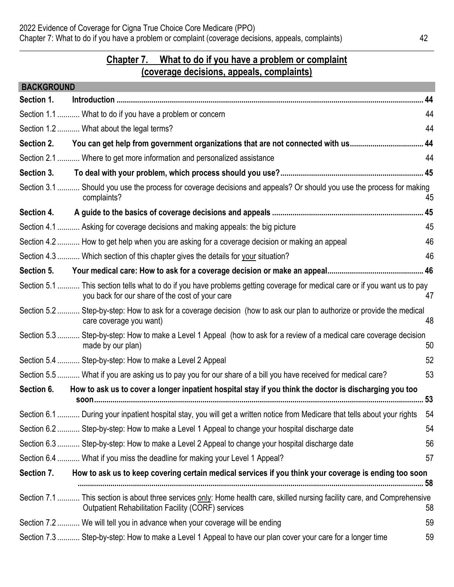# **Chapter 7. What to do if you have a problem or complaint (coverage decisions, appeals, complaints)**

| <b>BACKGROUND</b> |                                                                                                                                                                                         |      |
|-------------------|-----------------------------------------------------------------------------------------------------------------------------------------------------------------------------------------|------|
| Section 1.        |                                                                                                                                                                                         | . 44 |
|                   | Section 1.1  What to do if you have a problem or concern                                                                                                                                | 44   |
|                   | Section 1.2  What about the legal terms?                                                                                                                                                | 44   |
| Section 2.        | You can get help from government organizations that are not connected with us                                                                                                           | 44   |
|                   | Section 2.1  Where to get more information and personalized assistance                                                                                                                  | 44   |
| Section 3.        |                                                                                                                                                                                         |      |
|                   | Section 3.1  Should you use the process for coverage decisions and appeals? Or should you use the process for making<br>complaints?                                                     | 45   |
| Section 4.        |                                                                                                                                                                                         | 45   |
|                   | Section 4.1  Asking for coverage decisions and making appeals: the big picture                                                                                                          | 45   |
|                   | Section 4.2  How to get help when you are asking for a coverage decision or making an appeal                                                                                            | 46   |
|                   | Section 4.3  Which section of this chapter gives the details for your situation?                                                                                                        | 46   |
| Section 5.        |                                                                                                                                                                                         |      |
|                   | Section 5.1  This section tells what to do if you have problems getting coverage for medical care or if you want us to pay<br>you back for our share of the cost of your care           | 47   |
|                   | Section 5.2  Step-by-step: How to ask for a coverage decision (how to ask our plan to authorize or provide the medical<br>care coverage you want)                                       | 48   |
|                   | Section 5.3  Step-by-step: How to make a Level 1 Appeal (how to ask for a review of a medical care coverage decision<br>made by our plan)                                               | 50   |
|                   | Section 5.4  Step-by-step: How to make a Level 2 Appeal                                                                                                                                 | 52   |
|                   | Section 5.5  What if you are asking us to pay you for our share of a bill you have received for medical care?                                                                           | 53   |
| Section 6.        | How to ask us to cover a longer inpatient hospital stay if you think the doctor is discharging you too<br>soon                                                                          | . 53 |
|                   | Section 6.1  During your inpatient hospital stay, you will get a written notice from Medicare that tells about your rights 54                                                           |      |
|                   | Section 6.2  Step-by-step: How to make a Level 1 Appeal to change your hospital discharge date                                                                                          | 54   |
|                   | Section 6.3  Step-by-step: How to make a Level 2 Appeal to change your hospital discharge date                                                                                          | 56   |
|                   | Section 6.4  What if you miss the deadline for making your Level 1 Appeal?                                                                                                              | 57   |
| Section 7.        | How to ask us to keep covering certain medical services if you think your coverage is ending too soon                                                                                   |      |
|                   |                                                                                                                                                                                         |      |
|                   | Section 7.1  This section is about three services only: Home health care, skilled nursing facility care, and Comprehensive<br><b>Outpatient Rehabilitation Facility (CORF) services</b> | 58   |
|                   | Section 7.2  We will tell you in advance when your coverage will be ending                                                                                                              | 59   |
|                   | Section 7.3  Step-by-step: How to make a Level 1 Appeal to have our plan cover your care for a longer time                                                                              | 59   |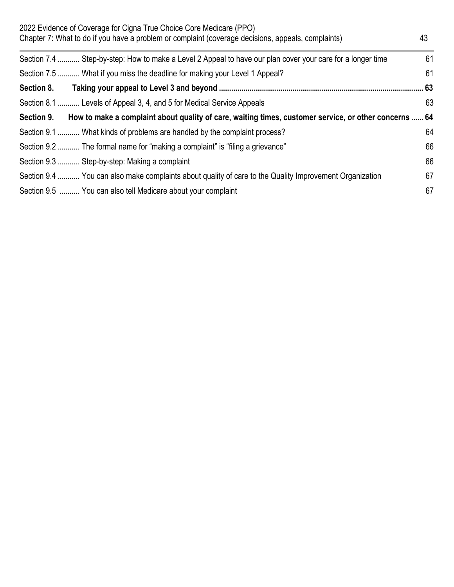| 2022 Evidence of Coverage for Cigna True Choice Core Medicare (PPO)<br>Chapter 7: What to do if you have a problem or complaint (coverage decisions, appeals, complaints)<br>43 |      |  |  |
|---------------------------------------------------------------------------------------------------------------------------------------------------------------------------------|------|--|--|
| Section 7.4  Step-by-step: How to make a Level 2 Appeal to have our plan cover your care for a longer time                                                                      | 61   |  |  |
| Section 7.5  What if you miss the deadline for making your Level 1 Appeal?                                                                                                      | 61   |  |  |
| Section 8.                                                                                                                                                                      | . 63 |  |  |
| Section 8.1  Levels of Appeal 3, 4, and 5 for Medical Service Appeals                                                                                                           | 63   |  |  |
| How to make a complaint about quality of care, waiting times, customer service, or other concerns  64<br>Section 9.                                                             |      |  |  |
| Section 9.1  What kinds of problems are handled by the complaint process?                                                                                                       | 64   |  |  |
| Section 9.2  The formal name for "making a complaint" is "filing a grievance"                                                                                                   | 66   |  |  |
| Section 9.3  Step-by-step: Making a complaint                                                                                                                                   | 66   |  |  |
| Section 9.4  You can also make complaints about quality of care to the Quality Improvement Organization                                                                         | 67   |  |  |
| Section 9.5  You can also tell Medicare about your complaint                                                                                                                    | 67   |  |  |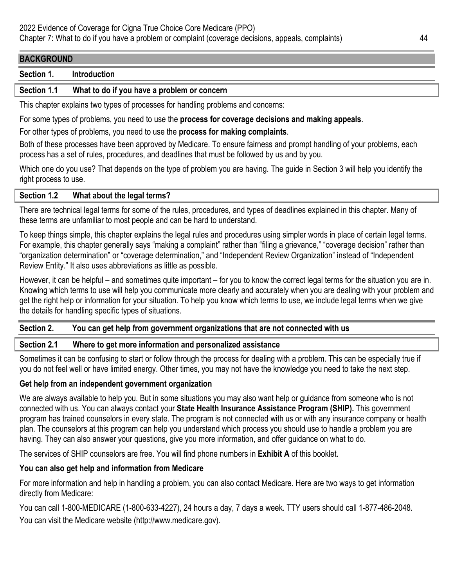#### **BACKGROUND**

#### **Section 1. Introduction**

#### **Section 1.1 What to do if you have a problem or concern**

This chapter explains two types of processes for handling problems and concerns:

For some types of problems, you need to use the **process for coverage decisions and making appeals**.

For other types of problems, you need to use the **process for making complaints**.

Both of these processes have been approved by Medicare. To ensure fairness and prompt handling of your problems, each process has a set of rules, procedures, and deadlines that must be followed by us and by you.

Which one do you use? That depends on the type of problem you are having. The guide in Section 3 will help you identify the right process to use.

#### **Section 1.2 What about the legal terms?**

There are technical legal terms for some of the rules, procedures, and types of deadlines explained in this chapter. Many of these terms are unfamiliar to most people and can be hard to understand.

To keep things simple, this chapter explains the legal rules and procedures using simpler words in place of certain legal terms. For example, this chapter generally says "making a complaint" rather than "filing a grievance," "coverage decision" rather than "organization determination" or "coverage determination," and "Independent Review Organization" instead of "Independent Review Entity." It also uses abbreviations as little as possible.

However, it can be helpful – and sometimes quite important – for you to know the correct legal terms for the situation you are in. Knowing which terms to use will help you communicate more clearly and accurately when you are dealing with your problem and get the right help or information for your situation. To help you know which terms to use, we include legal terms when we give the details for handling specific types of situations.

#### **Section 2. You can get help from government organizations that are not connected with us**

#### **Section 2.1 Where to get more information and personalized assistance**

Sometimes it can be confusing to start or follow through the process for dealing with a problem. This can be especially true if you do not feel well or have limited energy. Other times, you may not have the knowledge you need to take the next step.

#### **Get help from an independent government organization**

We are always available to help you. But in some situations you may also want help or guidance from someone who is not connected with us. You can always contact your **State Health Insurance Assistance Program (SHIP).** This government program has trained counselors in every state. The program is not connected with us or with any insurance company or health plan. The counselors at this program can help you understand which process you should use to handle a problem you are having. They can also answer your questions, give you more information, and offer guidance on what to do.

The services of SHIP counselors are free. You will find phone numbers in **Exhibit A** of this booklet.

#### **You can also get help and information from Medicare**

For more information and help in handling a problem, you can also contact Medicare. Here are two ways to get information directly from Medicare:

You can call 1-800-MEDICARE (1-800-633-4227), 24 hours a day, 7 days a week. TTY users should call 1-877-486-2048. You can visit the Medicare website ([http://www.medicare.gov\)](http://www.medicare.gov).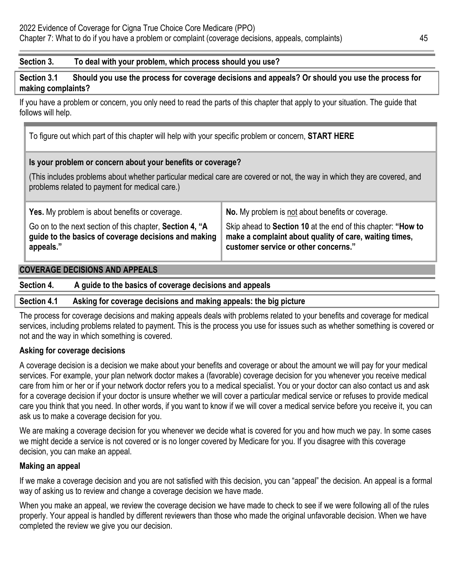#### **Section 3. To deal with your problem, which process should you use?**

**Section 3.1 Should you use the process for coverage decisions and appeals? Or should you use the process for making complaints?** 

If you have a problem or concern, you only need to read the parts of this chapter that apply to your situation. The guide that follows will help.

To figure out which part of this chapter will help with your specific problem or concern, **START HERE** 

#### **Is your problem or concern about your benefits or coverage?**

(This includes problems about whether particular medical care are covered or not, the way in which they are covered, and problems related to payment for medical care.)

| Yes. My problem is about benefits or coverage.                                                                                | No. My problem is not about benefits or coverage.                                                                                                              |
|-------------------------------------------------------------------------------------------------------------------------------|----------------------------------------------------------------------------------------------------------------------------------------------------------------|
| Go on to the next section of this chapter, Section 4, "A<br>guide to the basics of coverage decisions and making<br>appeals." | Skip ahead to Section 10 at the end of this chapter: "How to<br>make a complaint about quality of care, waiting times,<br>customer service or other concerns." |

#### **COVERAGE DECISIONS AND APPEALS**

#### **Section 4. A guide to the basics of coverage decisions and appeals**

#### **Section 4.1 Asking for coverage decisions and making appeals: the big picture**

The process for coverage decisions and making appeals deals with problems related to your benefits and coverage for medical services, including problems related to payment. This is the process you use for issues such as whether something is covered or not and the way in which something is covered.

#### **Asking for coverage decisions**

A coverage decision is a decision we make about your benefits and coverage or about the amount we will pay for your medical services. For example, your plan network doctor makes a (favorable) coverage decision for you whenever you receive medical care from him or her or if your network doctor refers you to a medical specialist. You or your doctor can also contact us and ask for a coverage decision if your doctor is unsure whether we will cover a particular medical service or refuses to provide medical care you think that you need. In other words, if you want to know if we will cover a medical service before you receive it, you can ask us to make a coverage decision for you.

We are making a coverage decision for you whenever we decide what is covered for you and how much we pay. In some cases we might decide a service is not covered or is no longer covered by Medicare for you. If you disagree with this coverage decision, you can make an appeal.

#### **Making an appeal**

If we make a coverage decision and you are not satisfied with this decision, you can "appeal" the decision. An appeal is a formal way of asking us to review and change a coverage decision we have made.

When you make an appeal, we review the coverage decision we have made to check to see if we were following all of the rules properly. Your appeal is handled by different reviewers than those who made the original unfavorable decision. When we have completed the review we give you our decision.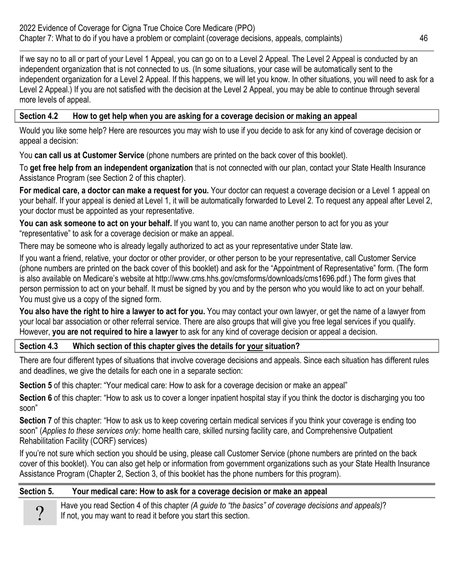If we say no to all or part of your Level 1 Appeal, you can go on to a Level 2 Appeal. The Level 2 Appeal is conducted by an independent organization that is not connected to us. (In some situations, your case will be automatically sent to the independent organization for a Level 2 Appeal. If this happens, we will let you know. In other situations, you will need to ask for a Level 2 Appeal.) If you are not satisfied with the decision at the Level 2 Appeal, you may be able to continue through several more levels of appeal.

## **Section 4.2 How to get help when you are asking for a coverage decision or making an appeal**

Would you like some help? Here are resources you may wish to use if you decide to ask for any kind of coverage decision or appeal a decision:

You **can call us at Customer Service** (phone numbers are printed on the back cover of this booklet).

To **get free help from an independent organization** that is not connected with our plan, contact your State Health Insurance Assistance Program (see Section 2 of this chapter).

**For medical care, a doctor can make a request for you.** Your doctor can request a coverage decision or a Level 1 appeal on your behalf. If your appeal is denied at Level 1, it will be automatically forwarded to Level 2. To request any appeal after Level 2, your doctor must be appointed as your representative.

**You can ask someone to act on your behalf.** If you want to, you can name another person to act for you as your "representative" to ask for a coverage decision or make an appeal.

There may be someone who is already legally authorized to act as your representative under State law.

If you want a friend, relative, your doctor or other provider, or other person to be your representative, call Customer Service (phone numbers are printed on the back cover of this booklet) and ask for the "Appointment of Representative" form. (The form is also available on Medicare's website at [http://www.cms.hhs.gov/cmsforms/downloads/cms1696.pdf.](http://www.cms.hhs.gov/cmsforms/downloads/cms1696.pdf)) The form gives that person permission to act on your behalf. It must be signed by you and by the person who you would like to act on your behalf. You must give us a copy of the signed form.

**You also have the right to hire a lawyer to act for you.** You may contact your own lawyer, or get the name of a lawyer from your local bar association or other referral service. There are also groups that will give you free legal services if you qualify. However, **you are not required to hire a lawyer** to ask for any kind of coverage decision or appeal a decision.

## **Section 4.3 Which section of this chapter gives the details for your situation?**

There are four different types of situations that involve coverage decisions and appeals. Since each situation has different rules and deadlines, we give the details for each one in a separate section:

**Section 5** of this chapter: "Your medical care: How to ask for a coverage decision or make an appeal"

**Section 6** of this chapter: "How to ask us to cover a longer inpatient hospital stay if you think the doctor is discharging you too soon"

**Section 7** of this chapter: "How to ask us to keep covering certain medical services if you think your coverage is ending too soon" (*Applies to these services only:* home health care, skilled nursing facility care, and Comprehensive Outpatient Rehabilitation Facility (CORF) services)

If you're not sure which section you should be using, please call Customer Service (phone numbers are printed on the back cover of this booklet). You can also get help or information from government organizations such as your State Health Insurance Assistance Program (Chapter 2, Section 3, of this booklet has the phone numbers for this program).

# **Section 5. Your medical care: How to ask for a coverage decision or make an appeal**

Have you read Section 4 of this chapter *(A guide to "the basics" of coverage decisions and appeals)*? Trave you read Section 4 of this chapter (A guide to the based of the based of the based of the based of the based of the based of the based of the based of the based of the based of the based of the based of the based of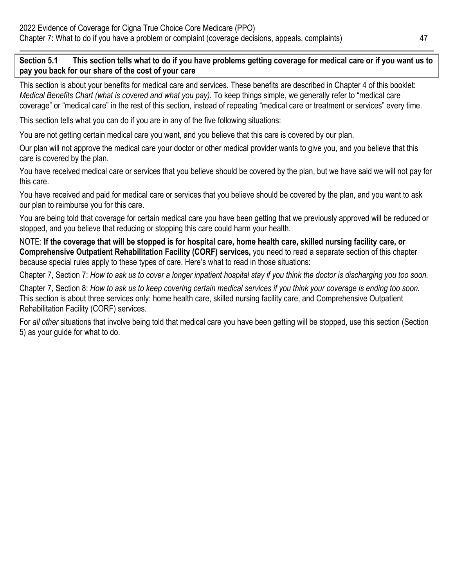**Section 5.1 This section tells what to do if you have problems getting coverage for medical care or if you want us to pay you back for our share of the cost of your care** 

This section is about your benefits for medical care and services. These benefits are described in Chapter 4 of this booklet: *Medical Benefits Chart (what is covered and what you pay).* To keep things simple, we generally refer to "medical care coverage" or "medical care" in the rest of this section, instead of repeating "medical care or treatment or services" every time.

This section tells what you can do if you are in any of the five following situations:

You are not getting certain medical care you want, and you believe that this care is covered by our plan.

Our plan will not approve the medical care your doctor or other medical provider wants to give you, and you believe that this care is covered by the plan.

You have received medical care or services that you believe should be covered by the plan, but we have said we will not pay for this care.

You have received and paid for medical care or services that you believe should be covered by the plan, and you want to ask our plan to reimburse you for this care.

You are being told that coverage for certain medical care you have been getting that we previously approved will be reduced or stopped, and you believe that reducing or stopping this care could harm your health.

NOTE: **If the coverage that will be stopped is for hospital care, home health care, skilled nursing facility care, or Comprehensive Outpatient Rehabilitation Facility (CORF) services,** you need to read a separate section of this chapter because special rules apply to these types of care. Here's what to read in those situations:

Chapter 7, Section 7: *How to ask us to cover a longer inpatient hospital stay if you think the doctor is discharging you too soon.* 

Chapter 7, Section 8: *How to ask us to keep covering certain medical services if you think your coverage is ending too soon.*  This section is about three services only: home health care, skilled nursing facility care, and Comprehensive Outpatient Rehabilitation Facility (CORF) services.

For *all other* situations that involve being told that medical care you have been getting will be stopped, use this section (Section 5) as your guide for what to do.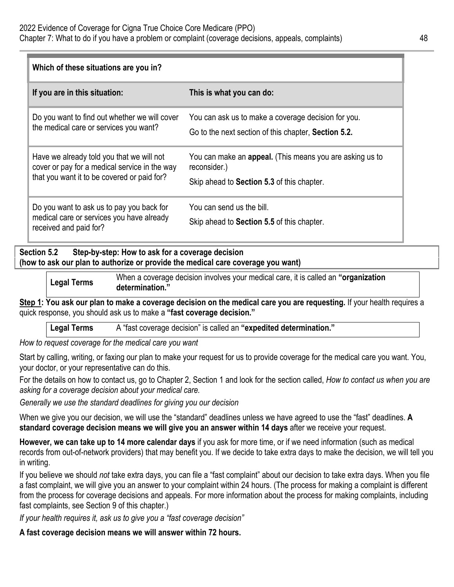| Which of these situations are you in?                                                                                                     |                                                                                                                               |  |  |  |
|-------------------------------------------------------------------------------------------------------------------------------------------|-------------------------------------------------------------------------------------------------------------------------------|--|--|--|
| If you are in this situation:                                                                                                             | This is what you can do:                                                                                                      |  |  |  |
| Do you want to find out whether we will cover<br>the medical care or services you want?                                                   | You can ask us to make a coverage decision for you.<br>Go to the next section of this chapter, Section 5.2.                   |  |  |  |
| Have we already told you that we will not<br>cover or pay for a medical service in the way<br>that you want it to be covered or paid for? | You can make an appeal. (This means you are asking us to<br>reconsider.)<br>Skip ahead to <b>Section 5.3</b> of this chapter. |  |  |  |
| Do you want to ask us to pay you back for<br>medical care or services you have already<br>received and paid for?                          | You can send us the bill.<br>Skip ahead to <b>Section 5.5</b> of this chapter.                                                |  |  |  |

**Section 5.2 Step-by-step: How to ask for a coverage decision (how to ask our plan to authorize or provide the medical care coverage you want)** 

When a coverage decision involves your medical care, it is called an "organization determination."

**Step 1: You ask our plan to make a coverage decision on the medical care you are requesting.** If your health requires a quick response, you should ask us to make a **"fast coverage decision."** 

**Legal Terms** A "fast coverage decision" is called an **"expedited determination."** 

*How to request coverage for the medical care you want* 

Start by calling, writing, or faxing our plan to make your request for us to provide coverage for the medical care you want. You, your doctor, or your representative can do this.

For the details on how to contact us, go to Chapter 2, Section 1 and look for the section called, *How to contact us when you are asking for a coverage decision about your medical care.* 

*Generally we use the standard deadlines for giving you our decision* 

When we give you our decision, we will use the "standard" deadlines unless we have agreed to use the "fast" deadlines. **A standard coverage decision means we will give you an answer within 14 days** after we receive your request.

**However, we can take up to 14 more calendar days** if you ask for more time, or if we need information (such as medical records from out-of-network providers) that may benefit you. If we decide to take extra days to make the decision, we will tell you in writing.

If you believe we should *not* take extra days, you can file a "fast complaint" about our decision to take extra days. When you file a fast complaint, we will give you an answer to your complaint within 24 hours. (The process for making a complaint is different from the process for coverage decisions and appeals. For more information about the process for making complaints, including fast complaints, see Section 9 of this chapter.)

*If your health requires it, ask us to give you a "fast coverage decision"* 

**A fast coverage decision means we will answer within 72 hours.**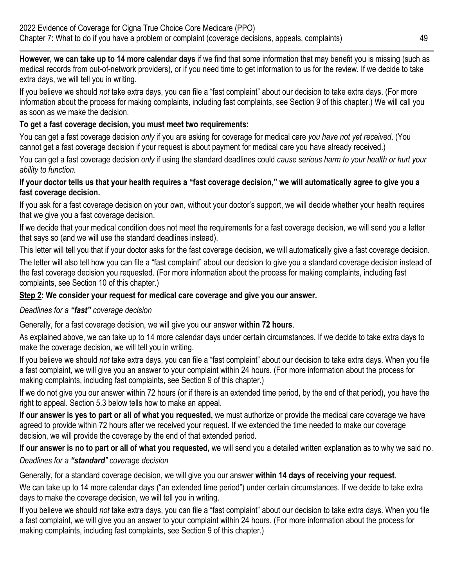**However, we can take up to 14 more calendar days** if we find that some information that may benefit you is missing (such as medical records from out-of-network providers), or if you need time to get information to us for the review. If we decide to take extra days, we will tell you in writing.

If you believe we should *not* take extra days, you can file a "fast complaint" about our decision to take extra days. (For more information about the process for making complaints, including fast complaints, see Section 9 of this chapter.) We will call you as soon as we make the decision.

# **To get a fast coverage decision, you must meet two requirements:**

You can get a fast coverage decision *only* if you are asking for coverage for medical care *you have not yet received*. (You cannot get a fast coverage decision if your request is about payment for medical care you have already received.)

You can get a fast coverage decision *only* if using the standard deadlines could *cause serious harm to your health or hurt your ability to function.* 

## **If your doctor tells us that your health requires a "fast coverage decision," we will automatically agree to give you a fast coverage decision.**

If you ask for a fast coverage decision on your own, without your doctor's support, we will decide whether your health requires that we give you a fast coverage decision.

If we decide that your medical condition does not meet the requirements for a fast coverage decision, we will send you a letter that says so (and we will use the standard deadlines instead).

This letter will tell you that if your doctor asks for the fast coverage decision, we will automatically give a fast coverage decision.

The letter will also tell how you can file a "fast complaint" about our decision to give you a standard coverage decision instead of the fast coverage decision you requested. (For more information about the process for making complaints, including fast complaints, see Section 10 of this chapter.)

# **Step 2: We consider your request for medical care coverage and give you our answer.**

## *Deadlines for a "fast" coverage decision*

Generally, for a fast coverage decision, we will give you our answer **within 72 hours**.

make the coverage decision, we will tell you in writing. As explained above, we can take up to 14 more calendar days under certain circumstances. If we decide to take extra days to

If you believe we should *not* take extra days, you can file a "fast complaint" about our decision to take extra days. When you file a fast complaint, we will give you an answer to your complaint within 24 hours. (For more information about the process for making complaints, including fast complaints, see Section 9 of this chapter.)

If we do not give you our answer within 72 hours (or if there is an extended time period, by the end of that period), you have the right to appeal. Section 5.3 below tells how to make an appeal.

**If our answer is yes to part or all of what you requested,** we must authorize or provide the medical care coverage we have agreed to provide within 72 hours after we received your request. If we extended the time needed to make our coverage decision, we will provide the coverage by the end of that extended period.

**If our answer is no to part or all of what you requested,** we will send you a detailed written explanation as to why we said no. *Deadlines for a "standard" coverage decision* 

Generally, for a standard coverage decision, we will give you our answer **within 14 days of receiving your request**.

We can take up to 14 more calendar days ("an extended time period") under certain circumstances. If we decide to take extra days to make the coverage decision, we will tell you in writing.

If you believe we should *not* take extra days, you can file a "fast complaint" about our decision to take extra days. When you file a fast complaint, we will give you an answer to your complaint within 24 hours. (For more information about the process for making complaints, including fast complaints, see Section 9 of this chapter.)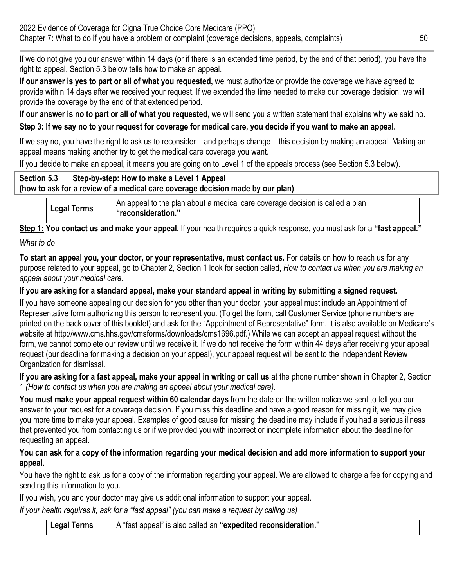If we do not give you our answer within 14 days (or if there is an extended time period, by the end of that period), you have the right to appeal. Section 5.3 below tells how to make an appeal.

**If our answer is yes to part or all of what you requested,** we must authorize or provide the coverage we have agreed to provide within 14 days after we received your request. If we extended the time needed to make our coverage decision, we will provide the coverage by the end of that extended period.

**If our answer is no to part or all of what you requested,** we will send you a written statement that explains why we said no.

**Step 3: If we say no to your request for coverage for medical care, you decide if you want to make an appeal.** 

If we say no, you have the right to ask us to reconsider – and perhaps change – this decision by making an appeal. Making an appeal means making another try to get the medical care coverage you want.

If you decide to make an appeal, it means you are going on to Level 1 of the appeals process (see Section 5.3 below).

# **Section 5.3 Step-by-step: How to make a Level 1 Appeal (how to ask for a review of a medical care coverage decision made by our plan)**

**Legal Terms** An appeal to the plan about a medical care coverage decision is called a plan **"reconsideration."** 

**Step 1: You contact us and make your appeal.** If your health requires a quick response, you must ask for a **"fast appeal."** 

# *What to do*

**To start an appeal you, your doctor, or your representative, must contact us.** For details on how to reach us for any purpose related to your appeal, go to Chapter 2, Section 1 look for section called, *How to contact us when you are making an appeal about your medical care.* 

# **If you are asking for a standard appeal, make your standard appeal in writing by submitting a signed request.**

If you have someone appealing our decision for you other than your doctor, your appeal must include an Appointment of Representative form authorizing this person to represent you. (To get the form, call Customer Service (phone numbers are printed on the back cover of this booklet) and ask for the "Appointment of Representative" form. It is also available on Medicare's website at<http://www.cms.hhs.gov/cmsforms/downloads/cms1696.pdf>.) While we can accept an appeal request without the form, we cannot complete our review until we receive it. If we do not receive the form within 44 days after receiving your appeal request (our deadline for making a decision on your appeal), your appeal request will be sent to the Independent Review Organization for dismissal.

**If you are asking for a fast appeal, make your appeal in writing or call us** at the phone number shown in Chapter 2, Section 1 *(How to contact us when you are making an appeal about your medical care).* 

**You must make your appeal request within 60 calendar days** from the date on the written notice we sent to tell you our answer to your request for a coverage decision. If you miss this deadline and have a good reason for missing it, we may give you more time to make your appeal. Examples of good cause for missing the deadline may include if you had a serious illness that prevented you from contacting us or if we provided you with incorrect or incomplete information about the deadline for requesting an appeal.

## **You can ask for a copy of the information regarding your medical decision and add more information to support your appeal.**

You have the right to ask us for a copy of the information regarding your appeal. We are allowed to charge a fee for copying and sending this information to you.

If you wish, you and your doctor may give us additional information to support your appeal.

*If your health requires it, ask for a "fast appeal" (you can make a request by calling us)* 

**Legal Terms** A "fast appeal" is also called an **"expedited reconsideration."**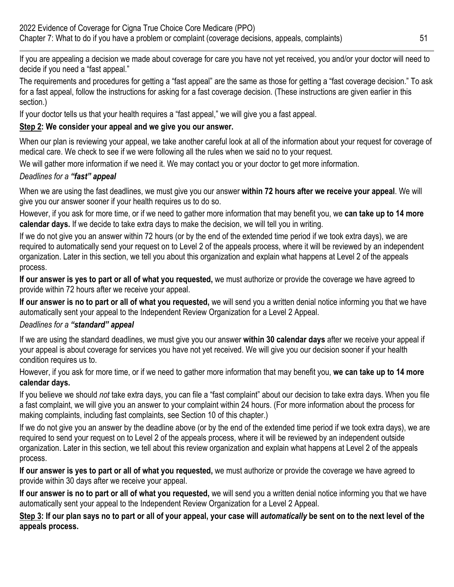If you are appealing a decision we made about coverage for care you have not yet received, you and/or your doctor will need to decide if you need a "fast appeal."

The requirements and procedures for getting a "fast appeal" are the same as those for getting a "fast coverage decision." To ask for a fast appeal, follow the instructions for asking for a fast coverage decision. (These instructions are given earlier in this section.)

If your doctor tells us that your health requires a "fast appeal," we will give you a fast appeal.

# **Step 2: We consider your appeal and we give you our answer.**

When our plan is reviewing your appeal, we take another careful look at all of the information about your request for coverage of medical care. We check to see if we were following all the rules when we said no to your request.

We will gather more information if we need it. We may contact you or your doctor to get more information.

# *Deadlines for a "fast" appeal*

When we are using the fast deadlines, we must give you our answer **within 72 hours after we receive your appeal**. We will give you our answer sooner if your health requires us to do so.

However, if you ask for more time, or if we need to gather more information that may benefit you, we **can take up to 14 more calendar days.** If we decide to take extra days to make the decision, we will tell you in writing.

If we do not give you an answer within 72 hours (or by the end of the extended time period if we took extra days), we are required to automatically send your request on to Level 2 of the appeals process, where it will be reviewed by an independent organization. Later in this section, we tell you about this organization and explain what happens at Level 2 of the appeals process.

**If our answer is yes to part or all of what you requested,** we must authorize or provide the coverage we have agreed to provide within 72 hours after we receive your appeal.

**If our answer is no to part or all of what you requested,** we will send you a written denial notice informing you that we have automatically sent your appeal to the Independent Review Organization for a Level 2 Appeal.

## *Deadlines for a "standard" appeal*

If we are using the standard deadlines, we must give you our answer **within 30 calendar days** after we receive your appeal if your appeal is about coverage for services you have not yet received. We will give you our decision sooner if your health condition requires us to.

However, if you ask for more time, or if we need to gather more information that may benefit you, **we can take up to 14 more calendar days.** 

If you believe we should *not* take extra days, you can file a "fast complaint" about our decision to take extra days. When you file a fast complaint, we will give you an answer to your complaint within 24 hours. (For more information about the process for making complaints, including fast complaints, see Section 10 of this chapter.)

If we do not give you an answer by the deadline above (or by the end of the extended time period if we took extra days), we are required to send your request on to Level 2 of the appeals process, where it will be reviewed by an independent outside organization. Later in this section, we tell about this review organization and explain what happens at Level 2 of the appeals process.

**If our answer is yes to part or all of what you requested,** we must authorize or provide the coverage we have agreed to provide within 30 days after we receive your appeal.

**If our answer is no to part or all of what you requested,** we will send you a written denial notice informing you that we have automatically sent your appeal to the Independent Review Organization for a Level 2 Appeal.

**Step 3: If our plan says no to part or all of your appeal, your case will** *automatically* **be sent on to the next level of the appeals process.**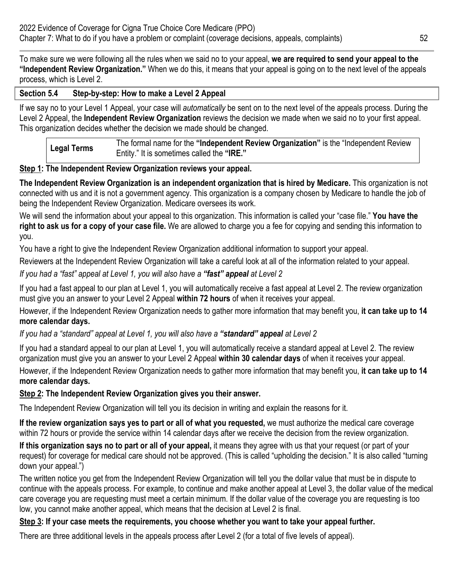To make sure we were following all the rules when we said no to your appeal, **we are required to send your appeal to the "Independent Review Organization."** When we do this, it means that your appeal is going on to the next level of the appeals process, which is Level 2.

## **Section 5.4 Step-by-step: How to make a Level 2 Appeal**

If we say no to your Level 1 Appeal, your case will *automatically* be sent on to the next level of the appeals process. During the Level 2 Appeal, the **Independent Review Organization** reviews the decision we made when we said no to your first appeal. This organization decides whether the decision we made should be changed.

The formal name for the **"Independent Review Organization"** is the "Independent Review **Legal Terms** Entity." It is sometimes called the **"IRE."** 

# **Step 1: The Independent Review Organization reviews your appeal.**

**The Independent Review Organization is an independent organization that is hired by Medicare.** This organization is not connected with us and it is not a government agency. This organization is a company chosen by Medicare to handle the job of being the Independent Review Organization. Medicare oversees its work.

We will send the information about your appeal to this organization. This information is called your "case file." **You have the right to ask us for a copy of your case file.** We are allowed to charge you a fee for copying and sending this information to you.

You have a right to give the Independent Review Organization additional information to support your appeal.

Reviewers at the Independent Review Organization will take a careful look at all of the information related to your appeal.

## *If you had a "fast" appeal at Level 1, you will also have a "fast" appeal at Level 2*

If you had a fast appeal to our plan at Level 1, you will automatically receive a fast appeal at Level 2. The review organization must give you an answer to your Level 2 Appeal **within 72 hours** of when it receives your appeal.

However, if the Independent Review Organization needs to gather more information that may benefit you, **it can take up to 14 more calendar days.** 

*If you had a "standard" appeal at Level 1, you will also have a "standard" appeal at Level 2* 

If you had a standard appeal to our plan at Level 1, you will automatically receive a standard appeal at Level 2. The review organization must give you an answer to your Level 2 Appeal **within 30 calendar days** of when it receives your appeal.

However, if the Independent Review Organization needs to gather more information that may benefit you, **it can take up to 14 more calendar days.** 

# **Step 2: The Independent Review Organization gives you their answer.**

The Independent Review Organization will tell you its decision in writing and explain the reasons for it.

**If the review organization says yes to part or all of what you requested,** we must authorize the medical care coverage within 72 hours or provide the service within 14 calendar days after we receive the decision from the review organization.

**If this organization says no to part or all of your appeal,** it means they agree with us that your request (or part of your request) for coverage for medical care should not be approved. (This is called "upholding the decision." It is also called "turning down your appeal.")

The written notice you get from the Independent Review Organization will tell you the dollar value that must be in dispute to continue with the appeals process. For example, to continue and make another appeal at Level 3, the dollar value of the medical care coverage you are requesting must meet a certain minimum. If the dollar value of the coverage you are requesting is too low, you cannot make another appeal, which means that the decision at Level 2 is final.

# **Step 3: If your case meets the requirements, you choose whether you want to take your appeal further.**

There are three additional levels in the appeals process after Level 2 (for a total of five levels of appeal).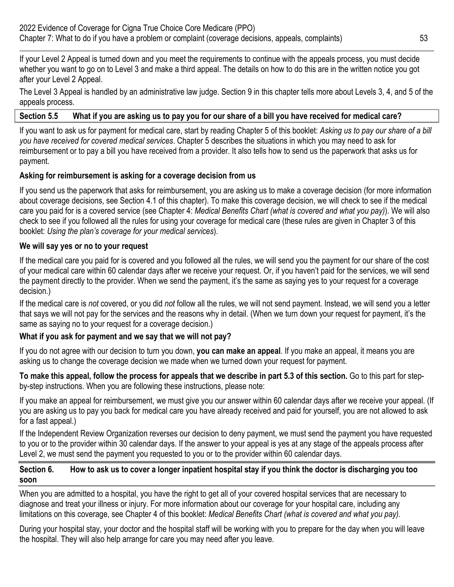If your Level 2 Appeal is turned down and you meet the requirements to continue with the appeals process, you must decide whether you want to go on to Level 3 and make a third appeal. The details on how to do this are in the written notice you got after your Level 2 Appeal.

The Level 3 Appeal is handled by an administrative law judge. Section 9 in this chapter tells more about Levels 3, 4, and 5 of the appeals process.

## **Section 5.5 What if you are asking us to pay you for our share of a bill you have received for medical care?**

If you want to ask us for payment for medical care, start by reading Chapter 5 of this booklet: *Asking us to pay our share of a bill you have received for covered medical services*. Chapter 5 describes the situations in which you may need to ask for reimbursement or to pay a bill you have received from a provider. It also tells how to send us the paperwork that asks us for payment.

## **Asking for reimbursement is asking for a coverage decision from us**

If you send us the paperwork that asks for reimbursement, you are asking us to make a coverage decision (for more information about coverage decisions, see Section 4.1 of this chapter). To make this coverage decision, we will check to see if the medical care you paid for is a covered service (see Chapter 4: *Medical Benefits Chart (what is covered and what you pay)*). We will also check to see if you followed all the rules for using your coverage for medical care (these rules are given in Chapter 3 of this booklet: *Using the plan's coverage for your medical services*).

#### **We will say yes or no to your request**

If the medical care you paid for is covered and you followed all the rules, we will send you the payment for our share of the cost of your medical care within 60 calendar days after we receive your request. Or, if you haven't paid for the services, we will send the payment directly to the provider. When we send the payment, it's the same as saying yes to your request for a coverage decision.)

If the medical care is *not* covered, or you did *not* follow all the rules, we will not send payment. Instead, we will send you a letter that says we will not pay for the services and the reasons why in detail. (When we turn down your request for payment, it's the same as saying no to your request for a coverage decision.)

## **What if you ask for payment and we say that we will not pay?**

If you do not agree with our decision to turn you down, **you can make an appeal**. If you make an appeal, it means you are asking us to change the coverage decision we made when we turned down your request for payment.

**To make this appeal, follow the process for appeals that we describe in part 5.3 of this section.** Go to this part for stepby-step instructions. When you are following these instructions, please note:

If you make an appeal for reimbursement, we must give you our answer within 60 calendar days after we receive your appeal. (If you are asking us to pay you back for medical care you have already received and paid for yourself, you are not allowed to ask for a fast appeal.)

If the Independent Review Organization reverses our decision to deny payment, we must send the payment you have requested to you or to the provider within 30 calendar days. If the answer to your appeal is yes at any stage of the appeals process after Level 2, we must send the payment you requested to you or to the provider within 60 calendar days.

#### **Section 6. How to ask us to cover a longer inpatient hospital stay if you think the doctor is discharging you too soon**

When you are admitted to a hospital, you have the right to get all of your covered hospital services that are necessary to diagnose and treat your illness or injury. For more information about our coverage for your hospital care, including any limitations on this coverage, see Chapter 4 of this booklet: *Medical Benefits Chart (what is covered and what you pay).* 

During your hospital stay, your doctor and the hospital staff will be working with you to prepare for the day when you will leave the hospital. They will also help arrange for care you may need after you leave.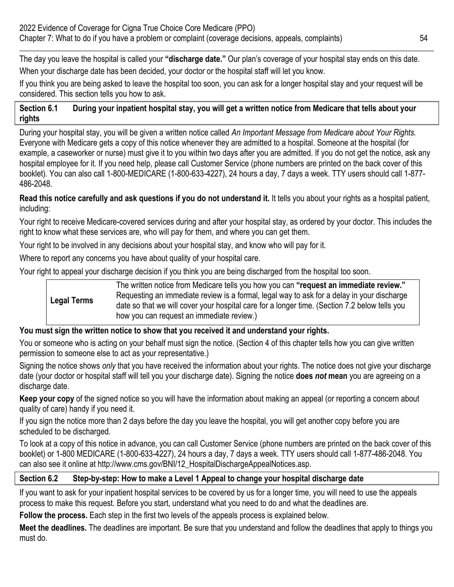The day you leave the hospital is called your **"discharge date."** Our plan's coverage of your hospital stay ends on this date. When your discharge date has been decided, your doctor or the hospital staff will let you know.

If you think you are being asked to leave the hospital too soon, you can ask for a longer hospital stay and your request will be considered. This section tells you how to ask.

## **Section 6.1 During your inpatient hospital stay, you will get a written notice from Medicare that tells about your rights**

During your hospital stay, you will be given a written notice called *An Important Message from Medicare about Your Rights.*  Everyone with Medicare gets a copy of this notice whenever they are admitted to a hospital. Someone at the hospital (for example, a caseworker or nurse) must give it to you within two days after you are admitted. If you do not get the notice, ask any hospital employee for it. If you need help, please call Customer Service (phone numbers are printed on the back cover of this booklet). You can also call 1-800-MEDICARE (1-800-633-4227), 24 hours a day, 7 days a week. TTY users should call 1-877- 486-2048.

**Read this notice carefully and ask questions if you do not understand it.** It tells you about your rights as a hospital patient, including:

Your right to receive Medicare-covered services during and after your hospital stay, as ordered by your doctor. This includes the right to know what these services are, who will pay for them, and where you can get them.

Your right to be involved in any decisions about your hospital stay, and know who will pay for it.

Where to report any concerns you have about quality of your hospital care.

Your right to appeal your discharge decision if you think you are being discharged from the hospital too soon.

The written notice from Medicare tells you how you can **"request an immediate review."**  Requesting an immediate review is a formal, legal way to ask for a delay in your discharge **Legal Terms** date so that we will cover your hospital care for a longer time. (Section 7.2 below tells you how you can request an immediate review.)

# **You must sign the written notice to show that you received it and understand your rights.**

You or someone who is acting on your behalf must sign the notice. (Section 4 of this chapter tells how you can give written permission to someone else to act as your representative.)

Signing the notice shows *only* that you have received the information about your rights. The notice does not give your discharge date (your doctor or hospital staff will tell you your discharge date). Signing the notice **does** *not* **mean** you are agreeing on a discharge date.

**Keep your copy** of the signed notice so you will have the information about making an appeal (or reporting a concern about quality of care) handy if you need it.

If you sign the notice more than 2 days before the day you leave the hospital, you will get another copy before you are scheduled to be discharged.

To look at a copy of this notice in advance, you can call Customer Service (phone numbers are printed on the back cover of this booklet) or 1-800 MEDICARE (1-800-633-4227), 24 hours a day, 7 days a week. TTY users should call 1-877-486-2048. You can also see it online at [http://www.cms.gov/BNI/12\\_HospitalDischargeAppealNotices.asp](http://www.cms.gov/BNI/12_HospitalDischargeAppealNotices.asp).

# **Section 6.2 Step-by-step: How to make a Level 1 Appeal to change your hospital discharge date**

If you want to ask for your inpatient hospital services to be covered by us for a longer time, you will need to use the appeals process to make this request. Before you start, understand what you need to do and what the deadlines are.

**Follow the process.** Each step in the first two levels of the appeals process is explained below.

**Meet the deadlines.** The deadlines are important. Be sure that you understand and follow the deadlines that apply to things you must do.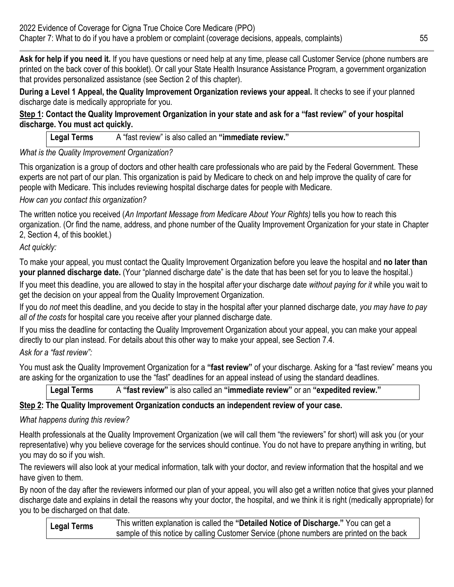**Ask for help if you need it.** If you have questions or need help at any time, please call Customer Service (phone numbers are printed on the back cover of this booklet). Or call your State Health Insurance Assistance Program, a government organization that provides personalized assistance (see Section 2 of this chapter).

**During a Level 1 Appeal, the Quality Improvement Organization reviews your appeal.** It checks to see if your planned discharge date is medically appropriate for you.

## **Step 1: Contact the Quality Improvement Organization in your state and ask for a "fast review" of your hospital discharge. You must act quickly.**

**Legal Terms** A "fast review" is also called an **"immediate review."** 

# *What is the Quality Improvement Organization?*

This organization is a group of doctors and other health care professionals who are paid by the Federal Government. These experts are not part of our plan. This organization is paid by Medicare to check on and help improve the quality of care for people with Medicare. This includes reviewing hospital discharge dates for people with Medicare.

# *How can you contact this organization?*

The written notice you received (*An Important Message from Medicare About Your Rights)* tells you how to reach this organization. (Or find the name, address, and phone number of the Quality Improvement Organization for your state in Chapter 2, Section 4, of this booklet.)

*Act quickly:* 

To make your appeal, you must contact the Quality Improvement Organization before you leave the hospital and **no later than your planned discharge date.** (Your "planned discharge date" is the date that has been set for you to leave the hospital.)

If you meet this deadline, you are allowed to stay in the hospital *after* your discharge date *without paying for it* while you wait to get the decision on your appeal from the Quality Improvement Organization.

If you do *not* meet this deadline, and you decide to stay in the hospital after your planned discharge date, *you may have to pay all of the costs* for hospital care you receive after your planned discharge date.

If you miss the deadline for contacting the Quality Improvement Organization about your appeal, you can make your appeal directly to our plan instead. For details about this other way to make your appeal, see Section 7.4.

*Ask for a "fast review":* 

You must ask the Quality Improvement Organization for a **"fast review"** of your discharge. Asking for a "fast review" means you are asking for the organization to use the "fast" deadlines for an appeal instead of using the standard deadlines.

| <b>Legal Terms</b> |  | A "fast review" is also called an "immediate review" or an "expedited review." |  |
|--------------------|--|--------------------------------------------------------------------------------|--|
|                    |  |                                                                                |  |

# **Step 2: The Quality Improvement Organization conducts an independent review of your case.**

# *What happens during this review?*

Health professionals at the Quality Improvement Organization (we will call them "the reviewers" for short) will ask you (or your representative) why you believe coverage for the services should continue. You do not have to prepare anything in writing, but you may do so if you wish.

The reviewers will also look at your medical information, talk with your doctor, and review information that the hospital and we have given to them.

By noon of the day after the reviewers informed our plan of your appeal, you will also get a written notice that gives your planned discharge date and explains in detail the reasons why your doctor, the hospital, and we think it is right (medically appropriate) for you to be discharged on that date.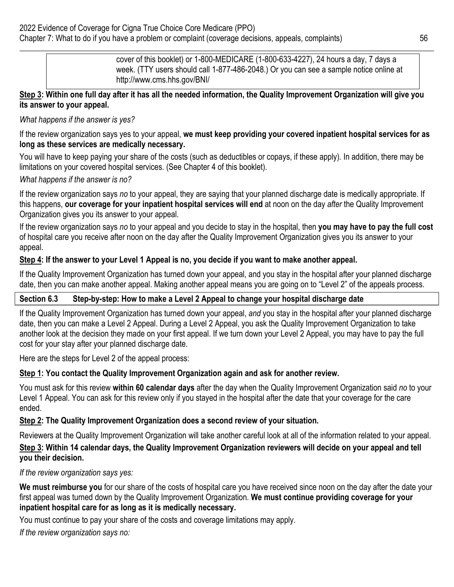cover of this booklet) or 1-800-MEDICARE (1-800-633-4227), 24 hours a day, 7 days a week. (TTY users should call 1-877-486-2048.) Or you can see a sample notice online at [http://www.cms.hhs.gov/BNI/](http://www.cms.hhs.gov/BNI) 

#### **Step 3: Within one full day after it has all the needed information, the Quality Improvement Organization will give you its answer to your appeal.**

## *What happens if the answer is yes?*

#### If the review organization says yes to your appeal, **we must keep providing your covered inpatient hospital services for as long as these services are medically necessary.**

You will have to keep paying your share of the costs (such as deductibles or copays, if these apply). In addition, there may be limitations on your covered hospital services. (See Chapter 4 of this booklet).

#### *What happens if the answer is no?*

If the review organization says *no* to your appeal, they are saying that your planned discharge date is medically appropriate. If this happens, **our coverage for your inpatient hospital services will end** at noon on the day *after* the Quality Improvement Organization gives you its answer to your appeal.

If the review organization says *no* to your appeal and you decide to stay in the hospital, then **you may have to pay the full cost**  of hospital care you receive after noon on the day after the Quality Improvement Organization gives you its answer to your appeal.

## **Step 4: If the answer to your Level 1 Appeal is no, you decide if you want to make another appeal.**

If the Quality Improvement Organization has turned down your appeal, and you stay in the hospital after your planned discharge date, then you can make another appeal. Making another appeal means you are going on to "Level 2" of the appeals process.

#### **Section 6.3 Step-by-step: How to make a Level 2 Appeal to change your hospital discharge date**

If the Quality Improvement Organization has turned down your appeal, *and* you stay in the hospital after your planned discharge date, then you can make a Level 2 Appeal. During a Level 2 Appeal, you ask the Quality Improvement Organization to take another look at the decision they made on your first appeal. If we turn down your Level 2 Appeal, you may have to pay the full cost for your stay after your planned discharge date.

Here are the steps for Level 2 of the appeal process:

## **Step 1: You contact the Quality Improvement Organization again and ask for another review.**

You must ask for this review **within 60 calendar days** after the day when the Quality Improvement Organization said *no* to your Level 1 Appeal. You can ask for this review only if you stayed in the hospital after the date that your coverage for the care ended.

## **Step 2: The Quality Improvement Organization does a second review of your situation.**

Reviewers at the Quality Improvement Organization will take another careful look at all of the information related to your appeal.

## **Step 3: Within 14 calendar days, the Quality Improvement Organization reviewers will decide on your appeal and tell you their decision.**

*If the review organization says yes:* 

**We must reimburse you** for our share of the costs of hospital care you have received since noon on the day after the date your first appeal was turned down by the Quality Improvement Organization. **We must continue providing coverage for your inpatient hospital care for as long as it is medically necessary.** 

You must continue to pay your share of the costs and coverage limitations may apply.

*If the review organization says no:*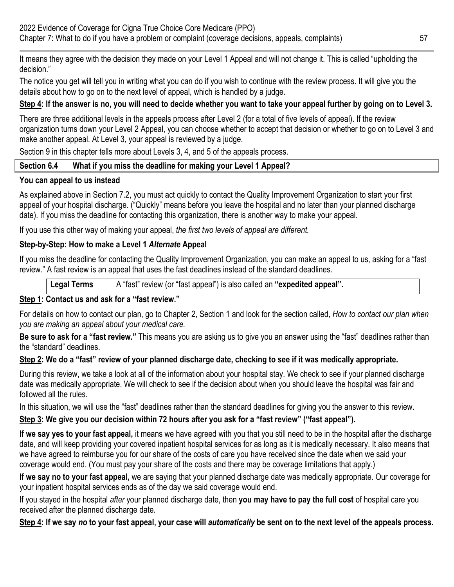It means they agree with the decision they made on your Level 1 Appeal and will not change it. This is called "upholding the decision."

The notice you get will tell you in writing what you can do if you wish to continue with the review process. It will give you the details about how to go on to the next level of appeal, which is handled by a judge.

# **Step 4: If the answer is no, you will need to decide whether you want to take your appeal further by going on to Level 3.**

There are three additional levels in the appeals process after Level 2 (for a total of five levels of appeal). If the review organization turns down your Level 2 Appeal, you can choose whether to accept that decision or whether to go on to Level 3 and make another appeal. At Level 3, your appeal is reviewed by a judge.

Section 9 in this chapter tells more about Levels 3, 4, and 5 of the appeals process.

## **Section 6.4 What if you miss the deadline for making your Level 1 Appeal?**

## **You can appeal to us instead**

As explained above in Section 7.2, you must act quickly to contact the Quality Improvement Organization to start your first appeal of your hospital discharge. ("Quickly" means before you leave the hospital and no later than your planned discharge date). If you miss the deadline for contacting this organization, there is another way to make your appeal.

If you use this other way of making your appeal, *the first two levels of appeal are different.* 

# **Step-by-Step: How to make a Level 1** *Alternate* **Appeal**

If you miss the deadline for contacting the Quality Improvement Organization, you can make an appeal to us, asking for a "fast review." A fast review is an appeal that uses the fast deadlines instead of the standard deadlines.

**Legal Terms** A "fast" review (or "fast appeal") is also called an **"expedited appeal".** 

# **Step 1: Contact us and ask for a "fast review."**

For details on how to contact our plan, go to Chapter 2, Section 1 and look for the section called, *How to contact our plan when you are making an appeal about your medical care.* 

**Be sure to ask for a "fast review."** This means you are asking us to give you an answer using the "fast" deadlines rather than the "standard" deadlines.

# **Step 2: We do a "fast" review of your planned discharge date, checking to see if it was medically appropriate.**

During this review, we take a look at all of the information about your hospital stay. We check to see if your planned discharge date was medically appropriate. We will check to see if the decision about when you should leave the hospital was fair and followed all the rules.

In this situation, we will use the "fast" deadlines rather than the standard deadlines for giving you the answer to this review.

# **Step 3: We give you our decision within 72 hours after you ask for a "fast review" ("fast appeal").**

**If we say yes to your fast appeal,** it means we have agreed with you that you still need to be in the hospital after the discharge date, and will keep providing your covered inpatient hospital services for as long as it is medically necessary. It also means that we have agreed to reimburse you for our share of the costs of care you have received since the date when we said your coverage would end. (You must pay your share of the costs and there may be coverage limitations that apply.)

**If we say no to your fast appeal,** we are saying that your planned discharge date was medically appropriate. Our coverage for your inpatient hospital services ends as of the day we said coverage would end.

If you stayed in the hospital *after* your planned discharge date, then **you may have to pay the full cost** of hospital care you received after the planned discharge date.

**Step 4: If we say** *no* **to your fast appeal, your case will** *automatically* **be sent on to the next level of the appeals process.**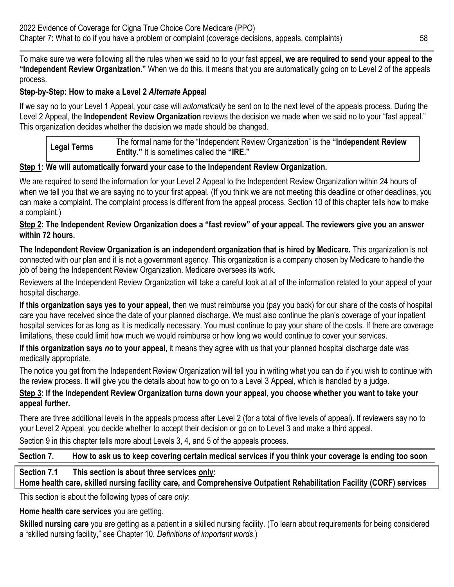To make sure we were following all the rules when we said no to your fast appeal, **we are required to send your appeal to the "Independent Review Organization."** When we do this, it means that you are automatically going on to Level 2 of the appeals process.

## **Step-by-Step: How to make a Level 2** *Alternate* **Appeal**

If we say no to your Level 1 Appeal, your case will *automatically* be sent on to the next level of the appeals process. During the Level 2 Appeal, the **Independent Review Organization** reviews the decision we made when we said no to your "fast appeal." This organization decides whether the decision we made should be changed.

The formal name for the "Independent Review Organization" is the **"Independent Review Legal Terms Entity."** It is sometimes called the **"IRE."** 

# **Step 1: We will automatically forward your case to the Independent Review Organization.**

We are required to send the information for your Level 2 Appeal to the Independent Review Organization within 24 hours of when we tell you that we are saying no to your first appeal. (If you think we are not meeting this deadline or other deadlines, you can make a complaint. The complaint process is different from the appeal process. Section 10 of this chapter tells how to make a complaint.)

#### **Step 2: The Independent Review Organization does a "fast review" of your appeal. The reviewers give you an answer within 72 hours.**

**The Independent Review Organization is an independent organization that is hired by Medicare.** This organization is not connected with our plan and it is not a government agency. This organization is a company chosen by Medicare to handle the job of being the Independent Review Organization. Medicare oversees its work.

Reviewers at the Independent Review Organization will take a careful look at all of the information related to your appeal of your hospital discharge.

**If this organization says yes to your appeal,** then we must reimburse you (pay you back) for our share of the costs of hospital care you have received since the date of your planned discharge. We must also continue the plan's coverage of your inpatient hospital services for as long as it is medically necessary. You must continue to pay your share of the costs. If there are coverage limitations, these could limit how much we would reimburse or how long we would continue to cover your services.

**If this organization says** *no* **to your appeal**, it means they agree with us that your planned hospital discharge date was medically appropriate.

The notice you get from the Independent Review Organization will tell you in writing what you can do if you wish to continue with the review process. It will give you the details about how to go on to a Level 3 Appeal, which is handled by a judge.

## **Step 3: If the Independent Review Organization turns down your appeal, you choose whether you want to take your appeal further.**

There are three additional levels in the appeals process after Level 2 (for a total of five levels of appeal). If reviewers say no to your Level 2 Appeal, you decide whether to accept their decision or go on to Level 3 and make a third appeal.

Section 9 in this chapter tells more about Levels 3, 4, and 5 of the appeals process.

**Section 7. How to ask us to keep covering certain medical services if you think your coverage is ending too soon** 

## **Section 7.1 This section is about three services only:**

**Home health care, skilled nursing facility care, and Comprehensive Outpatient Rehabilitation Facility (CORF) services** 

This section is about the following types of care *only*:

**Home health care services** you are getting.

**Skilled nursing care** you are getting as a patient in a skilled nursing facility. (To learn about requirements for being considered a "skilled nursing facility," see Chapter 10, *Definitions of important words*.)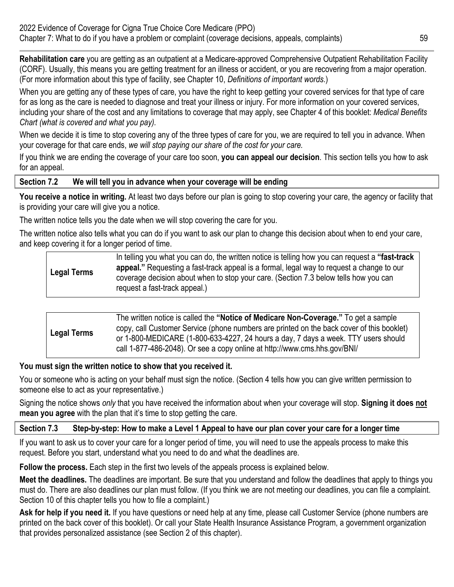**Rehabilitation care** you are getting as an outpatient at a Medicare-approved Comprehensive Outpatient Rehabilitation Facility (CORF). Usually, this means you are getting treatment for an illness or accident, or you are recovering from a major operation. (For more information about this type of facility, see Chapter 10, *Definitions of important words*.)

When you are getting any of these types of care, you have the right to keep getting your covered services for that type of care for as long as the care is needed to diagnose and treat your illness or injury. For more information on your covered services, including your share of the cost and any limitations to coverage that may apply, see Chapter 4 of this booklet: *Medical Benefits Chart (what is covered and what you pay).* 

When we decide it is time to stop covering any of the three types of care for you, we are required to tell you in advance. When your coverage for that care ends, *we will stop paying our share of the cost for your care.* 

If you think we are ending the coverage of your care too soon, **you can appeal our decision**. This section tells you how to ask for an appeal.

#### **Section 7.2 We will tell you in advance when your coverage will be ending**

**You receive a notice in writing.** At least two days before our plan is going to stop covering your care, the agency or facility that is providing your care will give you a notice.

The written notice tells you the date when we will stop covering the care for you.

The written notice also tells what you can do if you want to ask our plan to change this decision about when to end your care, and keep covering it for a longer period of time.

| <b>Legal Terms</b> | In telling you what you can do, the written notice is telling how you can request a "fast-track"<br>appeal." Requesting a fast-track appeal is a formal, legal way to request a change to our<br>coverage decision about when to stop your care. (Section 7.3 below tells how you can<br>request a fast-track appeal.) |
|--------------------|------------------------------------------------------------------------------------------------------------------------------------------------------------------------------------------------------------------------------------------------------------------------------------------------------------------------|
|--------------------|------------------------------------------------------------------------------------------------------------------------------------------------------------------------------------------------------------------------------------------------------------------------------------------------------------------------|

|                    | The written notice is called the "Notice of Medicare Non-Coverage." To get a sample                                                                                             |
|--------------------|---------------------------------------------------------------------------------------------------------------------------------------------------------------------------------|
| <b>Legal Terms</b> | copy, call Customer Service (phone numbers are printed on the back cover of this booklet)<br>or 1-800-MEDICARE (1-800-633-4227, 24 hours a day, 7 days a week. TTY users should |
|                    | call 1-877-486-2048). Or see a copy online at http://www.cms.hhs.gov/BNI/                                                                                                       |

## **You must sign the written notice to show that you received it.**

You or someone who is acting on your behalf must sign the notice. (Section 4 tells how you can give written permission to someone else to act as your representative.)

Signing the notice shows *only* that you have received the information about when your coverage will stop. **Signing it does not mean you agree** with the plan that it's time to stop getting the care.

## **Section 7.3 Step-by-step: How to make a Level 1 Appeal to have our plan cover your care for a longer time**

If you want to ask us to cover your care for a longer period of time, you will need to use the appeals process to make this request. Before you start, understand what you need to do and what the deadlines are.

**Follow the process.** Each step in the first two levels of the appeals process is explained below.

**Meet the deadlines.** The deadlines are important. Be sure that you understand and follow the deadlines that apply to things you must do. There are also deadlines our plan must follow. (If you think we are not meeting our deadlines, you can file a complaint. Section 10 of this chapter tells you how to file a complaint.)

**Ask for help if you need it.** If you have questions or need help at any time, please call Customer Service (phone numbers are printed on the back cover of this booklet). Or call your State Health Insurance Assistance Program, a government organization that provides personalized assistance (see Section 2 of this chapter).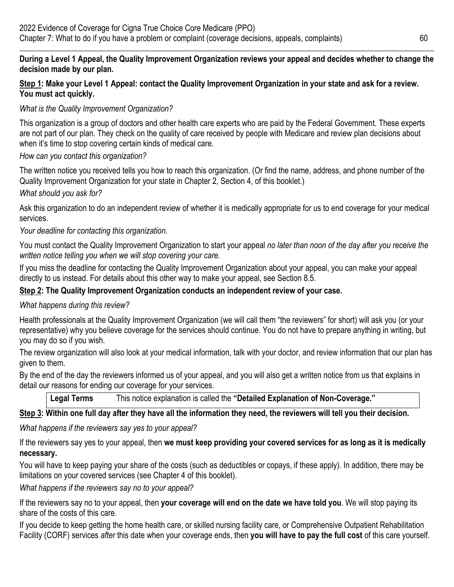**During a Level 1 Appeal, the Quality Improvement Organization reviews your appeal and decides whether to change the decision made by our plan.** 

## **Step 1: Make your Level 1 Appeal: contact the Quality Improvement Organization in your state and ask for a review. You must act quickly.**

# *What is the Quality Improvement Organization?*

This organization is a group of doctors and other health care experts who are paid by the Federal Government. These experts are not part of our plan. They check on the quality of care received by people with Medicare and review plan decisions about when it's time to stop covering certain kinds of medical care.

## *How can you contact this organization?*

The written notice you received tells you how to reach this organization. (Or find the name, address, and phone number of the Quality Improvement Organization for your state in Chapter 2, Section 4, of this booklet.)

## *What should you ask for?*

Ask this organization to do an independent review of whether it is medically appropriate for us to end coverage for your medical services.

## *Your deadline for contacting this organization.*

You must contact the Quality Improvement Organization to start your appeal *no later than noon of the day after you receive the written notice telling you when we will stop covering your care.* 

If you miss the deadline for contacting the Quality Improvement Organization about your appeal, you can make your appeal directly to us instead. For details about this other way to make your appeal, see Section 8.5.

# **Step 2: The Quality Improvement Organization conducts an independent review of your case.**

# *What happens during this review?*

Health professionals at the Quality Improvement Organization (we will call them "the reviewers" for short) will ask you (or your representative) why you believe coverage for the services should continue. You do not have to prepare anything in writing, but you may do so if you wish.

The review organization will also look at your medical information, talk with your doctor, and review information that our plan has given to them.

By the end of the day the reviewers informed us of your appeal, and you will also get a written notice from us that explains in detail our reasons for ending our coverage for your services.

**Legal Terms** This notice explanation is called the **"Detailed Explanation of Non-Coverage."** 

# **Step 3: Within one full day after they have all the information they need, the reviewers will tell you their decision.**

# *What happens if the reviewers say yes to your appeal?*

If the reviewers say yes to your appeal, then **we must keep providing your covered services for as long as it is medically necessary.** 

You will have to keep paying your share of the costs (such as deductibles or copays, if these apply). In addition, there may be limitations on your covered services (see Chapter 4 of this booklet).

*What happens if the reviewers say no to your appeal?* 

If the reviewers say no to your appeal, then **your coverage will end on the date we have told you**. We will stop paying its share of the costs of this care.

If you decide to keep getting the home health care, or skilled nursing facility care, or Comprehensive Outpatient Rehabilitation Facility (CORF) services *after* this date when your coverage ends, then **you will have to pay the full cost** of this care yourself.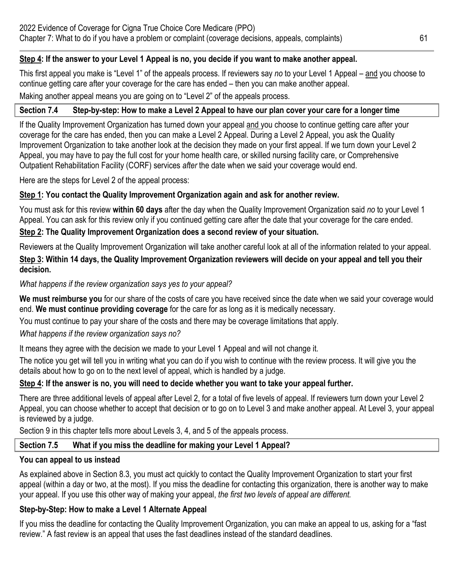## **Step 4: If the answer to your Level 1 Appeal is no, you decide if you want to make another appeal.**

This first appeal you make is "Level 1" of the appeals process. If reviewers say *no* to your Level 1 Appeal – and you choose to continue getting care after your coverage for the care has ended – then you can make another appeal. Making another appeal means you are going on to "Level 2" of the appeals process.

## **Section 7.4 Step-by-step: How to make a Level 2 Appeal to have our plan cover your care for a longer time**

If the Quality Improvement Organization has turned down your appeal and you choose to continue getting care after your coverage for the care has ended, then you can make a Level 2 Appeal. During a Level 2 Appeal, you ask the Quality Improvement Organization to take another look at the decision they made on your first appeal. If we turn down your Level 2 Appeal, you may have to pay the full cost for your home health care, or skilled nursing facility care, or Comprehensive Outpatient Rehabilitation Facility (CORF) services *after* the date when we said your coverage would end.

Here are the steps for Level 2 of the appeal process:

## **Step 1: You contact the Quality Improvement Organization again and ask for another review.**

You must ask for this review **within 60 days** after the day when the Quality Improvement Organization said *no* to your Level 1 Appeal. You can ask for this review only if you continued getting care after the date that your coverage for the care ended.

## **Step 2: The Quality Improvement Organization does a second review of your situation.**

Reviewers at the Quality Improvement Organization will take another careful look at all of the information related to your appeal.

**Step 3: Within 14 days, the Quality Improvement Organization reviewers will decide on your appeal and tell you their decision.** 

*What happens if the review organization says yes to your appeal?* 

**We must reimburse you** for our share of the costs of care you have received since the date when we said your coverage would end. **We must continue providing coverage** for the care for as long as it is medically necessary.

You must continue to pay your share of the costs and there may be coverage limitations that apply.

# *What happens if the review organization says no?*

It means they agree with the decision we made to your Level 1 Appeal and will not change it.

The notice you get will tell you in writing what you can do if you wish to continue with the review process. It will give you the details about how to go on to the next level of appeal, which is handled by a judge.

# **Step 4: If the answer is no, you will need to decide whether you want to take your appeal further.**

There are three additional levels of appeal after Level 2, for a total of five levels of appeal. If reviewers turn down your Level 2 Appeal, you can choose whether to accept that decision or to go on to Level 3 and make another appeal. At Level 3, your appeal is reviewed by a judge.

Section 9 in this chapter tells more about Levels 3, 4, and 5 of the appeals process.

# **Section 7.5 What if you miss the deadline for making your Level 1 Appeal?**

# **You can appeal to us instead**

As explained above in Section 8.3, you must act quickly to contact the Quality Improvement Organization to start your first appeal (within a day or two, at the most). If you miss the deadline for contacting this organization, there is another way to make your appeal. If you use this other way of making your appeal, *the first two levels of appeal are different.* 

# **Step-by-Step: How to make a Level 1 Alternate Appeal**

If you miss the deadline for contacting the Quality Improvement Organization, you can make an appeal to us, asking for a "fast review." A fast review is an appeal that uses the fast deadlines instead of the standard deadlines.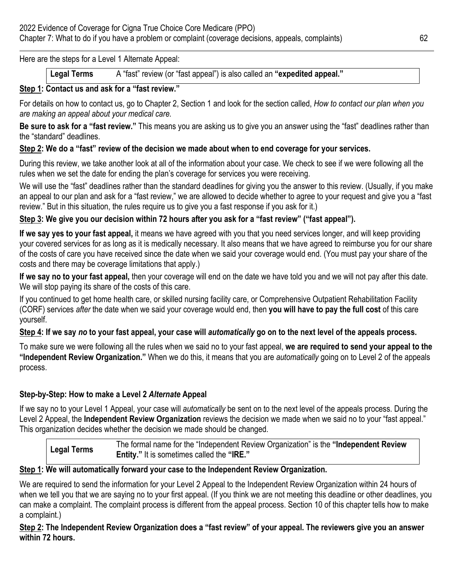Here are the steps for a Level 1 Alternate Appeal:

**Legal Terms** A "fast" review (or "fast appeal") is also called an **"expedited appeal."** 

## **Step 1: Contact us and ask for a "fast review."**

For details on how to contact us, go to Chapter 2, Section 1 and look for the section called, *How to contact our plan when you are making an appeal about your medical care.* 

**Be sure to ask for a "fast review."** This means you are asking us to give you an answer using the "fast" deadlines rather than the "standard" deadlines.

## **Step 2: We do a "fast" review of the decision we made about when to end coverage for your services.**

During this review, we take another look at all of the information about your case. We check to see if we were following all the rules when we set the date for ending the plan's coverage for services you were receiving.

We will use the "fast" deadlines rather than the standard deadlines for giving you the answer to this review. (Usually, if you make an appeal to our plan and ask for a "fast review," we are allowed to decide whether to agree to your request and give you a "fast review." But in this situation, the rules require us to give you a fast response if you ask for it.)

## **Step 3: We give you our decision within 72 hours after you ask for a "fast review" ("fast appeal").**

**If we say yes to your fast appeal,** it means we have agreed with you that you need services longer, and will keep providing your covered services for as long as it is medically necessary. It also means that we have agreed to reimburse you for our share of the costs of care you have received since the date when we said your coverage would end. (You must pay your share of the costs and there may be coverage limitations that apply.)

**If we say no to your fast appeal,** then your coverage will end on the date we have told you and we will not pay after this date. We will stop paying its share of the costs of this care.

If you continued to get home health care, or skilled nursing facility care, or Comprehensive Outpatient Rehabilitation Facility (CORF) services *after* the date when we said your coverage would end, then **you will have to pay the full cost** of this care yourself.

## **Step 4: If we say** *no* **to your fast appeal, your case will** *automatically* **go on to the next level of the appeals process.**

To make sure we were following all the rules when we said no to your fast appeal, **we are required to send your appeal to the "Independent Review Organization."** When we do this, it means that you are *automatically* going on to Level 2 of the appeals process.

## **Step-by-Step: How to make a Level 2** *Alternate* **Appeal**

If we say no to your Level 1 Appeal, your case will *automatically* be sent on to the next level of the appeals process. During the Level 2 Appeal, the **Independent Review Organization** reviews the decision we made when we said no to your "fast appeal." This organization decides whether the decision we made should be changed.

The formal name for the "Independent Review Organization" is the **"Independent Review Legal Terms Entity."** It is sometimes called the **"IRE."** 

## **Step 1: We will automatically forward your case to the Independent Review Organization.**

We are required to send the information for your Level 2 Appeal to the Independent Review Organization within 24 hours of when we tell you that we are saying no to your first appeal. (If you think we are not meeting this deadline or other deadlines, you can make a complaint. The complaint process is different from the appeal process. Section 10 of this chapter tells how to make a complaint.)

## **Step 2: The Independent Review Organization does a "fast review" of your appeal. The reviewers give you an answer within 72 hours.**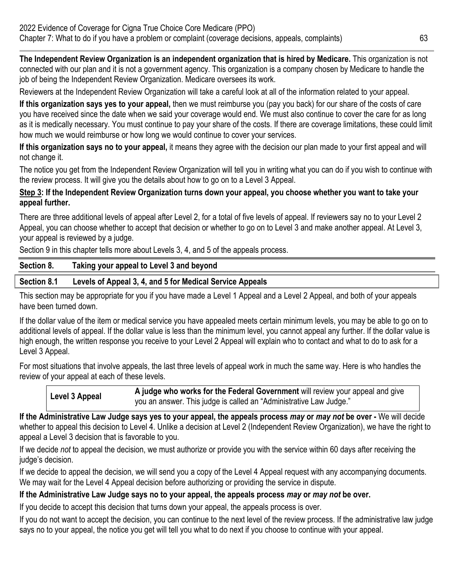**The Independent Review Organization is an independent organization that is hired by Medicare.** This organization is not connected with our plan and it is not a government agency. This organization is a company chosen by Medicare to handle the job of being the Independent Review Organization. Medicare oversees its work.

Reviewers at the Independent Review Organization will take a careful look at all of the information related to your appeal.

**If this organization says yes to your appeal,** then we must reimburse you (pay you back) for our share of the costs of care you have received since the date when we said your coverage would end. We must also continue to cover the care for as long as it is medically necessary. You must continue to pay your share of the costs. If there are coverage limitations, these could limit how much we would reimburse or how long we would continue to cover your services.

**If this organization says no to your appeal,** it means they agree with the decision our plan made to your first appeal and will not change it.

The notice you get from the Independent Review Organization will tell you in writing what you can do if you wish to continue with the review process. It will give you the details about how to go on to a Level 3 Appeal.

#### **Step 3: If the Independent Review Organization turns down your appeal, you choose whether you want to take your appeal further.**

There are three additional levels of appeal after Level 2, for a total of five levels of appeal. If reviewers say no to your Level 2 Appeal, you can choose whether to accept that decision or whether to go on to Level 3 and make another appeal. At Level 3, your appeal is reviewed by a judge.

Section 9 in this chapter tells more about Levels 3, 4, and 5 of the appeals process.

| Taking your appeal to Level 3 and beyond<br>Section 8. |                                                                      |  |
|--------------------------------------------------------|----------------------------------------------------------------------|--|
|                                                        | Section 8.1 Levels of Appeal 3, 4, and 5 for Medical Service Appeals |  |

This section may be appropriate for you if you have made a Level 1 Appeal and a Level 2 Appeal, and both of your appeals have been turned down.

If the dollar value of the item or medical service you have appealed meets certain minimum levels, you may be able to go on to additional levels of appeal. If the dollar value is less than the minimum level, you cannot appeal any further. If the dollar value is high enough, the written response you receive to your Level 2 Appeal will explain who to contact and what to do to ask for a Level 3 Appeal.

For most situations that involve appeals, the last three levels of appeal work in much the same way. Here is who handles the review of your appeal at each of these levels.

**A judge who works for the Federal Government** will review your appeal and give<br>
you an answer. This judge is called an "Administrative Law Judge."

**If the Administrative Law Judge says yes to your appeal, the appeals process** *may* **or** *may not* **be over -** We will decide whether to appeal this decision to Level 4. Unlike a decision at Level 2 (Independent Review Organization), we have the right to appeal a Level 3 decision that is favorable to you.

If we decide *not* to appeal the decision, we must authorize or provide you with the service within 60 days after receiving the judge's decision.

If we decide to appeal the decision, we will send you a copy of the Level 4 Appeal request with any accompanying documents. We may wait for the Level 4 Appeal decision before authorizing or providing the service in dispute.

## **If the Administrative Law Judge says no to your appeal, the appeals process** *may* **or** *may not* **be over.**

If you decide to accept this decision that turns down your appeal, the appeals process is over.

If you do not want to accept the decision, you can continue to the next level of the review process. If the administrative law judge says no to your appeal, the notice you get will tell you what to do next if you choose to continue with your appeal.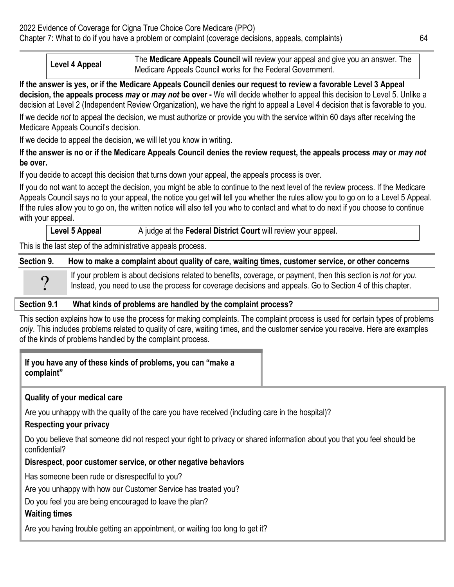**Level 4 Appeal** The **Medicare Appeals Council** will review your appeal and give you an answer. The Medicare Appeals Council works for the Federal Government.

decision at Level 2 (Independent Review Organization), we have the right to appeal a Level 4 decision that is favorable to you. **If the answer is yes, or if the Medicare Appeals Council denies our request to review a favorable Level 3 Appeal decision, the appeals process** *may* **or** *may not* **be over -** We will decide whether to appeal this decision to Level 5. Unlike a

If we decide not to appeal the decision, we must authorize or provide you with the service within 60 days after receiving the Medicare Appeals Council's decision.

If we decide to appeal the decision, we will let you know in writing.

#### **If the answer is no or if the Medicare Appeals Council denies the review request, the appeals process** *may* **or** *may not*  **be over.**

If you decide to accept this decision that turns down your appeal, the appeals process is over.

If you do not want to accept the decision, you might be able to continue to the next level of the review process. If the Medicare Appeals Council says no to your appeal, the notice you get will tell you whether the rules allow you to go on to a Level 5 Appeal. If the rules allow you to go on, the written notice will also tell you who to contact and what to do next if you choose to continue with your appeal.

Level 5 Appeal **A** judge at the Federal District Court will review your appeal.

This is the last step of the administrative appeals process.

| Section 9. |              | How to make a complaint about quality of care, waiting times, customer service, or other concerns                                                                                                                                                                                                                                                                                                                       |
|------------|--------------|-------------------------------------------------------------------------------------------------------------------------------------------------------------------------------------------------------------------------------------------------------------------------------------------------------------------------------------------------------------------------------------------------------------------------|
|            | $\Omega$     | If your problem is about decisions related to benefits, coverage, or payment, then this section is not for you.<br>Instead, you need to use the process for coverage decisions and appeals. Go to Section 4 of this chapter.                                                                                                                                                                                            |
|            | <b>A B A</b> | $\mathbf{M} \mathbf{H} = \mathbf{H} \mathbf{H} + \mathbf{H} \mathbf{H} + \mathbf{H} \mathbf{H} + \mathbf{H} \mathbf{H} + \mathbf{H} \mathbf{H} + \mathbf{H} \mathbf{H} + \mathbf{H} \mathbf{H} + \mathbf{H} \mathbf{H} + \mathbf{H} \mathbf{H} + \mathbf{H} \mathbf{H} + \mathbf{H} \mathbf{H} + \mathbf{H} \mathbf{H} + \mathbf{H} \mathbf{H} + \mathbf{H} \mathbf{H} + \mathbf{H} \mathbf{H} + \mathbf{H} \mathbf{H}$ |

# **Section 9.1 What kinds of problems are handled by the complaint process?**

This section explains how to use the process for making complaints. The complaint process is used for certain types of problems *only*. This includes problems related to quality of care, waiting times, and the customer service you receive. Here are examples of the kinds of problems handled by the complaint process.

#### **If you have any of these kinds of problems, you can "make a complaint"**

# **Quality of your medical care**

Are you unhappy with the quality of the care you have received (including care in the hospital)?

## **Respecting your privacy**

Do you believe that someone did not respect your right to privacy or shared information about you that you feel should be confidential?

# **Disrespect, poor customer service, or other negative behaviors**

Has someone been rude or disrespectful to you?

Are you unhappy with how our Customer Service has treated you?

Do you feel you are being encouraged to leave the plan?

## **Waiting times**

Are you having trouble getting an appointment, or waiting too long to get it?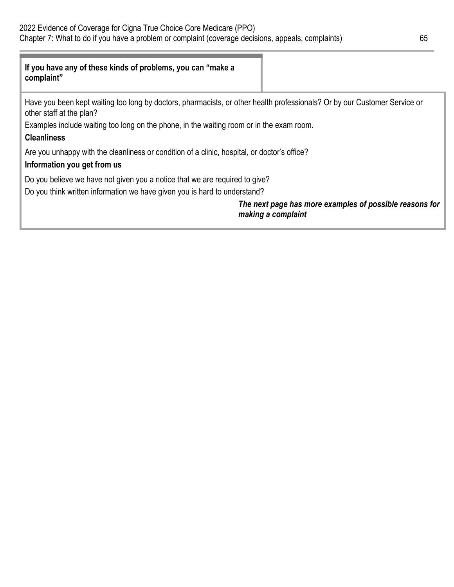#### **If you have any of these kinds of problems, you can "make a complaint"**

Have you been kept waiting too long by doctors, pharmacists, or other health professionals? Or by our Customer Service or other staff at the plan?

Examples include waiting too long on the phone, in the waiting room or in the exam room.

#### **Cleanliness**

Are you unhappy with the cleanliness or condition of a clinic, hospital, or doctor's office?

#### **Information you get from us**

Do you believe we have not given you a notice that we are required to give?

Do you think written information we have given you is hard to understand?

#### *The next page has more examples of possible reasons for making a complaint*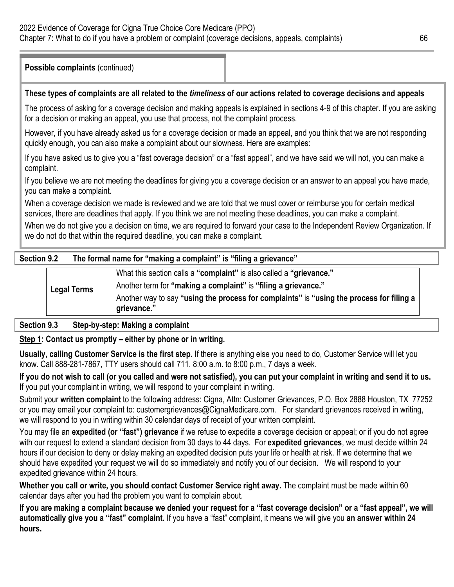**Possible complaints** (continued)

#### **These types of complaints are all related to the** *timeliness* **of our actions related to coverage decisions and appeals**

The process of asking for a coverage decision and making appeals is explained in sections 4-9 of this chapter. If you are asking for a decision or making an appeal, you use that process, not the complaint process.

However, if you have already asked us for a coverage decision or made an appeal, and you think that we are not responding quickly enough, you can also make a complaint about our slowness. Here are examples:

If you have asked us to give you a "fast coverage decision" or a "fast appeal", and we have said we will not, you can make a complaint.

If you believe we are not meeting the deadlines for giving you a coverage decision or an answer to an appeal you have made, you can make a complaint.

When a coverage decision we made is reviewed and we are told that we must cover or reimburse you for certain medical services, there are deadlines that apply. If you think we are not meeting these deadlines, you can make a complaint.

When we do not give you a decision on time, we are required to forward your case to the Independent Review Organization. If we do not do that within the required deadline, you can make a complaint.

# Another term for **"making a complaint"** is **"filing a grievance." Section 9.2 The formal name for "making a complaint" is "filing a grievance" Legal Terms**  What this section calls a **"complaint"** is also called a **"grievance."**  Another way to say **"using the process for complaints"** is **"using the process for filing a grievance."**

## **Section 9.3 Step-by-step: Making a complaint**

#### **Step 1: Contact us promptly – either by phone or in writing.**

**Usually, calling Customer Service is the first step.** If there is anything else you need to do, Customer Service will let you know. Call 888-281-7867, TTY users should call 711, 8:00 a.m. to 8:00 p.m., 7 days a week.

**If you do not wish to call (or you called and were not satisfied), you can put your complaint in writing and send it to us.**  If you put your complaint in writing, we will respond to your complaint in writing.

Submit your **written complaint** to the following address: Cigna, Attn: Customer Grievances, P.O. Box 2888 Houston, TX 77252 or you may email your complaint to: [customergrievances@CignaMedicare.com.](mailto:customergrievances@CignaMedicare.com) For standard grievances received in writing, we will respond to you in writing within 30 calendar days of receipt of your written complaint.

 should have expedited your request we will do so immediately and notify you of our decision. We will respond to your You may file an **expedited (or "fast") grievance** if we refuse to expedite a coverage decision or appeal; or if you do not agree with our request to extend a standard decision from 30 days to 44 days. For **expedited grievances**, we must decide within 24 hours if our decision to deny or delay making an expedited decision puts your life or health at risk. If we determine that we expedited grievance within 24 hours.

**Whether you call or write, you should contact Customer Service right away.** The complaint must be made within 60 calendar days after you had the problem you want to complain about.

**If you are making a complaint because we denied your request for a "fast coverage decision" or a "fast appeal", we will automatically give you a "fast" complaint.** If you have a "fast" complaint, it means we will give you **an answer within 24 hours.**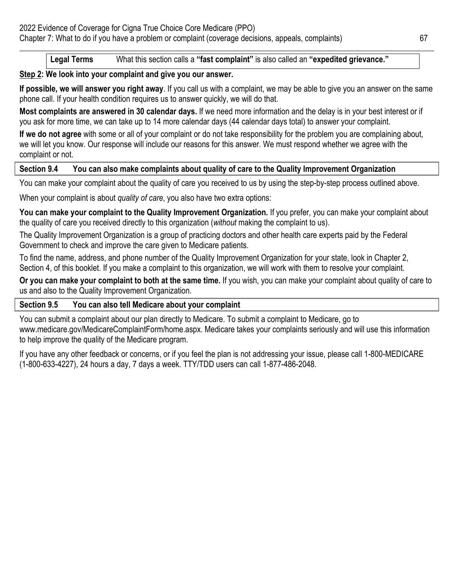## **Legal Terms** What this section calls a **"fast complaint"** is also called an **"expedited grievance."**

# **Step 2: We look into your complaint and give you our answer.**

**If possible, we will answer you right away**. If you call us with a complaint, we may be able to give you an answer on the same phone call. If your health condition requires us to answer quickly, we will do that.

**Most complaints are answered in 30 calendar days.** If we need more information and the delay is in your best interest or if you ask for more time, we can take up to 14 more calendar days (44 calendar days total) to answer your complaint.

**If we do not agree** with some or all of your complaint or do not take responsibility for the problem you are complaining about, we will let you know. Our response will include our reasons for this answer. We must respond whether we agree with the complaint or not.

# **Section 9.4 You can also make complaints about quality of care to the Quality Improvement Organization**

You can make your complaint about the quality of care you received to us by using the step-by-step process outlined above.

When your complaint is about *quality of care*, you also have two extra options:

**You can make your complaint to the Quality Improvement Organization.** If you prefer, you can make your complaint about the quality of care you received directly to this organization (*without* making the complaint to us).

The Quality Improvement Organization is a group of practicing doctors and other health care experts paid by the Federal Government to check and improve the care given to Medicare patients.

To find the name, address, and phone number of the Quality Improvement Organization for your state, look in Chapter 2, Section 4, of this booklet. If you make a complaint to this organization, we will work with them to resolve your complaint.

**Or you can make your complaint to both at the same time.** If you wish, you can make your complaint about quality of care to us and also to the Quality Improvement Organization.

# **Section 9.5 You can also tell Medicare about your complaint**

You can submit a complaint about our plan directly to Medicare. To submit a complaint to Medicare, go to [www.medicare.gov/MedicareComplaintForm/home.aspx.](www.medicare.gov/MedicareComplaintForm/home.aspx) Medicare takes your complaints seriously and will use this information to help improve the quality of the Medicare program.

If you have any other feedback or concerns, or if you feel the plan is not addressing your issue, please call 1-800-MEDICARE (1-800-633-4227), 24 hours a day, 7 days a week. TTY/TDD users can call 1-877-486-2048.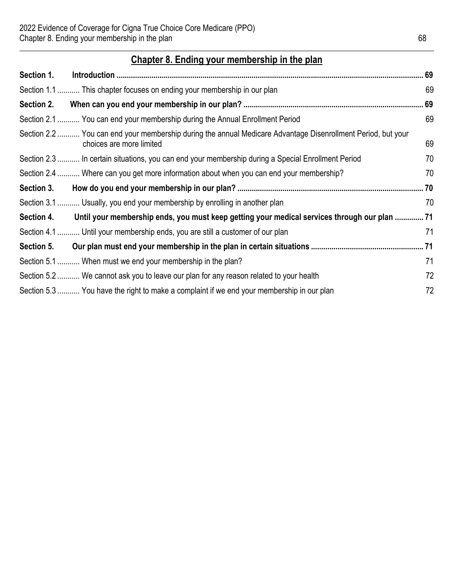# **Chapter 8. Ending your membership in the plan**

| Section 1. |                                                                                                                                          | 69   |
|------------|------------------------------------------------------------------------------------------------------------------------------------------|------|
|            | Section 1.1  This chapter focuses on ending your membership in our plan                                                                  | 69   |
| Section 2. |                                                                                                                                          | . 69 |
|            | Section 2.1  You can end your membership during the Annual Enrollment Period                                                             | 69   |
|            | Section 2.2  You can end your membership during the annual Medicare Advantage Disenrollment Period, but your<br>choices are more limited | 69   |
|            | Section 2.3  In certain situations, you can end your membership during a Special Enrollment Period                                       | 70   |
|            | Section 2.4  Where can you get more information about when you can end your membership?                                                  | 70   |
| Section 3. |                                                                                                                                          |      |
|            | Section 3.1  Usually, you end your membership by enrolling in another plan                                                               | 70   |
| Section 4. | Until your membership ends, you must keep getting your medical services through our plan  71                                             |      |
|            | Section 4.1  Until your membership ends, you are still a customer of our plan                                                            | 71   |
| Section 5. |                                                                                                                                          |      |
|            | Section 5.1  When must we end your membership in the plan?                                                                               | 71   |
|            | Section 5.2  We cannot ask you to leave our plan for any reason related to your health                                                   | 72   |
|            | Section 5.3  You have the right to make a complaint if we end your membership in our plan                                                | 72   |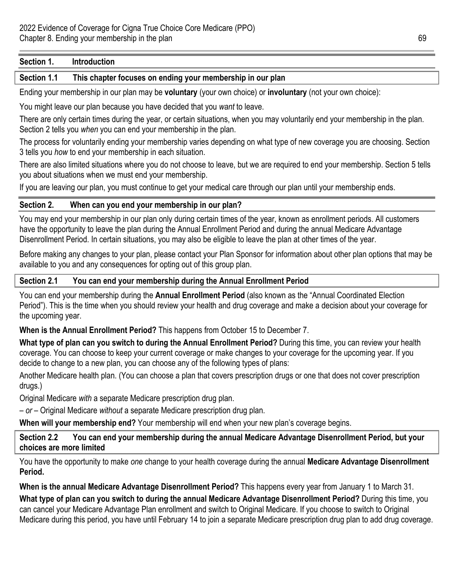#### **Section 1. Introduction**

#### **Section 1.1 This chapter focuses on ending your membership in our plan**

Ending your membership in our plan may be **voluntary** (your own choice) or **involuntary** (not your own choice):

You might leave our plan because you have decided that you *want* to leave.

There are only certain times during the year, or certain situations, when you may voluntarily end your membership in the plan. Section 2 tells you *when* you can end your membership in the plan.

The process for voluntarily ending your membership varies depending on what type of new coverage you are choosing. Section 3 tells you *how* to end your membership in each situation.

There are also limited situations where you do not choose to leave, but we are required to end your membership. Section 5 tells you about situations when we must end your membership.

If you are leaving our plan, you must continue to get your medical care through our plan until your membership ends.

#### **Section 2. When can you end your membership in our plan?**

You may end your membership in our plan only during certain times of the year, known as enrollment periods. All customers have the opportunity to leave the plan during the Annual Enrollment Period and during the annual Medicare Advantage Disenrollment Period. In certain situations, you may also be eligible to leave the plan at other times of the year.

Before making any changes to your plan, please contact your Plan Sponsor for information about other plan options that may be available to you and any consequences for opting out of this group plan.

#### **Section 2.1 You can end your membership during the Annual Enrollment Period**

You can end your membership during the **Annual Enrollment Period** (also known as the "Annual Coordinated Election Period"). This is the time when you should review your health and drug coverage and make a decision about your coverage for the upcoming year.

**When is the Annual Enrollment Period?** This happens from October 15 to December 7.

**What type of plan can you switch to during the Annual Enrollment Period?** During this time, you can review your health coverage. You can choose to keep your current coverage or make changes to your coverage for the upcoming year. If you decide to change to a new plan, you can choose any of the following types of plans:

Another Medicare health plan. (You can choose a plan that covers prescription drugs or one that does not cover prescription drugs.)

Original Medicare *with* a separate Medicare prescription drug plan.

*– or –* Original Medicare *without* a separate Medicare prescription drug plan.

**When will your membership end?** Your membership will end when your new plan's coverage begins.

**Section 2.2 You can end your membership during the annual Medicare Advantage Disenrollment Period, but your choices are more limited** 

You have the opportunity to make *one* change to your health coverage during the annual **Medicare Advantage Disenrollment Period.** 

**When is the annual Medicare Advantage Disenrollment Period?** This happens every year from January 1 to March 31.

**What type of plan can you switch to during the annual Medicare Advantage Disenrollment Period?** During this time, you can cancel your Medicare Advantage Plan enrollment and switch to Original Medicare. If you choose to switch to Original Medicare during this period, you have until February 14 to join a separate Medicare prescription drug plan to add drug coverage.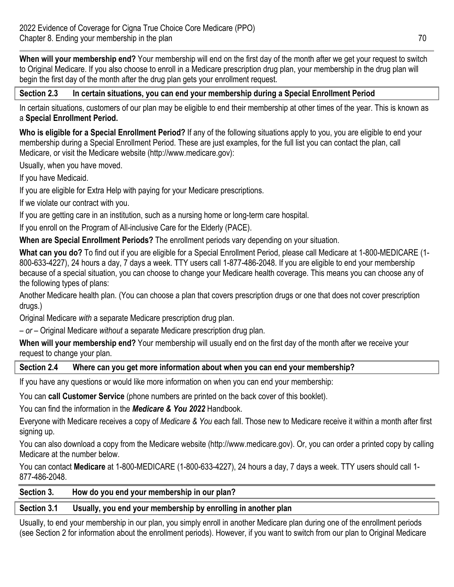**When will your membership end?** Your membership will end on the first day of the month after we get your request to switch to Original Medicare. If you also choose to enroll in a Medicare prescription drug plan, your membership in the drug plan will begin the first day of the month after the drug plan gets your enrollment request.

#### **Section 2.3 In certain situations, you can end your membership during a Special Enrollment Period**

In certain situations, customers of our plan may be eligible to end their membership at other times of the year. This is known as a **Special Enrollment Period.** 

**Who is eligible for a Special Enrollment Period?** If any of the following situations apply to you, you are eligible to end your membership during a Special Enrollment Period. These are just examples, for the full list you can contact the plan, call Medicare, or visit the Medicare website [\(http://www.medicare.gov](http://www.medicare.gov)):

Usually, when you have moved.

If you have Medicaid.

If you are eligible for Extra Help with paying for your Medicare prescriptions.

If we violate our contract with you.

If you are getting care in an institution, such as a nursing home or long-term care hospital.

If you enroll on the Program of All-inclusive Care for the Elderly (PACE).

**When are Special Enrollment Periods?** The enrollment periods vary depending on your situation.

**What can you do?** To find out if you are eligible for a Special Enrollment Period, please call Medicare at 1-800-MEDICARE (1- 800-633-4227), 24 hours a day, 7 days a week. TTY users call 1-877-486-2048. If you are eligible to end your membership because of a special situation, you can choose to change your Medicare health coverage. This means you can choose any of the following types of plans:

Another Medicare health plan. (You can choose a plan that covers prescription drugs or one that does not cover prescription drugs.)

Original Medicare *with* a separate Medicare prescription drug plan.

*– or –* Original Medicare *without* a separate Medicare prescription drug plan.

**When will your membership end?** Your membership will usually end on the first day of the month after we receive your request to change your plan.

## **Section 2.4 Where can you get more information about when you can end your membership?**

If you have any questions or would like more information on when you can end your membership:

You can **call Customer Service** (phone numbers are printed on the back cover of this booklet).

You can find the information in the *Medicare & You 2022* Handbook.

Everyone with Medicare receives a copy of *Medicare & You* each fall. Those new to Medicare receive it within a month after first signing up.

You can also download a copy from the Medicare website ([http://www.medicare.gov\)](http://www.medicare.gov). Or, you can order a printed copy by calling Medicare at the number below.

You can contact **Medicare** at 1-800-MEDICARE (1-800-633-4227), 24 hours a day, 7 days a week. TTY users should call 1- 877-486-2048.

## **Section 3. How do you end your membership in our plan?**

# **Section 3.1 Usually, you end your membership by enrolling in another plan**

Usually, to end your membership in our plan, you simply enroll in another Medicare plan during one of the enrollment periods (see Section 2 for information about the enrollment periods). However, if you want to switch from our plan to Original Medicare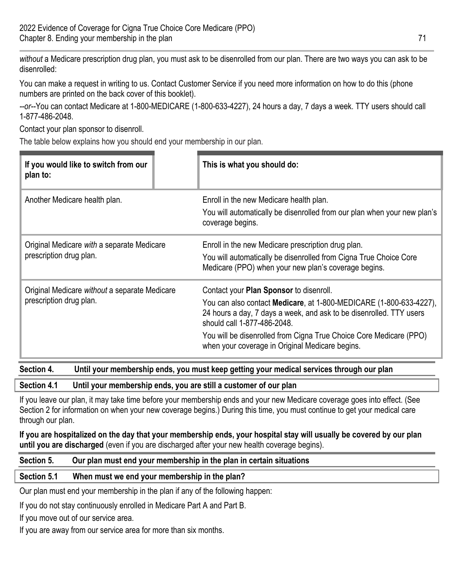*without* a Medicare prescription drug plan, you must ask to be disenrolled from our plan. There are two ways you can ask to be disenrolled:

You can make a request in writing to us. Contact Customer Service if you need more information on how to do this (phone numbers are printed on the back cover of this booklet).

*--or--*You can contact Medicare at 1-800-MEDICARE (1-800-633-4227), 24 hours a day, 7 days a week. TTY users should call 1-877-486-2048.

Contact your plan sponsor to disenroll.

The table below explains how you should end your membership in our plan.

| If you would like to switch from our<br>plan to:                         | This is what you should do:                                                                                                                                                                                                                                                                                                                  |
|--------------------------------------------------------------------------|----------------------------------------------------------------------------------------------------------------------------------------------------------------------------------------------------------------------------------------------------------------------------------------------------------------------------------------------|
| Another Medicare health plan.                                            | Enroll in the new Medicare health plan.<br>You will automatically be disenrolled from our plan when your new plan's<br>coverage begins.                                                                                                                                                                                                      |
| Original Medicare with a separate Medicare<br>prescription drug plan.    | Enroll in the new Medicare prescription drug plan.<br>You will automatically be disenrolled from Cigna True Choice Core<br>Medicare (PPO) when your new plan's coverage begins.                                                                                                                                                              |
| Original Medicare without a separate Medicare<br>prescription drug plan. | Contact your Plan Sponsor to disenroll.<br>You can also contact Medicare, at 1-800-MEDICARE (1-800-633-4227),<br>24 hours a day, 7 days a week, and ask to be disenrolled. TTY users<br>should call 1-877-486-2048.<br>You will be disenrolled from Cigna True Choice Core Medicare (PPO)<br>when your coverage in Original Medicare begins. |

#### **Section 4. Until your membership ends, you must keep getting your medical services through our plan**

**Section 4.1 Until your membership ends, you are still a customer of our plan** 

If you leave our plan, it may take time before your membership ends and your new Medicare coverage goes into effect. (See Section 2 for information on when your new coverage begins.) During this time, you must continue to get your medical care through our plan.

**If you are hospitalized on the day that your membership ends, your hospital stay will usually be covered by our plan until you are discharged** (even if you are discharged after your new health coverage begins).

## **Section 5. Our plan must end your membership in the plan in certain situations**

#### **Section 5.1 When must we end your membership in the plan?**

Our plan must end your membership in the plan if any of the following happen:

If you do not stay continuously enrolled in Medicare Part A and Part B.

If you move out of our service area.

If you are away from our service area for more than six months.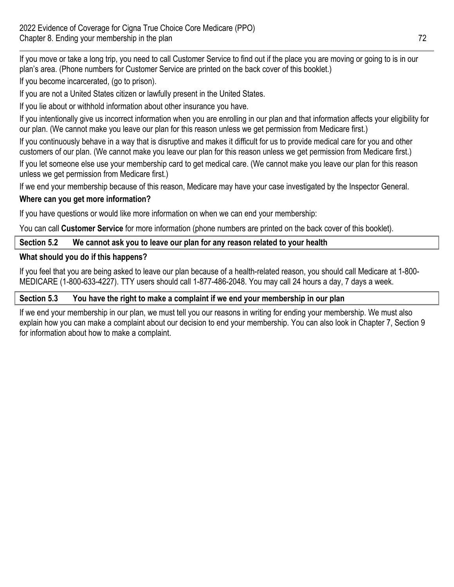If you move or take a long trip, you need to call Customer Service to find out if the place you are moving or going to is in our plan's area. (Phone numbers for Customer Service are printed on the back cover of this booklet.)

If you become incarcerated, (go to prison).

If you are not a United States citizen or lawfully present in the United States.

If you lie about or withhold information about other insurance you have.

If you intentionally give us incorrect information when you are enrolling in our plan and that information affects your eligibility for our plan. (We cannot make you leave our plan for this reason unless we get permission from Medicare first.)

If you continuously behave in a way that is disruptive and makes it difficult for us to provide medical care for you and other customers of our plan. (We cannot make you leave our plan for this reason unless we get permission from Medicare first.)

If you let someone else use your membership card to get medical care. (We cannot make you leave our plan for this reason unless we get permission from Medicare first.)

If we end your membership because of this reason, Medicare may have your case investigated by the Inspector General.

## **Where can you get more information?**

If you have questions or would like more information on when we can end your membership:

You can call **Customer Service** for more information (phone numbers are printed on the back cover of this booklet).

## **Section 5.2 We cannot ask you to leave our plan for any reason related to your health**

## **What should you do if this happens?**

If you feel that you are being asked to leave our plan because of a health-related reason, you should call Medicare at 1-800- MEDICARE (1-800-633-4227). TTY users should call 1-877-486-2048. You may call 24 hours a day, 7 days a week.

## **Section 5.3 You have the right to make a complaint if we end your membership in our plan**

If we end your membership in our plan, we must tell you our reasons in writing for ending your membership. We must also explain how you can make a complaint about our decision to end your membership. You can also look in Chapter 7, Section 9 for information about how to make a complaint.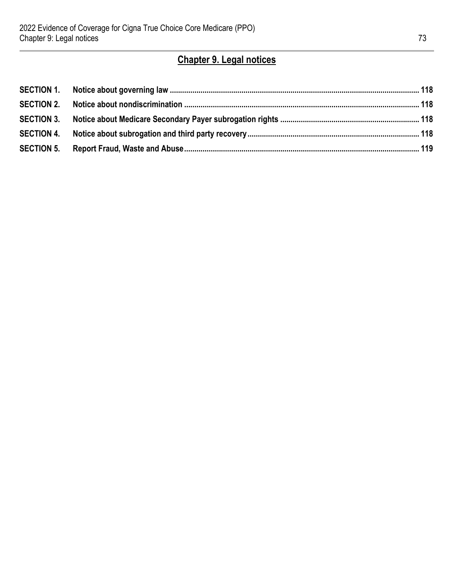# **Chapter 9. Legal notices**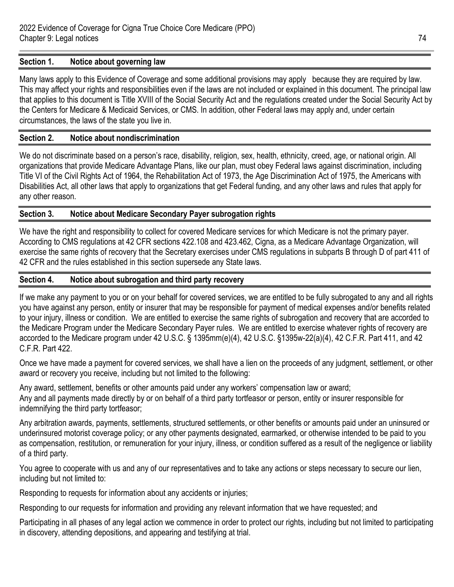#### **Section 1. Notice about governing law**

Many laws apply to this Evidence of Coverage and some additional provisions may apply because they are required by law. This may affect your rights and responsibilities even if the laws are not included or explained in this document. The principal law that applies to this document is Title XVIII of the Social Security Act and the regulations created under the Social Security Act by the Centers for Medicare & Medicaid Services, or CMS. In addition, other Federal laws may apply and, under certain circumstances, the laws of the state you live in.

#### **Section 2. Notice about nondiscrimination**

We do not discriminate based on a person's race, disability, religion, sex, health, ethnicity, creed, age, or national origin. All organizations that provide Medicare Advantage Plans, like our plan, must obey Federal laws against discrimination, including Title VI of the Civil Rights Act of 1964, the Rehabilitation Act of 1973, the Age Discrimination Act of 1975, the Americans with Disabilities Act, all other laws that apply to organizations that get Federal funding, and any other laws and rules that apply for any other reason.

#### **Section 3. Notice about Medicare Secondary Payer subrogation rights**

We have the right and responsibility to collect for covered Medicare services for which Medicare is not the primary payer. According to CMS regulations at 42 CFR sections 422.108 and 423.462, Cigna, as a Medicare Advantage Organization, will exercise the same rights of recovery that the Secretary exercises under CMS regulations in subparts B through D of part 411 of 42 CFR and the rules established in this section supersede any State laws.

#### **Section 4. Notice about subrogation and third party recovery**

If we make any payment to you or on your behalf for covered services, we are entitled to be fully subrogated to any and all rights you have against any person, entity or insurer that may be responsible for payment of medical expenses and/or benefits related to your injury, illness or condition. We are entitled to exercise the same rights of subrogation and recovery that are accorded to the Medicare Program under the Medicare Secondary Payer rules. We are entitled to exercise whatever rights of recovery are accorded to the Medicare program under 42 U.S.C. § 1395mm(e)(4), 42 U.S.C. §1395w-22(a)(4), 42 C.F.R. Part 411, and 42 C.F.R. Part 422.

Once we have made a payment for covered services, we shall have a lien on the proceeds of any judgment, settlement, or other award or recovery you receive, including but not limited to the following:

Any award, settlement, benefits or other amounts paid under any workers' compensation law or award; Any and all payments made directly by or on behalf of a third party tortfeasor or person, entity or insurer responsible for indemnifying the third party tortfeasor;

Any arbitration awards, payments, settlements, structured settlements, or other benefits or amounts paid under an uninsured or underinsured motorist coverage policy; or any other payments designated, earmarked, or otherwise intended to be paid to you as compensation, restitution, or remuneration for your injury, illness, or condition suffered as a result of the negligence or liability of a third party.

You agree to cooperate with us and any of our representatives and to take any actions or steps necessary to secure our lien, including but not limited to:

Responding to requests for information about any accidents or injuries;

Responding to our requests for information and providing any relevant information that we have requested; and

Participating in all phases of any legal action we commence in order to protect our rights, including but not limited to participating in discovery, attending depositions, and appearing and testifying at trial.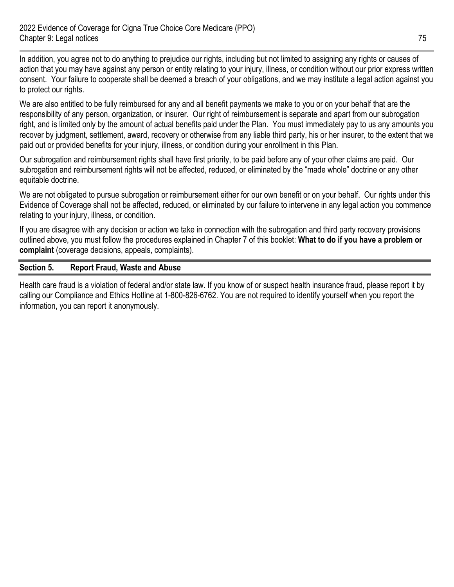In addition, you agree not to do anything to prejudice our rights, including but not limited to assigning any rights or causes of action that you may have against any person or entity relating to your injury, illness, or condition without our prior express written consent. Your failure to cooperate shall be deemed a breach of your obligations, and we may institute a legal action against you to protect our rights.

We are also entitled to be fully reimbursed for any and all benefit payments we make to you or on your behalf that are the responsibility of any person, organization, or insurer. Our right of reimbursement is separate and apart from our subrogation right, and is limited only by the amount of actual benefits paid under the Plan. You must immediately pay to us any amounts you recover by judgment, settlement, award, recovery or otherwise from any liable third party, his or her insurer, to the extent that we paid out or provided benefits for your injury, illness, or condition during your enrollment in this Plan.

Our subrogation and reimbursement rights shall have first priority, to be paid before any of your other claims are paid. Our subrogation and reimbursement rights will not be affected, reduced, or eliminated by the "made whole" doctrine or any other equitable doctrine.

We are not obligated to pursue subrogation or reimbursement either for our own benefit or on your behalf. Our rights under this Evidence of Coverage shall not be affected, reduced, or eliminated by our failure to intervene in any legal action you commence relating to your injury, illness, or condition.

If you are disagree with any decision or action we take in connection with the subrogation and third party recovery provisions outlined above, you must follow the procedures explained in Chapter 7 of this booklet: **What to do if you have a problem or complaint** (coverage decisions, appeals, complaints).

### **Section 5. Report Fraud, Waste and Abuse**

Health care fraud is a violation of federal and/or state law. If you know of or suspect health insurance fraud, please report it by calling our Compliance and Ethics Hotline at 1-800-826-6762. You are not required to identify yourself when you report the information, you can report it anonymously.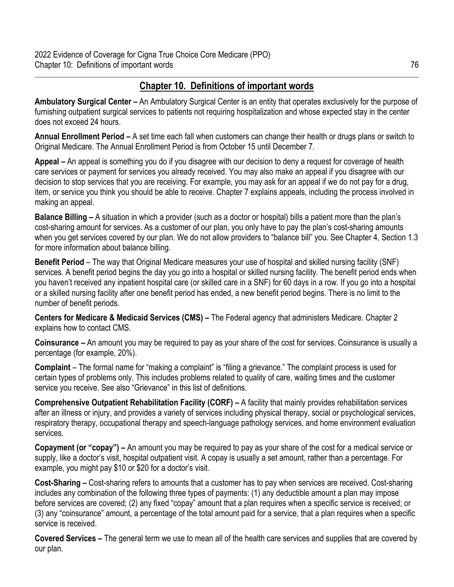# **Chapter 10. Definitions of important words**

**Ambulatory Surgical Center –** An Ambulatory Surgical Center is an entity that operates exclusively for the purpose of furnishing outpatient surgical services to patients not requiring hospitalization and whose expected stay in the center does not exceed 24 hours.

**Annual Enrollment Period –** A set time each fall when customers can change their health or drugs plans or switch to Original Medicare. The Annual Enrollment Period is from October 15 until December 7.

**Appeal –** An appeal is something you do if you disagree with our decision to deny a request for coverage of health care services or payment for services you already received. You may also make an appeal if you disagree with our decision to stop services that you are receiving. For example, you may ask for an appeal if we do not pay for a drug, item, or service you think you should be able to receive. Chapter 7 explains appeals, including the process involved in making an appeal.

**Balance Billing –** A situation in which a provider (such as a doctor or hospital) bills a patient more than the plan's cost-sharing amount for services. As a customer of our plan, you only have to pay the plan's cost-sharing amounts when you get services covered by our plan. We do not allow providers to "balance bill" you. See Chapter 4, Section 1.3 for more information about balance billing.

**Benefit Period** – The way that Original Medicare measures your use of hospital and skilled nursing facility (SNF) services. A benefit period begins the day you go into a hospital or skilled nursing facility. The benefit period ends when you haven't received any inpatient hospital care (or skilled care in a SNF) for 60 days in a row. If you go into a hospital or a skilled nursing facility after one benefit period has ended, a new benefit period begins. There is no limit to the number of benefit periods.

**Centers for Medicare & Medicaid Services (CMS) –** The Federal agency that administers Medicare. Chapter 2 explains how to contact CMS.

**Coinsurance –** An amount you may be required to pay as your share of the cost for services. Coinsurance is usually a percentage (for example, 20%).

**Complaint** – The formal name for "making a complaint" is "filing a grievance." The complaint process is used for certain types of problems only. This includes problems related to quality of care, waiting times and the customer service you receive. See also "Grievance" in this list of definitions.

**Comprehensive Outpatient Rehabilitation Facility (CORF) –** A facility that mainly provides rehabilitation services after an illness or injury, and provides a variety of services including physical therapy, social or psychological services, respiratory therapy, occupational therapy and speech-language pathology services, and home environment evaluation services.

**Copayment (or "copay") –** An amount you may be required to pay as your share of the cost for a medical service or supply, like a doctor's visit, hospital outpatient visit. A copay is usually a set amount, rather than a percentage. For example, you might pay \$10 or \$20 for a doctor's visit.

**Cost-Sharing –** Cost-sharing refers to amounts that a customer has to pay when services are received. Cost-sharing includes any combination of the following three types of payments: (1) any deductible amount a plan may impose before services are covered; (2) any fixed "copay" amount that a plan requires when a specific service is received; or (3) any "coinsurance" amount, a percentage of the total amount paid for a service, that a plan requires when a specific service is received.

**Covered Services –** The general term we use to mean all of the health care services and supplies that are covered by our plan.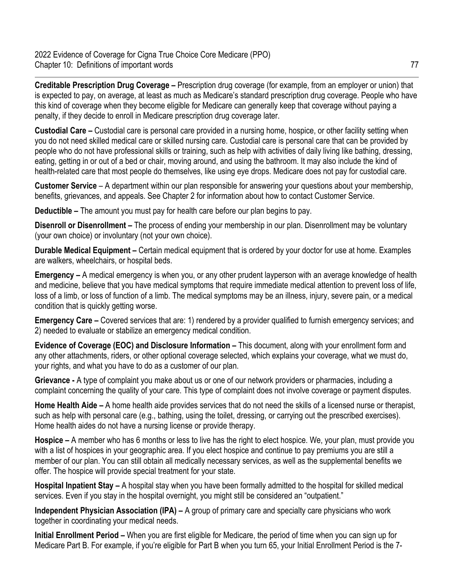**Creditable Prescription Drug Coverage –** Prescription drug coverage (for example, from an employer or union) that is expected to pay, on average, at least as much as Medicare's standard prescription drug coverage. People who have this kind of coverage when they become eligible for Medicare can generally keep that coverage without paying a penalty, if they decide to enroll in Medicare prescription drug coverage later.

**Custodial Care –** Custodial care is personal care provided in a nursing home, hospice, or other facility setting when you do not need skilled medical care or skilled nursing care. Custodial care is personal care that can be provided by people who do not have professional skills or training, such as help with activities of daily living like bathing, dressing, eating, getting in or out of a bed or chair, moving around, and using the bathroom. It may also include the kind of health-related care that most people do themselves, like using eye drops. Medicare does not pay for custodial care.

**Customer Service** – A department within our plan responsible for answering your questions about your membership, benefits, grievances, and appeals. See Chapter 2 for information about how to contact Customer Service.

**Deductible –** The amount you must pay for health care before our plan begins to pay.

**Disenroll or Disenrollment –** The process of ending your membership in our plan. Disenrollment may be voluntary (your own choice) or involuntary (not your own choice).

**Durable Medical Equipment –** Certain medical equipment that is ordered by your doctor for use at home. Examples are walkers, wheelchairs, or hospital beds.

**Emergency –** A medical emergency is when you, or any other prudent layperson with an average knowledge of health and medicine, believe that you have medical symptoms that require immediate medical attention to prevent loss of life, loss of a limb, or loss of function of a limb. The medical symptoms may be an illness, injury, severe pain, or a medical condition that is quickly getting worse.

**Emergency Care –** Covered services that are: 1) rendered by a provider qualified to furnish emergency services; and 2) needed to evaluate or stabilize an emergency medical condition.

**Evidence of Coverage (EOC) and Disclosure Information –** This document, along with your enrollment form and any other attachments, riders, or other optional coverage selected, which explains your coverage, what we must do, your rights, and what you have to do as a customer of our plan.

**Grievance -** A type of complaint you make about us or one of our network providers or pharmacies, including a complaint concerning the quality of your care. This type of complaint does not involve coverage or payment disputes.

**Home Health Aide –** A home health aide provides services that do not need the skills of a licensed nurse or therapist, such as help with personal care (e.g., bathing, using the toilet, dressing, or carrying out the prescribed exercises). Home health aides do not have a nursing license or provide therapy.

**Hospice –** A member who has 6 months or less to live has the right to elect hospice. We, your plan, must provide you with a list of hospices in your geographic area. If you elect hospice and continue to pay premiums you are still a member of our plan. You can still obtain all medically necessary services, as well as the supplemental benefits we offer. The hospice will provide special treatment for your state.

**Hospital Inpatient Stay –** A hospital stay when you have been formally admitted to the hospital for skilled medical services. Even if you stay in the hospital overnight, you might still be considered an "outpatient."

**Independent Physician Association (IPA) –** A group of primary care and specialty care physicians who work together in coordinating your medical needs.

**Initial Enrollment Period –** When you are first eligible for Medicare, the period of time when you can sign up for Medicare Part B. For example, if you're eligible for Part B when you turn 65, your Initial Enrollment Period is the 7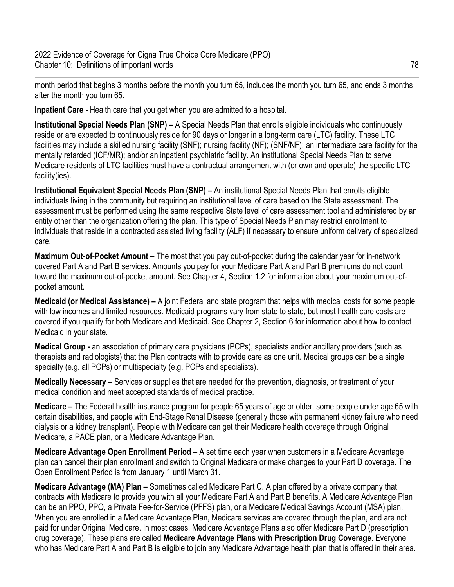month period that begins 3 months before the month you turn 65, includes the month you turn 65, and ends 3 months after the month you turn 65.

**Inpatient Care -** Health care that you get when you are admitted to a hospital.

**Institutional Special Needs Plan (SNP) –** A Special Needs Plan that enrolls eligible individuals who continuously reside or are expected to continuously reside for 90 days or longer in a long-term care (LTC) facility. These LTC facilities may include a skilled nursing facility (SNF); nursing facility (NF); (SNF/NF); an intermediate care facility for the mentally retarded (ICF/MR); and/or an inpatient psychiatric facility. An institutional Special Needs Plan to serve Medicare residents of LTC facilities must have a contractual arrangement with (or own and operate) the specific LTC facility(ies).

**Institutional Equivalent Special Needs Plan (SNP) –** An institutional Special Needs Plan that enrolls eligible individuals living in the community but requiring an institutional level of care based on the State assessment. The assessment must be performed using the same respective State level of care assessment tool and administered by an entity other than the organization offering the plan. This type of Special Needs Plan may restrict enrollment to individuals that reside in a contracted assisted living facility (ALF) if necessary to ensure uniform delivery of specialized care.

**Maximum Out-of-Pocket Amount –** The most that you pay out-of-pocket during the calendar year for in-network covered Part A and Part B services. Amounts you pay for your Medicare Part A and Part B premiums do not count toward the maximum out-of-pocket amount. See Chapter 4, Section 1.2 for information about your maximum out-ofpocket amount.

**Medicaid (or Medical Assistance) –** A joint Federal and state program that helps with medical costs for some people with low incomes and limited resources. Medicaid programs vary from state to state, but most health care costs are covered if you qualify for both Medicare and Medicaid. See Chapter 2, Section 6 for information about how to contact Medicaid in your state.

**Medical Group -** an association of primary care physicians (PCPs), specialists and/or ancillary providers (such as therapists and radiologists) that the Plan contracts with to provide care as one unit. Medical groups can be a single specialty (e.g. all PCPs) or multispecialty (e.g. PCPs and specialists).

 medical condition and meet accepted standards of medical practice. **Medically Necessary –** Services or supplies that are needed for the prevention, diagnosis, or treatment of your

**Medicare –** The Federal health insurance program for people 65 years of age or older, some people under age 65 with certain disabilities, and people with End-Stage Renal Disease (generally those with permanent kidney failure who need dialysis or a kidney transplant). People with Medicare can get their Medicare health coverage through Original Medicare, a PACE plan, or a Medicare Advantage Plan.

**Medicare Advantage Open Enrollment Period –** A set time each year when customers in a Medicare Advantage plan can cancel their plan enrollment and switch to Original Medicare or make changes to your Part D coverage. The Open Enrollment Period is from January 1 until March 31.

**Medicare Advantage (MA) Plan –** Sometimes called Medicare Part C. A plan offered by a private company that contracts with Medicare to provide you with all your Medicare Part A and Part B benefits. A Medicare Advantage Plan can be an PPO, PPO, a Private Fee-for-Service (PFFS) plan, or a Medicare Medical Savings Account (MSA) plan. When you are enrolled in a Medicare Advantage Plan, Medicare services are covered through the plan, and are not paid for under Original Medicare. In most cases, Medicare Advantage Plans also offer Medicare Part D (prescription drug coverage). These plans are called **Medicare Advantage Plans with Prescription Drug Coverage**. Everyone who has Medicare Part A and Part B is eligible to join any Medicare Advantage health plan that is offered in their area.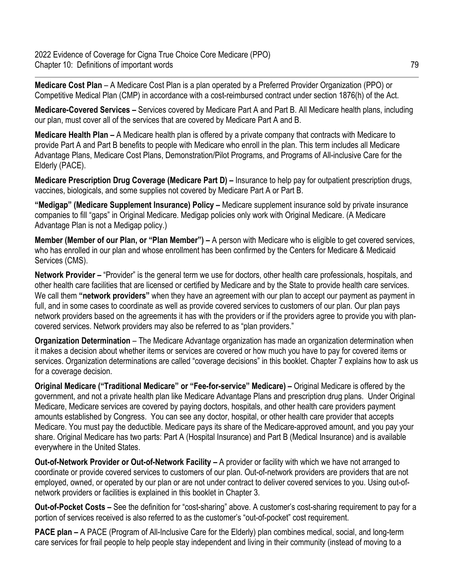**Medicare Cost Plan** – A Medicare Cost Plan is a plan operated by a Preferred Provider Organization (PPO) or Competitive Medical Plan (CMP) in accordance with a cost-reimbursed contract under section 1876(h) of the Act.

**Medicare-Covered Services –** Services covered by Medicare Part A and Part B. All Medicare health plans, including our plan, must cover all of the services that are covered by Medicare Part A and B.

**Medicare Health Plan –** A Medicare health plan is offered by a private company that contracts with Medicare to provide Part A and Part B benefits to people with Medicare who enroll in the plan. This term includes all Medicare Advantage Plans, Medicare Cost Plans, Demonstration/Pilot Programs, and Programs of All-inclusive Care for the Elderly (PACE).

**Medicare Prescription Drug Coverage (Medicare Part D) –** Insurance to help pay for outpatient prescription drugs, vaccines, biologicals, and some supplies not covered by Medicare Part A or Part B.

**"Medigap" (Medicare Supplement Insurance) Policy –** Medicare supplement insurance sold by private insurance companies to fill "gaps" in Original Medicare. Medigap policies only work with Original Medicare. (A Medicare Advantage Plan is not a Medigap policy.)

**Member (Member of our Plan, or "Plan Member") –** A person with Medicare who is eligible to get covered services, who has enrolled in our plan and whose enrollment has been confirmed by the Centers for Medicare & Medicaid Services (CMS).

**Network Provider –** "Provider" is the general term we use for doctors, other health care professionals, hospitals, and other health care facilities that are licensed or certified by Medicare and by the State to provide health care services. We call them **"network providers"** when they have an agreement with our plan to accept our payment as payment in full, and in some cases to coordinate as well as provide covered services to customers of our plan. Our plan pays network providers based on the agreements it has with the providers or if the providers agree to provide you with plancovered services. Network providers may also be referred to as "plan providers."

**Organization Determination** – The Medicare Advantage organization has made an organization determination when it makes a decision about whether items or services are covered or how much you have to pay for covered items or services. Organization determinations are called "coverage decisions" in this booklet. Chapter 7 explains how to ask us for a coverage decision.

**Original Medicare ("Traditional Medicare" or "Fee-for-service" Medicare) –** Original Medicare is offered by the government, and not a private health plan like Medicare Advantage Plans and prescription drug plans. Under Original Medicare, Medicare services are covered by paying doctors, hospitals, and other health care providers payment amounts established by Congress. You can see any doctor, hospital, or other health care provider that accepts Medicare. You must pay the deductible. Medicare pays its share of the Medicare-approved amount, and you pay your share. Original Medicare has two parts: Part A (Hospital Insurance) and Part B (Medical Insurance) and is available everywhere in the United States.

**Out-of-Network Provider or Out-of-Network Facility –** A provider or facility with which we have not arranged to coordinate or provide covered services to customers of our plan. Out-of-network providers are providers that are not employed, owned, or operated by our plan or are not under contract to deliver covered services to you. Using out-ofnetwork providers or facilities is explained in this booklet in Chapter 3.

**Out-of-Pocket Costs –** See the definition for "cost-sharing" above. A customer's cost-sharing requirement to pay for a portion of services received is also referred to as the customer's "out-of-pocket" cost requirement.

**PACE plan –** A PACE (Program of All-Inclusive Care for the Elderly) plan combines medical, social, and long-term care services for frail people to help people stay independent and living in their community (instead of moving to a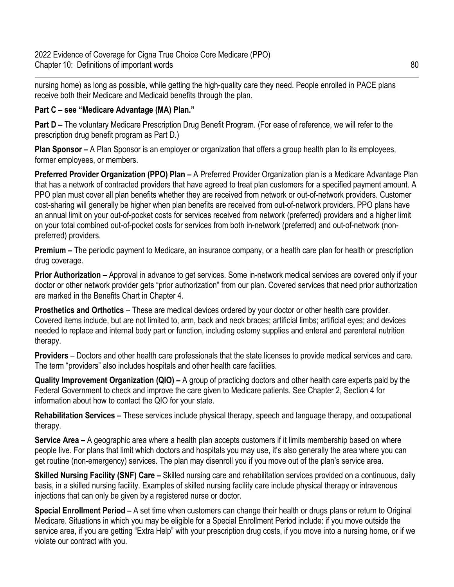nursing home) as long as possible, while getting the high-quality care they need. People enrolled in PACE plans receive both their Medicare and Medicaid benefits through the plan.

## **Part C – see "Medicare Advantage (MA) Plan."**

**Part D –** The voluntary Medicare Prescription Drug Benefit Program. (For ease of reference, we will refer to the prescription drug benefit program as Part D.)

**Plan Sponsor –** A Plan Sponsor is an employer or organization that offers a group health plan to its employees, former employees, or members.

**Preferred Provider Organization (PPO) Plan –** A Preferred Provider Organization plan is a Medicare Advantage Plan that has a network of contracted providers that have agreed to treat plan customers for a specified payment amount. A PPO plan must cover all plan benefits whether they are received from network or out-of-network providers. Customer cost-sharing will generally be higher when plan benefits are received from out-of-network providers. PPO plans have an annual limit on your out-of-pocket costs for services received from network (preferred) providers and a higher limit on your total combined out-of-pocket costs for services from both in-network (preferred) and out-of-network (nonpreferred) providers.

**Premium –** The periodic payment to Medicare, an insurance company, or a health care plan for health or prescription drug coverage.

**Prior Authorization –** Approval in advance to get services. Some in-network medical services are covered only if your doctor or other network provider gets "prior authorization" from our plan. Covered services that need prior authorization are marked in the Benefits Chart in Chapter 4.

**Prosthetics and Orthotics** – These are medical devices ordered by your doctor or other health care provider. Covered items include, but are not limited to, arm, back and neck braces; artificial limbs; artificial eyes; and devices needed to replace and internal body part or function, including ostomy supplies and enteral and parenteral nutrition therapy.

**Providers** – Doctors and other health care professionals that the state licenses to provide medical services and care. The term "providers" also includes hospitals and other health care facilities.

**Quality Improvement Organization (QIO) –** A group of practicing doctors and other health care experts paid by the Federal Government to check and improve the care given to Medicare patients. See Chapter 2, Section 4 for information about how to contact the QIO for your state.

**Rehabilitation Services –** These services include physical therapy, speech and language therapy, and occupational therapy.

**Service Area –** A geographic area where a health plan accepts customers if it limits membership based on where people live. For plans that limit which doctors and hospitals you may use, it's also generally the area where you can get routine (non-emergency) services. The plan may disenroll you if you move out of the plan's service area.

**Skilled Nursing Facility (SNF) Care –** Skilled nursing care and rehabilitation services provided on a continuous, daily basis, in a skilled nursing facility. Examples of skilled nursing facility care include physical therapy or intravenous injections that can only be given by a registered nurse or doctor.

**Special Enrollment Period –** A set time when customers can change their health or drugs plans or return to Original Medicare. Situations in which you may be eligible for a Special Enrollment Period include: if you move outside the service area, if you are getting "Extra Help" with your prescription drug costs, if you move into a nursing home, or if we violate our contract with you.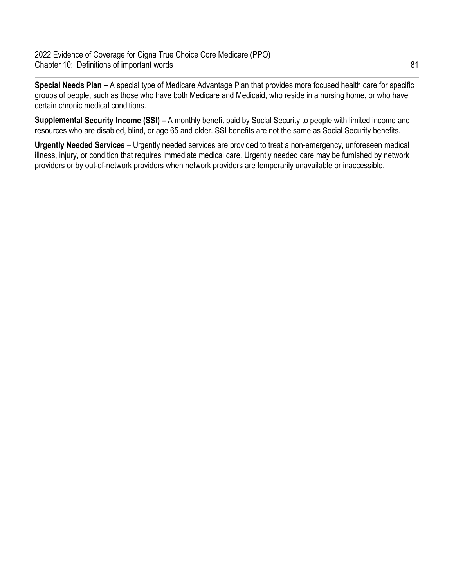**Special Needs Plan –** A special type of Medicare Advantage Plan that provides more focused health care for specific groups of people, such as those who have both Medicare and Medicaid, who reside in a nursing home, or who have certain chronic medical conditions.

**Supplemental Security Income (SSI) –** A monthly benefit paid by Social Security to people with limited income and resources who are disabled, blind, or age 65 and older. SSI benefits are not the same as Social Security benefits.

**Urgently Needed Services** – Urgently needed services are provided to treat a non-emergency, unforeseen medical illness, injury, or condition that requires immediate medical care. Urgently needed care may be furnished by network providers or by out-of-network providers when network providers are temporarily unavailable or inaccessible.